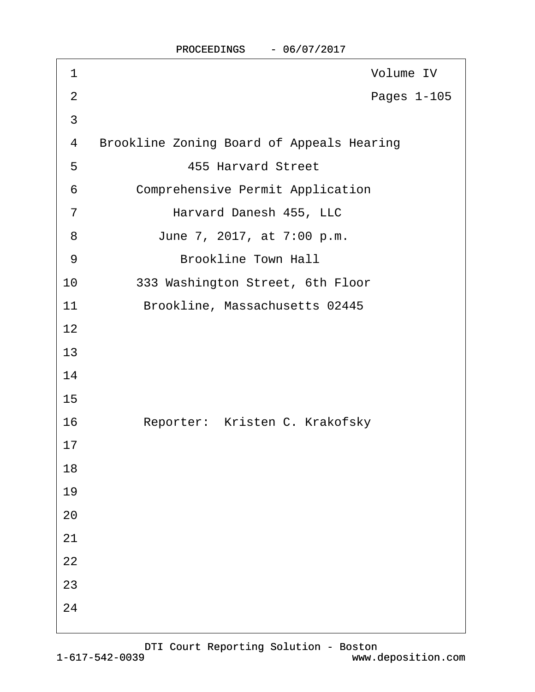| 1              | Volume IV                                        |
|----------------|--------------------------------------------------|
| $\overline{2}$ | Pages 1-105                                      |
| $\mathfrak{S}$ |                                                  |
| 4              | <b>Brookline Zoning Board of Appeals Hearing</b> |
| 5              | <b>455 Harvard Street</b>                        |
| 6              | <b>Comprehensive Permit Application</b>          |
| $\overline{7}$ | Harvard Danesh 455, LLC                          |
| 8              | June 7, 2017, at 7:00 p.m.                       |
| $9\,$          | <b>Brookline Town Hall</b>                       |
| 10             | 333 Washington Street, 6th Floor                 |
| 11             | Brookline, Massachusetts 02445                   |
| 12             |                                                  |
| 13             |                                                  |
| 14             |                                                  |
| 15             |                                                  |
| 16             | Reporter: Kristen C. Krakofsky                   |
| 17             |                                                  |
| 18             |                                                  |
| 19             |                                                  |
| 20             |                                                  |
| 21             |                                                  |
| 22             |                                                  |
| 23             |                                                  |
| 24             |                                                  |
|                |                                                  |

PROCEEDINGS - 06/07/2017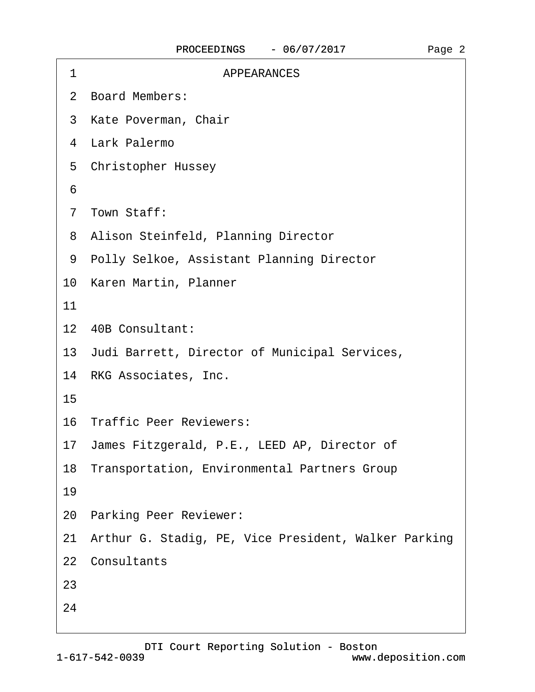| <b>APPEARANCES</b><br>1                                 |  |
|---------------------------------------------------------|--|
| 2 Board Members:                                        |  |
| 3 Kate Poverman, Chair                                  |  |
| 4 Lark Palermo                                          |  |
| 5 Christopher Hussey                                    |  |
| 6                                                       |  |
| 7 Town Staff:                                           |  |
| 8 Alison Steinfeld, Planning Director                   |  |
| 9 Polly Selkoe, Assistant Planning Director             |  |
| 10 Karen Martin, Planner                                |  |
| 11                                                      |  |
| 12 40B Consultant:                                      |  |
| 13 Judi Barrett, Director of Municipal Services,        |  |
| 14 RKG Associates, Inc.                                 |  |
| 15                                                      |  |
| 16 Traffic Peer Reviewers:                              |  |
| 17 James Fitzgerald, P.E., LEED AP, Director of         |  |
| 18 Transportation, Environmental Partners Group         |  |
| 19                                                      |  |
| 20 Parking Peer Reviewer:                               |  |
| 21 Arthur G. Stadig, PE, Vice President, Walker Parking |  |
| 22 Consultants                                          |  |
| 23                                                      |  |
| 24                                                      |  |
|                                                         |  |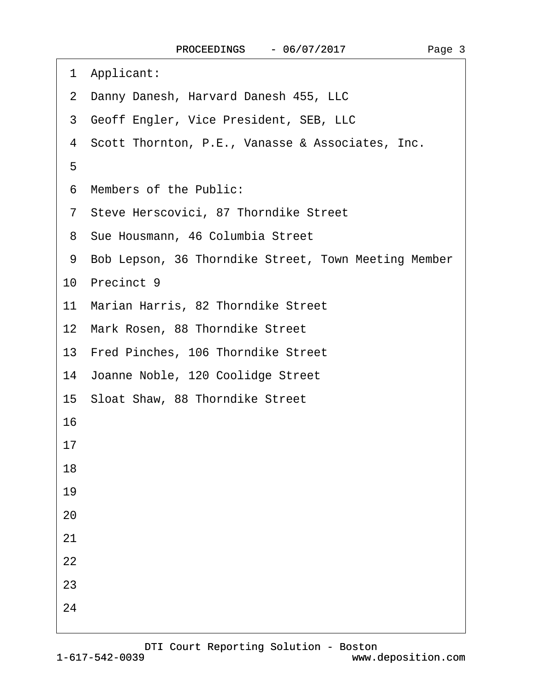- ·1· Applicant:
- 2 Danny Danesh, Harvard Danesh 455, LLC
- 3 Geoff Engler, Vice President, SEB, LLC
- 4 Scott Thornton, P.E., Vanasse & Associates, Inc.
- ·5
- ·6· Members of the Public:
- ·7· Steve Herscovici, 87 Thorndike Street
- 8 Sue Housmann, 46 Columbia Street
- 9 Bob Lepson, 36 Thorndike Street, Town Meeting Member

10 Precinct 9

- 11 Marian Harris, 82 Thorndike Street
- 12 Mark Rosen, 88 Thorndike Street
- 13 Fred Pinches, 106 Thorndike Street
- 14 Joanne Noble, 120 Coolidge Street
- 15 Sloat Shaw, 88 Thorndike Street

16

- 17
- 18
- 19
- 20
- 21
- 
- 22
- 23
- 24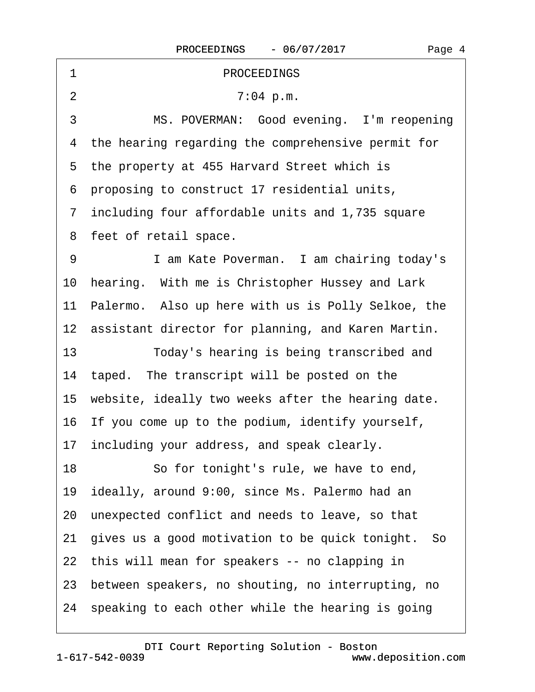| 1  | <b>PROCEEDINGS</b>                                    |
|----|-------------------------------------------------------|
| 2  | 7:04 p.m.                                             |
| 3  | MS. POVERMAN: Good evening. I'm reopening             |
|    | 4 the hearing regarding the comprehensive permit for  |
|    | 5 the property at 455 Harvard Street which is         |
|    | 6 proposing to construct 17 residential units,        |
|    | 7 including four affordable units and 1,735 square    |
|    | 8 feet of retail space.                               |
| 9  | I am Kate Poverman. I am chairing today's             |
|    | 10 hearing. With me is Christopher Hussey and Lark    |
|    | 11 Palermo. Also up here with us is Polly Selkoe, the |
|    | 12 assistant director for planning, and Karen Martin. |
| 13 | Today's hearing is being transcribed and              |
|    | 14 taped. The transcript will be posted on the        |
|    | 15 website, ideally two weeks after the hearing date. |
|    | 16 If you come up to the podium, identify yourself,   |
|    | 17 including your address, and speak clearly.         |
| 18 | So for tonight's rule, we have to end,                |
|    | 19 ideally, around 9:00, since Ms. Palermo had an     |
|    | 20 unexpected conflict and needs to leave, so that    |
|    | 21 gives us a good motivation to be quick tonight. So |
|    | 22 this will mean for speakers -- no clapping in      |
|    | 23 between speakers, no shouting, no interrupting, no |
|    | 24 speaking to each other while the hearing is going  |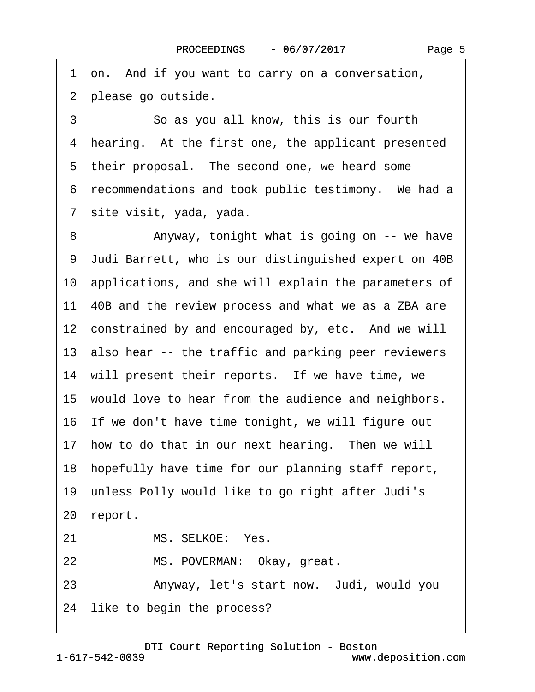1 on. And if you want to carry on a conversation, 2 please go outside.

3 **3** • So as you all know, this is our fourth 4 hearing. At the first one, the applicant presented 5 their proposal. The second one, we heard some 6 recommendations and took public testimony. We had a ·7· site visit, yada, yada.

8 • • Anyway, tonight what is going on -- we have ·9· Judi Barrett, who is our distinguished expert on 40B 10· applications, and she will explain the parameters of 11 40B and the review process and what we as a ZBA are 12 constrained by and encouraged by, etc. And we will 13 also hear -- the traffic and parking peer reviewers 14 will present their reports. If we have time, we 15 would love to hear from the audience and neighbors. 16· If we don't have time tonight, we will figure out 17 how to do that in our next hearing. Then we will 18· hopefully have time for our planning staff report, 19· unless Polly would like to go right after Judi's 20 report. 21 MS. SELKOE: Yes. 22 MS. POVERMAN: Okay, great. 23 • Anyway, let's start now. Judi, would you

24 like to begin the process?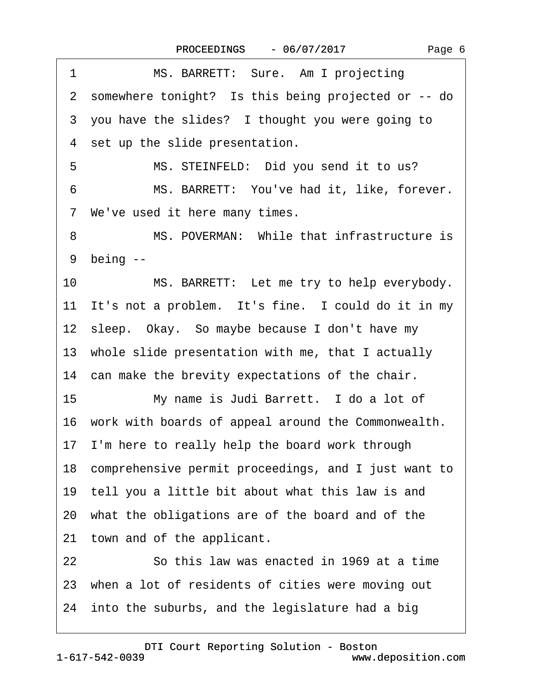| MS. BARRETT: Sure. Am I projecting<br>1                 |
|---------------------------------------------------------|
| 2 somewhere tonight? Is this being projected or -- do   |
| 3 you have the slides? I thought you were going to      |
| 4 set up the slide presentation.                        |
| MS. STEINFELD: Did you send it to us?<br>5              |
| 6<br>MS. BARRETT: You've had it, like, forever.         |
| 7 We've used it here many times.                        |
| MS. POVERMAN: While that infrastructure is<br>8         |
| 9 being --                                              |
| MS. BARRETT: Let me try to help everybody.<br>10        |
| 11 It's not a problem. It's fine. I could do it in my   |
| 12 sleep. Okay. So maybe because I don't have my        |
| 13 whole slide presentation with me, that I actually    |
| 14 can make the brevity expectations of the chair.      |
| 15<br>My name is Judi Barrett. I do a lot of            |
| 16 work with boards of appeal around the Commonwealth.  |
| 17 I'm here to really help the board work through       |
| 18 comprehensive permit proceedings, and I just want to |
| 19 tell you a little bit about what this law is and     |
| 20 what the obligations are of the board and of the     |
| 21 town and of the applicant.                           |
| So this law was enacted in 1969 at a time<br>22         |
| 23 when a lot of residents of cities were moving out    |
| 24 into the suburbs, and the legislature had a big      |
|                                                         |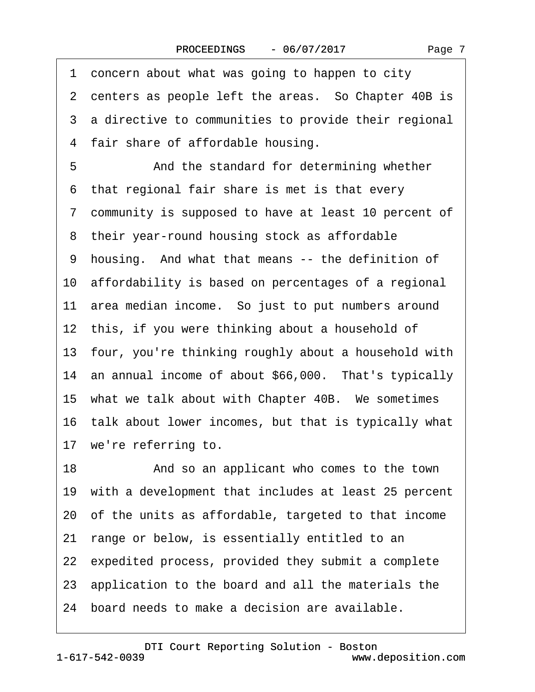|  | Page 7 |
|--|--------|
|--|--------|

1 concern about what was going to happen to city 2 centers as people left the areas. So Chapter 40B is 3 a directive to communities to provide their regional 4 fair share of affordable housing. 5 • • And the standard for determining whether ·6· that regional fair share is met is that every ·7· community is supposed to have at least 10 percent of 8 their year-round housing stock as affordable 9 housing. And what that means -- the definition of 10 affordability is based on percentages of a regional 11 area median income. So just to put numbers around 12 this, if you were thinking about a household of 13· four, you're thinking roughly about a household with 14 an annual income of about \$66,000. That's typically 15 what we talk about with Chapter 40B. We sometimes 16· talk about lower incomes, but that is typically what 17 we're referring to. 18 • **And so an applicant who comes to the town** 19 with a development that includes at least 25 percent 20· of the units as affordable, targeted to that income 21 range or below, is essentially entitled to an 22 expedited process, provided they submit a complete 23· application to the board and all the materials the 24· board needs to make a decision are available.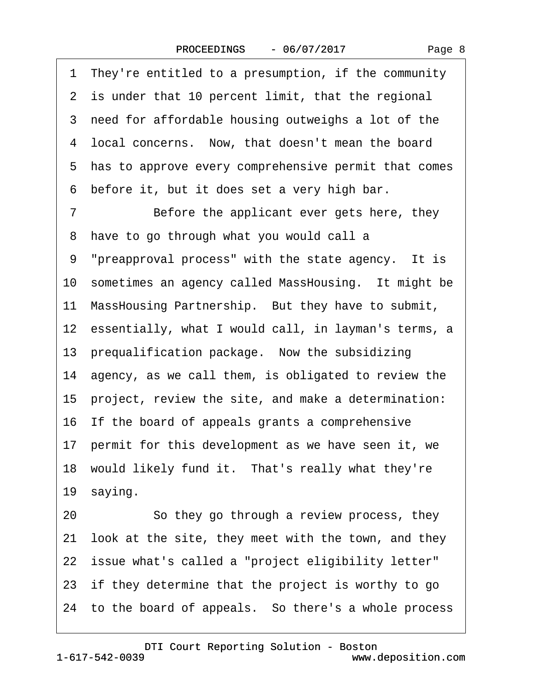| 1 They're entitled to a presumption, if the community   |
|---------------------------------------------------------|
| 2 is under that 10 percent limit, that the regional     |
| 3 need for affordable housing outweighs a lot of the    |
| 4 local concerns. Now, that doesn't mean the board      |
| 5 has to approve every comprehensive permit that comes  |
| before it, but it does set a very high bar.<br>6        |
| Before the applicant ever gets here, they<br>7          |
| 8 have to go through what you would call a              |
| 9 "preapproval process" with the state agency. It is    |
| 10 sometimes an agency called MassHousing. It might be  |
| 11 MassHousing Partnership. But they have to submit,    |
| 12 essentially, what I would call, in layman's terms, a |
| 13 prequalification package. Now the subsidizing        |
| 14 agency, as we call them, is obligated to review the  |
| 15 project, review the site, and make a determination:  |
| 16 If the board of appeals grants a comprehensive       |
| 17 permit for this development as we have seen it, we   |
| 18 would likely fund it. That's really what they're     |
| 19 saying.                                              |
| So they go through a review process, they<br>20         |
| 21 look at the site, they meet with the town, and they  |
| 22 issue what's called a "project eligibility letter"   |
| 23 if they determine that the project is worthy to go   |
| 24 to the board of appeals. So there's a whole process  |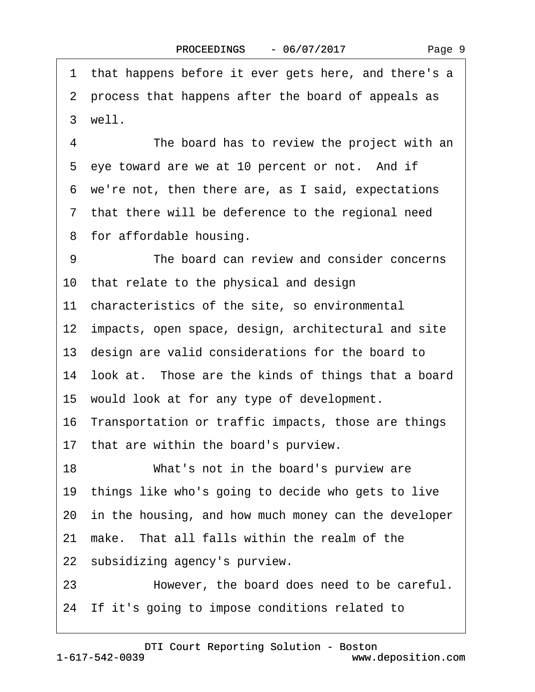1 that happens before it ever gets here, and there's a ·2· process that happens after the board of appeals as 3 well.

4 The board has to review the project with an 5 eye toward are we at 10 percent or not. And if ·6· we're not, then there are, as I said, expectations ·7· that there will be deference to the regional need 8 for affordable housing.

9 The board can review and consider concerns 10· that relate to the physical and design

11 characteristics of the site, so environmental

12 impacts, open space, design, architectural and site

13· design are valid considerations for the board to

14 look at. Those are the kinds of things that a board

- 15· would look at for any type of development.
- 16 Transportation or traffic impacts, those are things
- 17 that are within the board's purview.

18 What's not in the board's purview are

19 things like who's going to decide who gets to live

20 in the housing, and how much money can the developer

- 21 make. That all falls within the realm of the
- 22 subsidizing agency's purview.
- 23 However, the board does need to be careful.
- 24 If it's going to impose conditions related to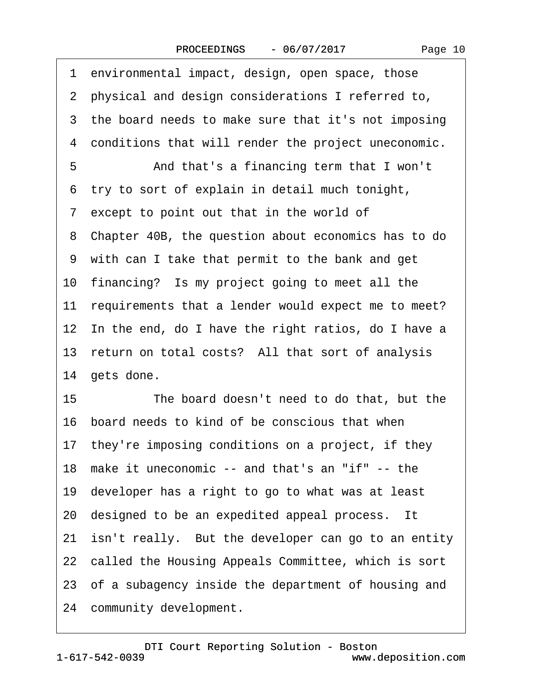|  | Page 10 |  |
|--|---------|--|
|--|---------|--|

1 environmental impact, design, open space, those ·2· physical and design considerations I referred to, 3 the board needs to make sure that it's not imposing 4 conditions that will render the project uneconomic. 5 **• • And that's a financing term that I won't** 6 try to sort of explain in detail much tonight, ·7· except to point out that in the world of ·8· Chapter 40B, the question about economics has to do ·9· with can I take that permit to the bank and get 10 financing? Is my project going to meet all the 11 requirements that a lender would expect me to meet? 12 In the end, do I have the right ratios, do I have a 13 return on total costs? All that sort of analysis 14 gets done. 15 The board doesn't need to do that, but the 16· board needs to kind of be conscious that when 17 they're imposing conditions on a project, if they 18· make it uneconomic -- and that's an "if" -- the 19· developer has a right to go to what was at least 20 designed to be an expedited appeal process. It 21 isn't really. But the developer can go to an entity 22 called the Housing Appeals Committee, which is sort 23 of a subagency inside the department of housing and 24 community development.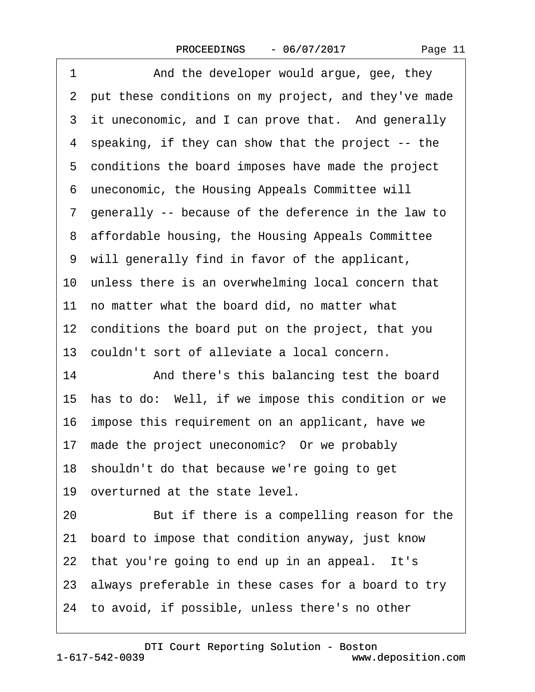1 And the developer would argue, gee, they ·2· put these conditions on my project, and they've made 3 it uneconomic, and I can prove that. And generally ·4· speaking, if they can show that the project -- the 5 conditions the board imposes have made the project 6 uneconomic, the Housing Appeals Committee will ·7· generally -- because of the deference in the law to 8 affordable housing, the Housing Appeals Committee ·9· will generally find in favor of the applicant, 10 unless there is an overwhelming local concern that 11 no matter what the board did, no matter what 12 conditions the board put on the project, that you 13· couldn't sort of alleviate a local concern. 14 • **And there's this balancing test the board** 15 has to do: Well, if we impose this condition or we 16· impose this requirement on an applicant, have we 17 made the project uneconomic? Or we probably 18· shouldn't do that because we're going to get 19 overturned at the state level. 20 But if there is a compelling reason for the 21· board to impose that condition anyway, just know 22 that you're going to end up in an appeal. It's 23· always preferable in these cases for a board to try 24· to avoid, if possible, unless there's no other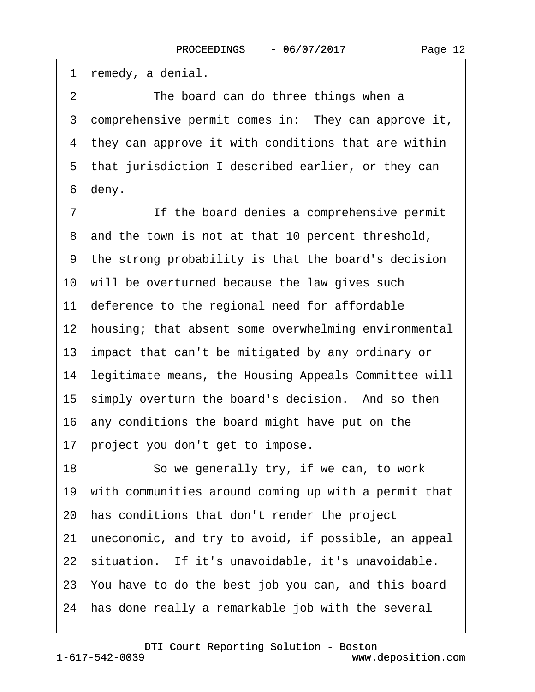1 remedy, a denial.

2 The board can do three things when a 3 comprehensive permit comes in: They can approve it, 4 they can approve it with conditions that are within 5 that jurisdiction I described earlier, or they can 6 deny.

7 If the board denies a comprehensive permit 8 and the town is not at that 10 percent threshold, ·9· the strong probability is that the board's decision 10 will be overturned because the law gives such 11 deference to the regional need for affordable 12 housing; that absent some overwhelming environmental 13 impact that can't be mitigated by any ordinary or 14 legitimate means, the Housing Appeals Committee will 15 simply overturn the board's decision. And so then 16· any conditions the board might have put on the 17 project you don't get to impose. 18 · · So we generally try, if we can, to work

19 with communities around coming up with a permit that

- 20· has conditions that don't render the project
- 21· uneconomic, and try to avoid, if possible, an appeal
- 22 situation. If it's unavoidable, it's unavoidable.
- 23· You have to do the best job you can, and this board
- 24· has done really a remarkable job with the several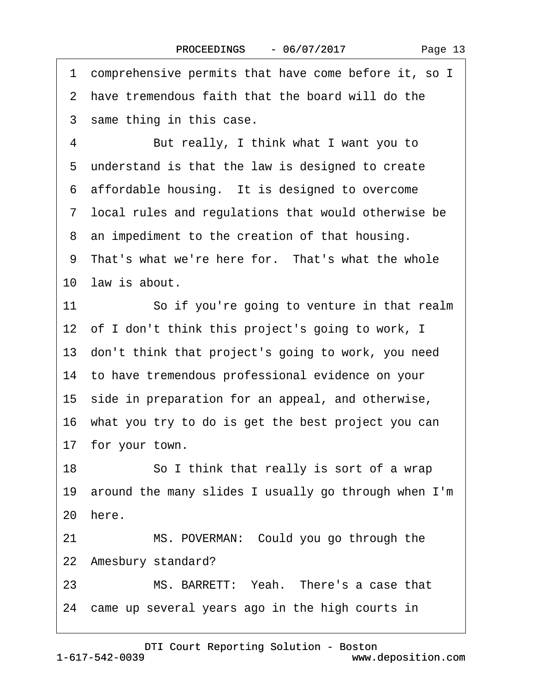·1· comprehensive permits that have come before it, so I 2 have tremendous faith that the board will do the 3 same thing in this case. 4 But really, I think what I want you to 5 understand is that the law is designed to create 6 affordable housing. It is designed to overcome ·7· local rules and regulations that would otherwise be 8 an impediment to the creation of that housing. 9 That's what we're here for. That's what the whole 10 law is about. 11 So if you're going to venture in that realm 12 of I don't think this project's going to work, I 13· don't think that project's going to work, you need 14· to have tremendous professional evidence on your 15· side in preparation for an appeal, and otherwise, 16· what you try to do is get the best project you can 17 for your town. 18 **· · · · So I think that really is sort of a wrap** 19· around the many slides I usually go through when I'm 20 here. 21 MS. POVERMAN: Could you go through the 22 Amesbury standard? 23 MS. BARRETT: Yeah. There's a case that 24 came up several years ago in the high courts in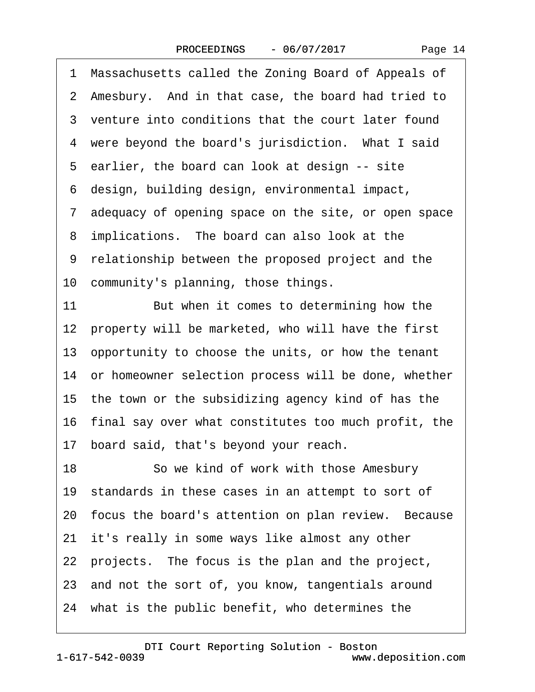·1· Massachusetts called the Zoning Board of Appeals of 2 Amesbury. And in that case, the board had tried to 3 venture into conditions that the court later found 4 were beyond the board's jurisdiction. What I said 5 earlier, the board can look at design -- site ·6· design, building design, environmental impact, ·7· adequacy of opening space on the site, or open space 8 implications. The board can also look at the ·9· relationship between the proposed project and the 10 community's planning, those things. 11 But when it comes to determining how the 12 property will be marketed, who will have the first 13· opportunity to choose the units, or how the tenant 14 or homeowner selection process will be done, whether 15· the town or the subsidizing agency kind of has the 16· final say over what constitutes too much profit, the 17· board said, that's beyond your reach. 18 **· · · So we kind of work with those Amesbury** 19 standards in these cases in an attempt to sort of 20 focus the board's attention on plan review. Because 21 it's really in some ways like almost any other 22· projects.· The focus is the plan and the project, 23 and not the sort of, you know, tangentials around 24 what is the public benefit, who determines the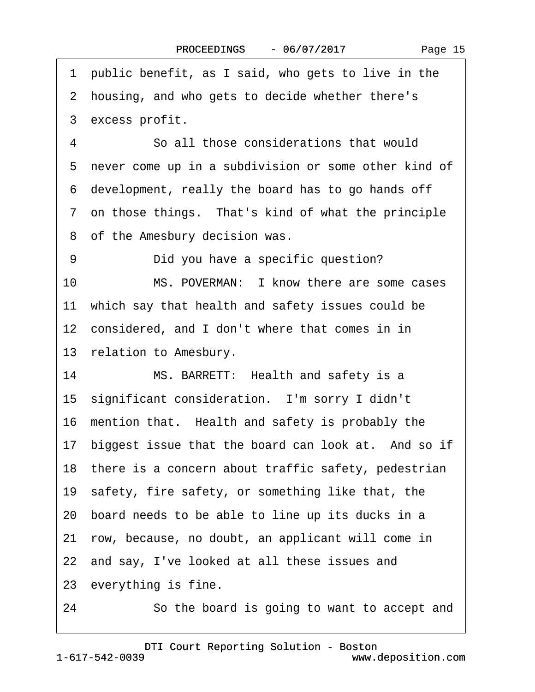1 public benefit, as I said, who gets to live in the 2 housing, and who gets to decide whether there's 3 excess profit. ·4· · · · · ·So all those considerations that would 5 never come up in a subdivision or some other kind of ·6· development, really the board has to go hands off 7 on those things. That's kind of what the principle 8 of the Amesbury decision was. 9 **Did you have a specific question?** 10 MS. POVERMAN: I know there are some cases 11 which say that health and safety issues could be 12 considered, and I don't where that comes in in 13 relation to Amesbury. 14 MS. BARRETT: Health and safety is a 15 significant consideration. I'm sorry I didn't 16 mention that. Health and safety is probably the 17 biggest issue that the board can look at. And so if 18 there is a concern about traffic safety, pedestrian 19 safety, fire safety, or something like that, the 20· board needs to be able to line up its ducks in a 21· row, because, no doubt, an applicant will come in 22 and say, I've looked at all these issues and 23 everything is fine.

24 **· · · So the board is going to want to accept and**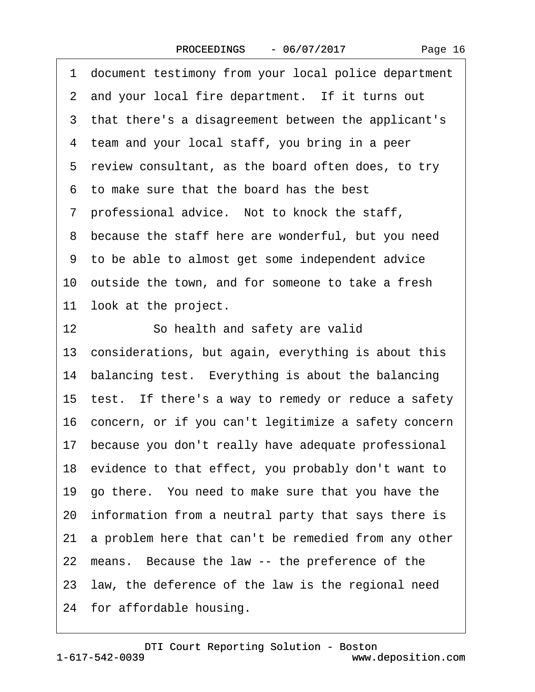·1· document testimony from your local police department 2 and your local fire department. If it turns out 3 that there's a disagreement between the applicant's 4 team and your local staff, you bring in a peer 5 review consultant, as the board often does, to try ·6· to make sure that the board has the best 7 professional advice. Not to knock the staff, 8 because the staff here are wonderful, but you need ·9· to be able to almost get some independent advice 10 outside the town, and for someone to take a fresh 11 look at the project. 12 So health and safety are valid 13 considerations, but again, everything is about this 14 balancing test. Everything is about the balancing 15 test. If there's a way to remedy or reduce a safety 16· concern, or if you can't legitimize a safety concern 17· because you don't really have adequate professional 18· evidence to that effect, you probably don't want to 19· go there.· You need to make sure that you have the 20· information from a neutral party that says there is 21 a problem here that can't be remedied from any other 22 means. Because the law -- the preference of the 23· law, the deference of the law is the regional need 24· for affordable housing.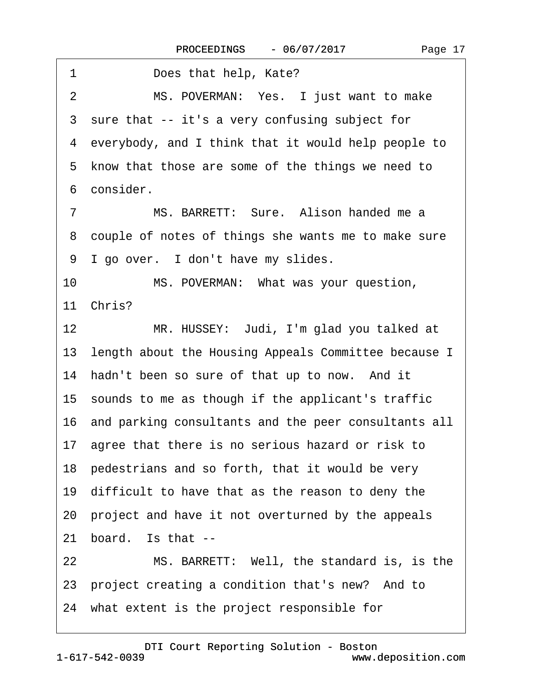| 1<br>Does that help, Kate?                              |
|---------------------------------------------------------|
| MS. POVERMAN: Yes. I just want to make<br>2             |
| 3 sure that -- it's a very confusing subject for        |
| 4 everybody, and I think that it would help people to   |
| 5 know that those are some of the things we need to     |
| 6 consider.                                             |
| MS. BARRETT: Sure. Alison handed me a<br>7              |
| 8 couple of notes of things she wants me to make sure   |
| 9 I go over. I don't have my slides.                    |
| MS. POVERMAN: What was your question,<br>10             |
| 11 Chris?                                               |
| 12<br>MR. HUSSEY: Judi, I'm glad you talked at          |
| 13 length about the Housing Appeals Committee because I |
| 14 hadn't been so sure of that up to now. And it        |
| 15 sounds to me as though if the applicant's traffic    |
| 16 and parking consultants and the peer consultants all |
| 17 agree that there is no serious hazard or risk to     |
| 18 pedestrians and so forth, that it would be very      |
| 19 difficult to have that as the reason to deny the     |
| 20 project and have it not overturned by the appeals    |
| board. Is that --<br>21                                 |
| MS. BARRETT: Well, the standard is, is the<br>22        |
| 23 project creating a condition that's new? And to      |
| 24 what extent is the project responsible for           |
|                                                         |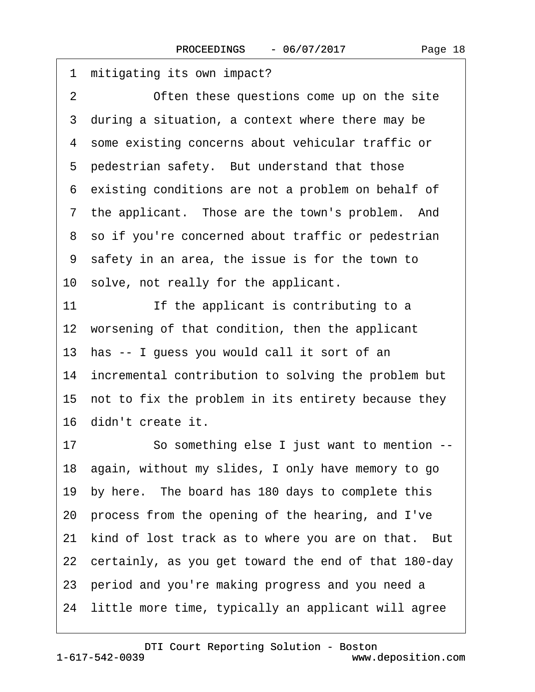| mitigating its own impact?<br>1                             |
|-------------------------------------------------------------|
| $\overline{2}$<br>Often these questions come up on the site |
| 3 during a situation, a context where there may be          |
| 4 some existing concerns about vehicular traffic or         |
| 5 pedestrian safety. But understand that those              |
| 6 existing conditions are not a problem on behalf of        |
| 7 the applicant. Those are the town's problem. And          |
| 8 so if you're concerned about traffic or pedestrian        |
| 9 safety in an area, the issue is for the town to           |
| 10 solve, not really for the applicant.                     |
| 11<br>If the applicant is contributing to a                 |
| 12 worsening of that condition, then the applicant          |
| 13 has -- I guess you would call it sort of an              |
| 14 incremental contribution to solving the problem but      |
| 15 not to fix the problem in its entirety because they      |
| 16 didn't create it.                                        |
| So something else I just want to mention --<br>17           |
| 18 again, without my slides, I only have memory to go       |
| 19 by here. The board has 180 days to complete this         |
| 20 process from the opening of the hearing, and I've        |
| 21 kind of lost track as to where you are on that. But      |
| 22 certainly, as you get toward the end of that 180-day     |
| 23 period and you're making progress and you need a         |
| 24 little more time, typically an applicant will agree      |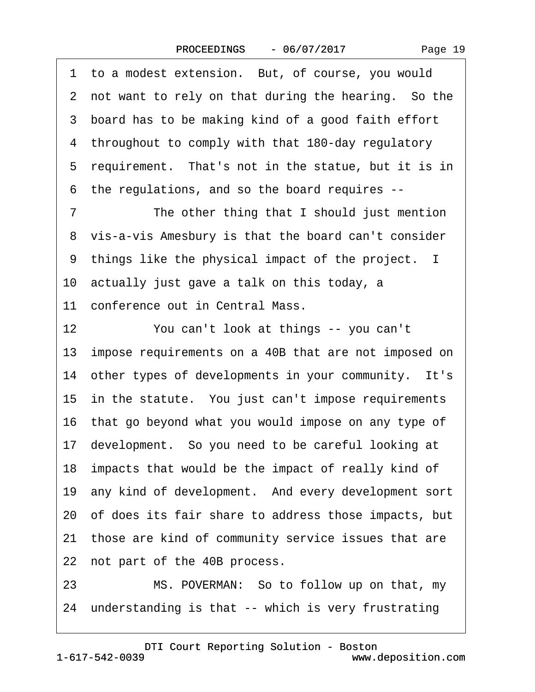Page 19

1 to a modest extension. But, of course, you would 2 not want to rely on that during the hearing. So the 3 board has to be making kind of a good faith effort ·4· throughout to comply with that 180-day regulatory 5 requirement. That's not in the statue, but it is in ·6· the regulations, and so the board requires -- 7 The other thing that I should just mention 8 vis-a-vis Amesbury is that the board can't consider 9 things like the physical impact of the project. I 10· actually just gave a talk on this today, a 11 conference out in Central Mass. 12 You can't look at things -- you can't 13 impose requirements on a 40B that are not imposed on 14 other types of developments in your community. It's 15 in the statute. You just can't impose requirements 16 that go beyond what you would impose on any type of 17· development.· So you need to be careful looking at 18· impacts that would be the impact of really kind of 19 any kind of development. And every development sort 20· of does its fair share to address those impacts, but 21 those are kind of community service issues that are 22 not part of the 40B process. 23 MS. POVERMAN: So to follow up on that, my

24 understanding is that -- which is very frustrating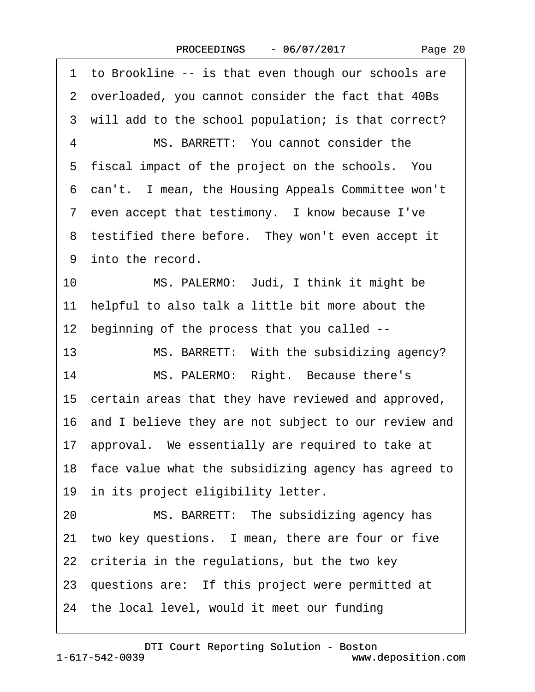1 to Brookline -- is that even though our schools are ·2· overloaded, you cannot consider the fact that 40Bs 3 will add to the school population; is that correct? 4 MS. BARRETT: You cannot consider the 5 fiscal impact of the project on the schools. You 6 can't. I mean, the Housing Appeals Committee won't 7 even accept that testimony. I know because I've 8 testified there before. They won't even accept it 9 into the record. 10 MS. PALERMO: Judi, I think it might be 11 helpful to also talk a little bit more about the 12 beginning of the process that you called --13 MS. BARRETT: With the subsidizing agency? 14 MS. PALERMO: Right. Because there's 15 certain areas that they have reviewed and approved, 16· and I believe they are not subject to our review and 17· approval.· We essentially are required to take at 18· face value what the subsidizing agency has agreed to 19 in its project eligibility letter. 20 MS. BARRETT: The subsidizing agency has 21 two key questions. I mean, there are four or five 22 criteria in the regulations, but the two key 23 questions are: If this project were permitted at 24 the local level, would it meet our funding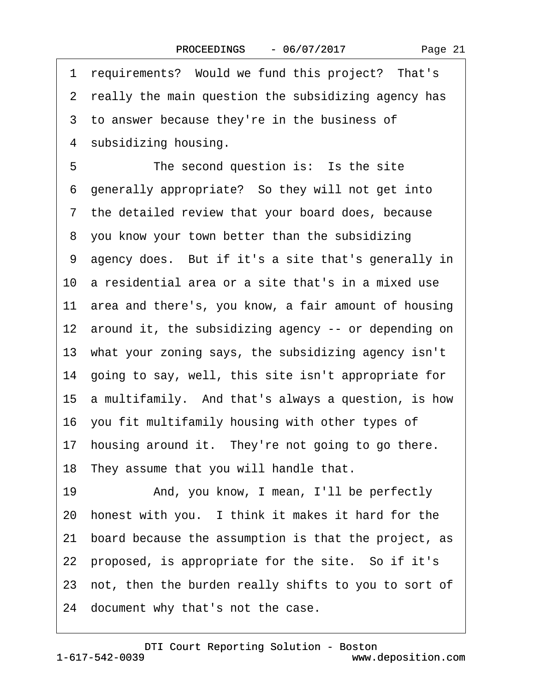1 requirements? Would we fund this project? That's 2 really the main question the subsidizing agency has 3 to answer because they're in the business of 4 subsidizing housing. 5 The second question is: Is the site 6 generally appropriate? So they will not get into ·7· the detailed review that your board does, because 8 you know your town better than the subsidizing 9 agency does. But if it's a site that's generally in 10· a residential area or a site that's in a mixed use 11· area and there's, you know, a fair amount of housing 12 around it, the subsidizing agency -- or depending on 13· what your zoning says, the subsidizing agency isn't 14· going to say, well, this site isn't appropriate for 15· a multifamily.· And that's always a question, is how 16 you fit multifamily housing with other types of 17 housing around it. They're not going to go there. 18 They assume that you will handle that. 19 • And, you know, I mean, I'll be perfectly 20 honest with you. I think it makes it hard for the 21· board because the assumption is that the project, as 22 proposed, is appropriate for the site. So if it's 23 not, then the burden really shifts to you to sort of 24 document why that's not the case.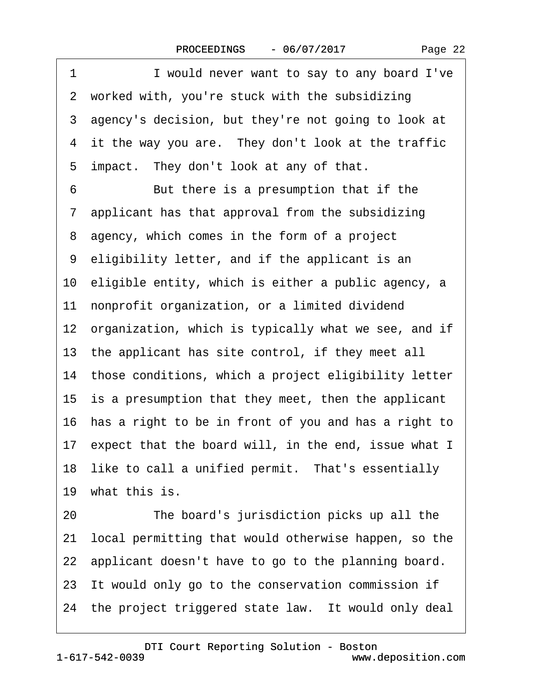1 I would never want to say to any board I've 2 worked with, you're stuck with the subsidizing 3 agency's decision, but they're not going to look at 4 it the way you are. They don't look at the traffic 5 impact. They don't look at any of that. 6 But there is a presumption that if the ·7· applicant has that approval from the subsidizing 8 agency, which comes in the form of a project ·9· eligibility letter, and if the applicant is an 10 eligible entity, which is either a public agency, a 11 nonprofit organization, or a limited dividend 12 organization, which is typically what we see, and if 13 the applicant has site control, if they meet all 14 those conditions, which a project eligibility letter 15 is a presumption that they meet, then the applicant 16· has a right to be in front of you and has a right to 17 expect that the board will, in the end, issue what I 18 like to call a unified permit. That's essentially 19 what this is. 20 The board's jurisdiction picks up all the 21· local permitting that would otherwise happen, so the 22 applicant doesn't have to go to the planning board. 23 It would only go to the conservation commission if 24 the project triggered state law. It would only deal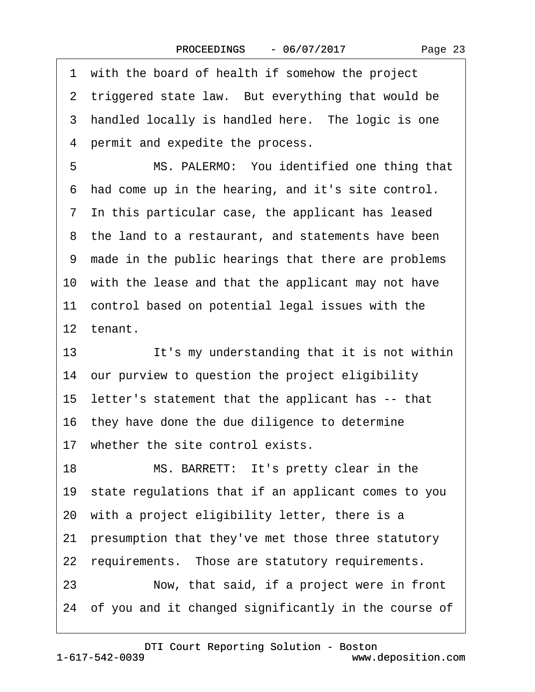·1· with the board of health if somehow the project 2 triggered state law. But everything that would be 3 handled locally is handled here. The logic is one 4 permit and expedite the process. 5 MS. PALERMO: You identified one thing that ·6· had come up in the hearing, and it's site control. ·7· In this particular case, the applicant has leased 8 the land to a restaurant, and statements have been ·9· made in the public hearings that there are problems 10 with the lease and that the applicant may not have 11 control based on potential legal issues with the 12 tenant. 13 It's my understanding that it is not within 14 our purview to question the project eligibility 15· letter's statement that the applicant has -- that 16 they have done the due diligence to determine 17 whether the site control exists. 18 MS. BARRETT: It's pretty clear in the 19 state regulations that if an applicant comes to you 20· with a project eligibility letter, there is a 21· presumption that they've met those three statutory 22 requirements. Those are statutory requirements. 23 • Now, that said, if a project were in front 24 of you and it changed significantly in the course of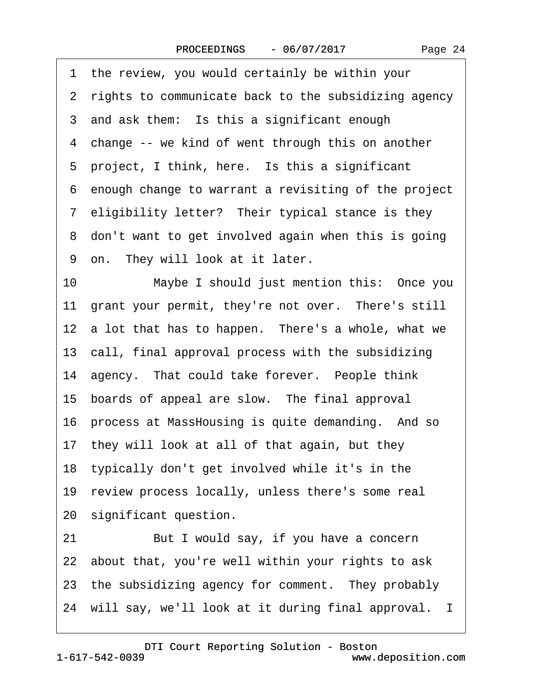|  | Page 24 |  |
|--|---------|--|
|--|---------|--|

|    | 1 the review, you would certainly be within your       |
|----|--------------------------------------------------------|
|    | 2 rights to communicate back to the subsidizing agency |
|    | 3 and ask them: Is this a significant enough           |
|    | 4 change -- we kind of went through this on another    |
|    | 5 project, I think, here. Is this a significant        |
|    | 6 enough change to warrant a revisiting of the project |
|    | 7 eligibility letter? Their typical stance is they     |
|    | 8 don't want to get involved again when this is going  |
|    | 9 on. They will look at it later.                      |
| 10 | Maybe I should just mention this: Once you             |
|    | 11 grant your permit, they're not over. There's still  |
|    | 12 a lot that has to happen. There's a whole, what we  |
|    | 13 call, final approval process with the subsidizing   |
|    | 14 agency. That could take forever. People think       |
|    | 15 boards of appeal are slow. The final approval       |
|    | 16 process at MassHousing is quite demanding. And so   |
|    | 17 they will look at all of that again, but they       |
|    | 18 typically don't get involved while it's in the      |
|    | 19 review process locally, unless there's some real    |
|    | 20 significant question.                               |
| 21 | But I would say, if you have a concern                 |
|    | 22 about that, you're well within your rights to ask   |
|    | 23 the subsidizing agency for comment. They probably   |
|    | 24 will say, we'll look at it during final approval. I |

1-617-542-0039 [DTI Court Reporting Solution - Boston](http://www.deposition.com)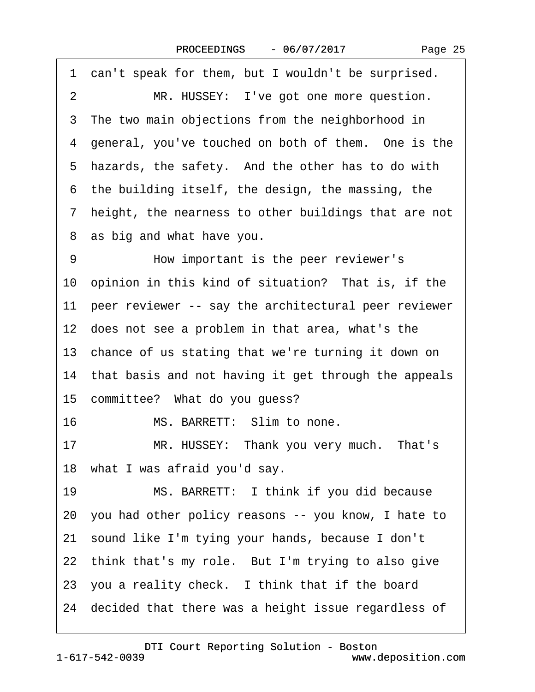|  | Page 25 |  |
|--|---------|--|
|--|---------|--|

|    | 1 can't speak for them, but I wouldn't be surprised.    |
|----|---------------------------------------------------------|
| 2  | MR. HUSSEY: I've got one more question.                 |
|    | 3 The two main objections from the neighborhood in      |
|    | 4 general, you've touched on both of them. One is the   |
|    | 5 hazards, the safety. And the other has to do with     |
|    | 6 the building itself, the design, the massing, the     |
|    | 7 height, the nearness to other buildings that are not  |
|    | 8 as big and what have you.                             |
| 9  | How important is the peer reviewer's                    |
|    | 10 opinion in this kind of situation? That is, if the   |
|    | 11 peer reviewer -- say the architectural peer reviewer |
|    | 12 does not see a problem in that area, what's the      |
|    | 13 chance of us stating that we're turning it down on   |
|    | 14 that basis and not having it get through the appeals |
|    | 15 committee? What do you guess?                        |
| 16 | MS. BARRETT: Slim to none.                              |
| 17 | MR. HUSSEY: Thank you very much. That's                 |
|    | 18 what I was afraid you'd say.                         |
| 19 | MS. BARRETT: I think if you did because                 |
|    | 20 you had other policy reasons -- you know, I hate to  |
|    | 21 sound like I'm tying your hands, because I don't     |
|    | 22 think that's my role. But I'm trying to also give    |
|    | 23 you a reality check. I think that if the board       |
|    | 24 decided that there was a height issue regardless of  |
|    |                                                         |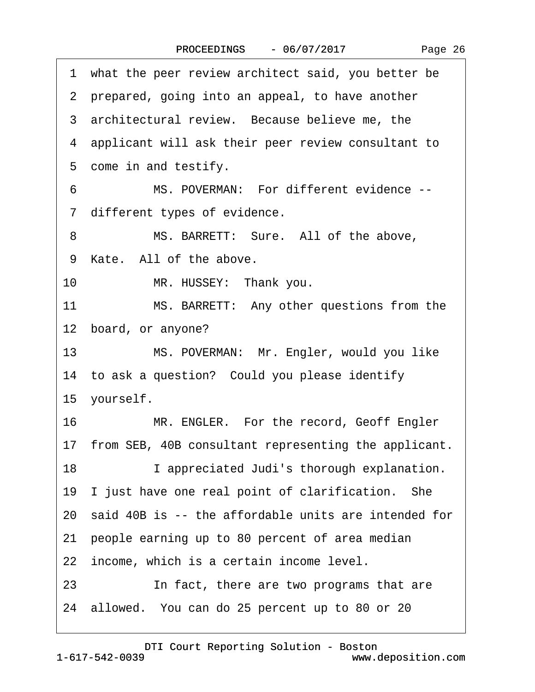| 1 what the peer review architect said, you better be    |
|---------------------------------------------------------|
| 2 prepared, going into an appeal, to have another       |
| 3 architectural review. Because believe me, the         |
| 4 applicant will ask their peer review consultant to    |
| 5 come in and testify.                                  |
| MS. POVERMAN: For different evidence --<br>6            |
| 7 different types of evidence.                          |
| 8<br>MS. BARRETT: Sure. All of the above,               |
| 9 Kate. All of the above.                               |
| MR. HUSSEY: Thank you.<br>10                            |
| MS. BARRETT: Any other questions from the<br>11         |
| 12 board, or anyone?                                    |
| 13<br>MS. POVERMAN: Mr. Engler, would you like          |
| 14 to ask a question? Could you please identify         |
| 15 yourself.                                            |
| MR. ENGLER. For the record, Geoff Engler<br>16          |
| 17 from SEB, 40B consultant representing the applicant. |
| 18<br>I appreciated Judi's thorough explanation.        |
| 19 I just have one real point of clarification. She     |
| 20 said 40B is -- the affordable units are intended for |
| 21 people earning up to 80 percent of area median       |
| 22 income, which is a certain income level.             |
| 23<br>In fact, there are two programs that are          |
| 24 allowed. You can do 25 percent up to 80 or 20        |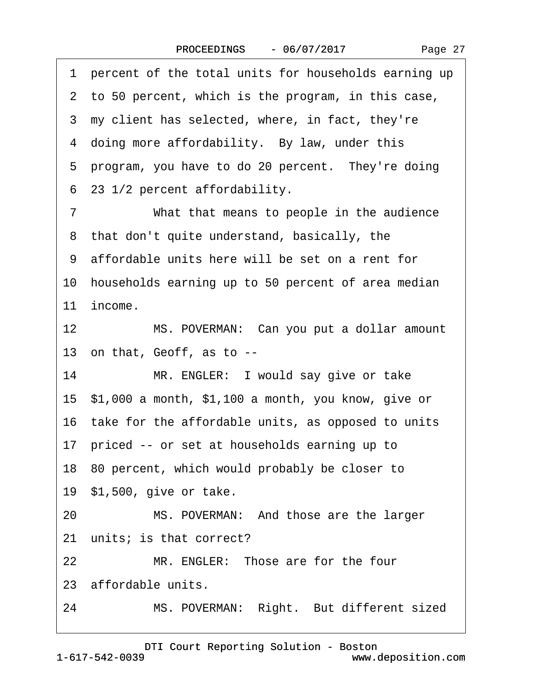|  | Page 27 |
|--|---------|
|--|---------|

·1· percent of the total units for households earning up 2 to 50 percent, which is the program, in this case, 3 my client has selected, where, in fact, they're 4 doing more affordability. By law, under this 5 program, you have to do 20 percent. They're doing ·6· 23 1/2 percent affordability. 7 What that means to people in the audience ·8· that don't quite understand, basically, the ·9· affordable units here will be set on a rent for 10 households earning up to 50 percent of area median 11 income. 12 MS. POVERMAN: Can you put a dollar amount 13· on that, Geoff, as to -- 14 MR. ENGLER: I would say give or take 15· \$1,000 a month, \$1,100 a month, you know, give or 16· take for the affordable units, as opposed to units 17 priced -- or set at households earning up to 18· 80 percent, which would probably be closer to 19· \$1,500, give or take. 20 MS. POVERMAN: And those are the larger 21 units; is that correct? 22 MR. ENGLER: Those are for the four 23 affordable units. 24 MS. POVERMAN: Right. But different sized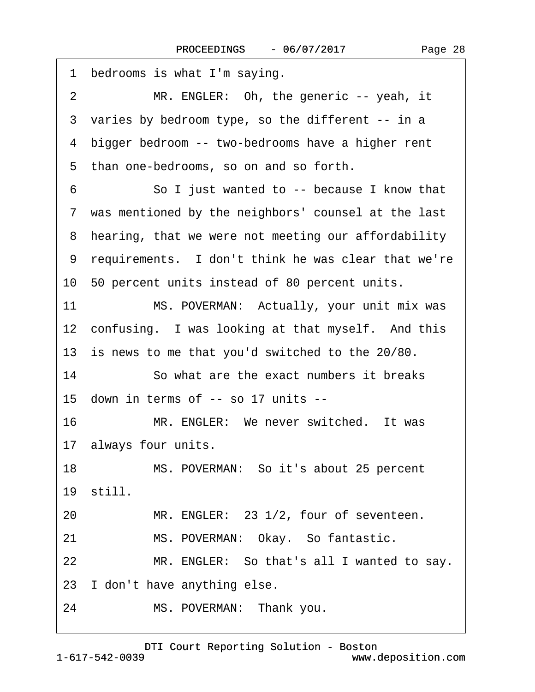| 1<br>bedrooms is what I'm saying.                     |
|-------------------------------------------------------|
| MR. ENGLER: Oh, the generic -- yeah, it<br>2          |
| 3 varies by bedroom type, so the different -- in a    |
| 4 bigger bedroom -- two-bedrooms have a higher rent   |
| than one-bedrooms, so on and so forth.<br>5           |
| So I just wanted to -- because I know that<br>6       |
| 7 was mentioned by the neighbors' counsel at the last |
| 8 hearing, that we were not meeting our affordability |
| 9 requirements. I don't think he was clear that we're |
| 10 50 percent units instead of 80 percent units.      |
| 11<br>MS. POVERMAN: Actually, your unit mix was       |
| 12 confusing. I was looking at that myself. And this  |
| 13 is news to me that you'd switched to the 20/80.    |
| 14<br>So what are the exact numbers it breaks         |
| 15 down in terms of -- so 17 units --                 |
| MR. ENGLER: We never switched. It was<br>16           |
| 17 always four units.                                 |
| MS. POVERMAN: So it's about 25 percent<br>18          |
| 19 still.                                             |
| MR. ENGLER: 23 1/2, four of seventeen.<br>20          |
| 21<br>MS. POVERMAN: Okay. So fantastic.               |
| MR. ENGLER: So that's all I wanted to say.<br>22      |
| 23 I don't have anything else.                        |
| MS. POVERMAN: Thank you.<br>24                        |
|                                                       |

1-617-542-0039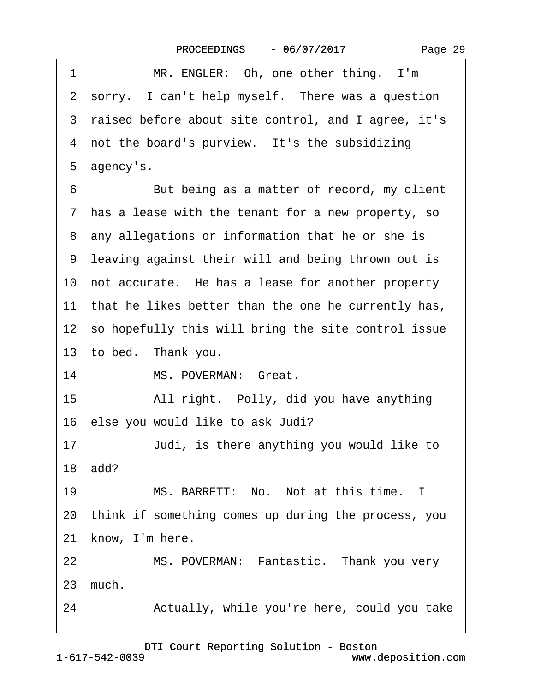| Page 29 |  |
|---------|--|
|---------|--|

1 MR. ENGLER: Oh, one other thing. I'm 2 sorry. I can't help myself. There was a question ·3· raised before about site control, and I agree, it's 4 not the board's purview. It's the subsidizing 5 agency's. 6 But being as a matter of record, my client ·7· has a lease with the tenant for a new property, so 8 any allegations or information that he or she is ·9· leaving against their will and being thrown out is 10 not accurate. He has a lease for another property 11 that he likes better than the one he currently has, 12 so hopefully this will bring the site control issue 13 to bed. Thank you. 14 MS. POVERMAN: Great. 15 • All right. Polly, did you have anything 16 else you would like to ask Judi? 17 Judi, is there anything you would like to 18· add? 19 MS. BARRETT: No. Not at this time. I 20· think if something comes up during the process, you 21 know, I'm here. 22 MS. POVERMAN: Fantastic. Thank you very 23 much. 24 • Actually, while you're here, could you take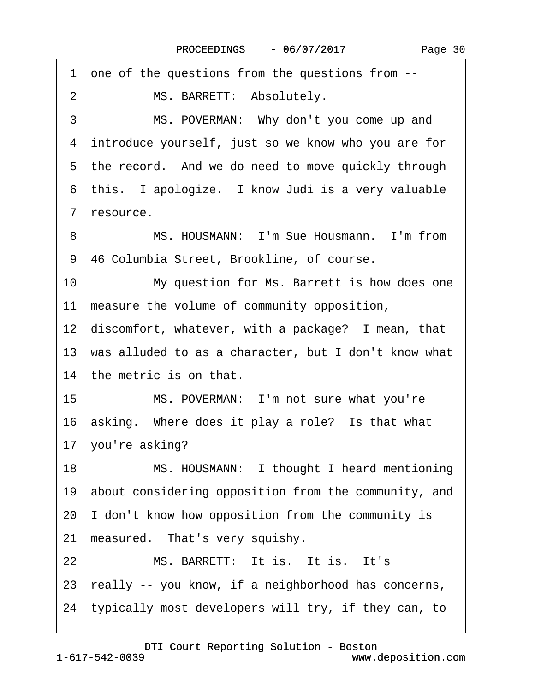·1· one of the questions from the questions from -- 2 MS. BARRETT: Absolutely. 3 MS. POVERMAN: Why don't you come up and 4 introduce yourself, just so we know who you are for 5 the record. And we do need to move quickly through 6 this. I apologize. I know Judi is a very valuable 7 resource. 8 MS. HOUSMANN: I'm Sue Housmann. I'm from 9 46 Columbia Street, Brookline, of course. 10 My question for Ms. Barrett is how does one 11 measure the volume of community opposition, 12 discomfort, whatever, with a package? I mean, that 13 was alluded to as a character, but I don't know what 14 the metric is on that. 15 MS. POVERMAN: I'm not sure what you're 16 asking. Where does it play a role? Is that what 17 you're asking? 18 MS. HOUSMANN: I thought I heard mentioning 19 about considering opposition from the community, and 20· I don't know how opposition from the community is 21 measured. That's very squishy. 22 MS. BARRETT: It is. It is. It's 23· really -- you know, if a neighborhood has concerns, 24· typically most developers will try, if they can, to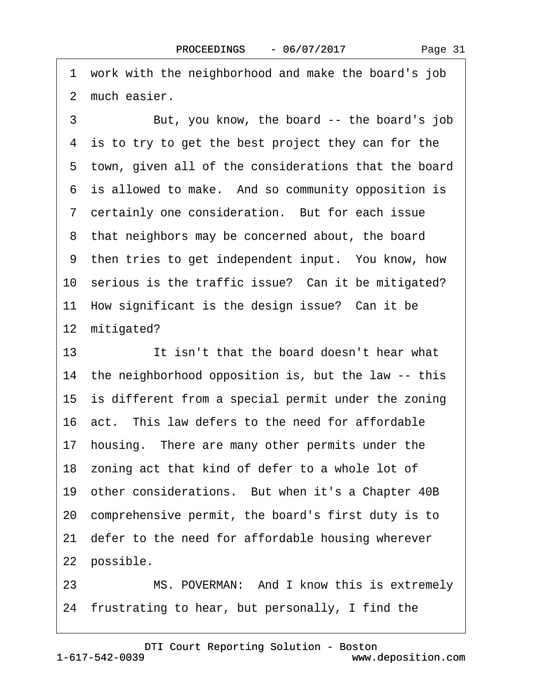·1· work with the neighborhood and make the board's job 2 much easier.

3 But, you know, the board -- the board's job 4 is to try to get the best project they can for the 5 town, given all of the considerations that the board 6 is allowed to make. And so community opposition is ·7· certainly one consideration.· But for each issue 8 that neighbors may be concerned about, the board 9 then tries to get independent input. You know, how 10 serious is the traffic issue? Can it be mitigated? 11 How significant is the design issue? Can it be 12 mitigated?

13 **It isn't that the board doesn't hear what** 14 the neighborhood opposition is, but the law -- this 15 is different from a special permit under the zoning 16· act.· This law defers to the need for affordable 17 housing. There are many other permits under the 18 zoning act that kind of defer to a whole lot of 19 other considerations. But when it's a Chapter 40B 20· comprehensive permit, the board's first duty is to 21 defer to the need for affordable housing wherever 22 possible.

23 MS. POVERMAN: And I know this is extremely 24 frustrating to hear, but personally, I find the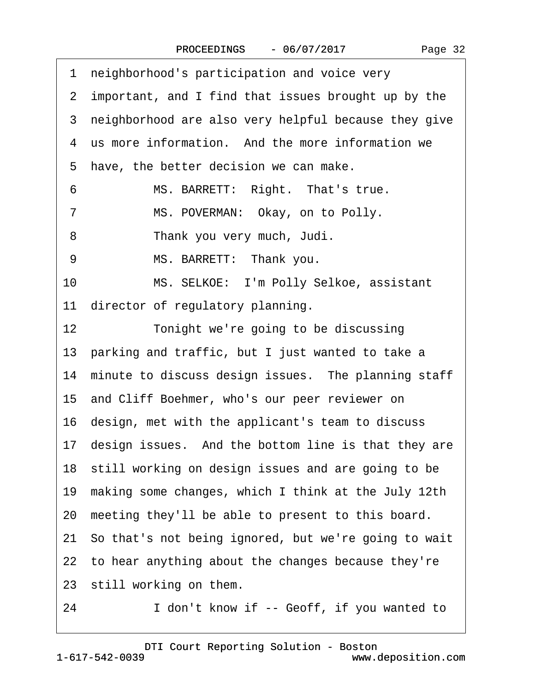|  | Page 32 |
|--|---------|
|--|---------|

|    | 1 neighborhood's participation and voice very           |
|----|---------------------------------------------------------|
|    | 2 important, and I find that issues brought up by the   |
|    | 3 neighborhood are also very helpful because they give  |
|    | 4 us more information. And the more information we      |
|    | 5 have, the better decision we can make.                |
| 6  | MS. BARRETT: Right. That's true.                        |
| 7  | MS. POVERMAN: Okay, on to Polly.                        |
| 8  | Thank you very much, Judi.                              |
| 9  | MS. BARRETT: Thank you.                                 |
| 10 | MS. SELKOE: I'm Polly Selkoe, assistant                 |
|    | 11 director of regulatory planning.                     |
| 12 | Tonight we're going to be discussing                    |
|    | 13 parking and traffic, but I just wanted to take a     |
|    | 14 minute to discuss design issues. The planning staff  |
|    | 15 and Cliff Boehmer, who's our peer reviewer on        |
|    | 16 design, met with the applicant's team to discuss     |
|    | 17 design issues. And the bottom line is that they are  |
|    | 18 still working on design issues and are going to be   |
|    | 19 making some changes, which I think at the July 12th  |
|    | 20 meeting they'll be able to present to this board.    |
|    | 21 So that's not being ignored, but we're going to wait |
|    | 22 to hear anything about the changes because they're   |
|    | 23 still working on them.                               |
|    |                                                         |

24 I don't know if -- Geoff, if you wanted to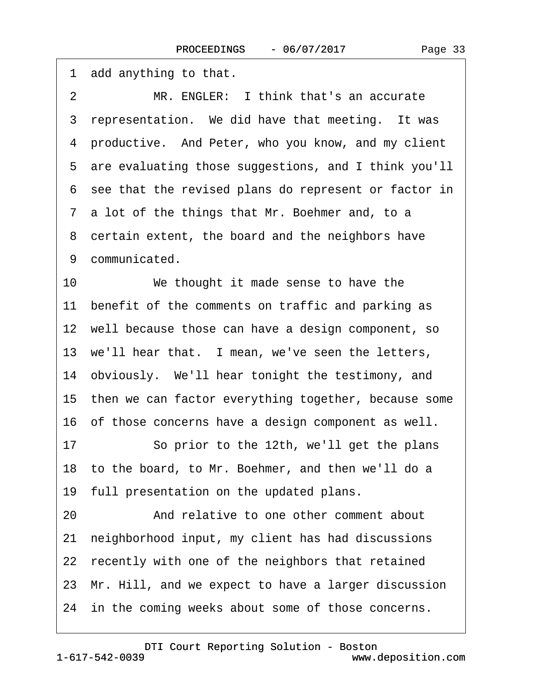| 1 add anything to that.                                  |
|----------------------------------------------------------|
| MR. ENGLER: I think that's an accurate<br>$\overline{2}$ |
| 3 representation. We did have that meeting. It was       |
| 4 productive. And Peter, who you know, and my client     |
| 5 are evaluating those suggestions, and I think you'll   |
| 6 see that the revised plans do represent or factor in   |
| 7 a lot of the things that Mr. Boehmer and, to a         |
| 8 certain extent, the board and the neighbors have       |
| 9 communicated.                                          |
| 10<br>We thought it made sense to have the               |
| 11 benefit of the comments on traffic and parking as     |
| 12 well because those can have a design component, so    |
| 13 we'll hear that. I mean, we've seen the letters,      |
| 14 obviously. We'll hear tonight the testimony, and      |
| 15 then we can factor everything together, because some  |
| 16 of those concerns have a design component as well.    |
| So prior to the 12th, we'll get the plans<br>17          |
| 18 to the board, to Mr. Boehmer, and then we'll do a     |
| 19 full presentation on the updated plans.               |
| And relative to one other comment about<br>20            |
| neighborhood input, my client has had discussions<br>21  |
| 22 recently with one of the neighbors that retained      |
| 23 Mr. Hill, and we expect to have a larger discussion   |
| 24 in the coming weeks about some of those concerns.     |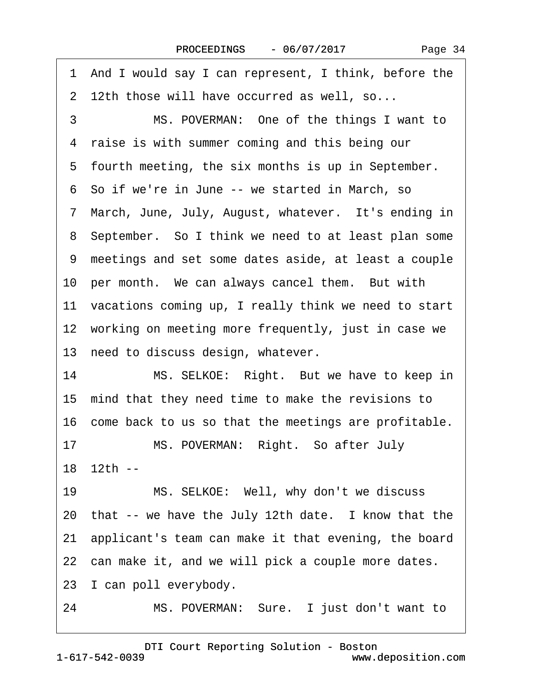Page 34

·1· And I would say I can represent, I think, before the 2 12th those will have occurred as well, so...

3 MS. POVERMAN: One of the things I want to 4 raise is with summer coming and this being our 5 fourth meeting, the six months is up in September. ·6· So if we're in June -- we started in March, so 7 March, June, July, August, whatever. It's ending in 8 September. So I think we need to at least plan some ·9· meetings and set some dates aside, at least a couple 10 per month. We can always cancel them. But with 11 vacations coming up, I really think we need to start 12 working on meeting more frequently, just in case we 13 need to discuss design, whatever.

14 MS. SELKOE: Right. But we have to keep in 15 mind that they need time to make the revisions to 16 come back to us so that the meetings are profitable.

17 MS. POVERMAN: Right. So after July 18 12th --

19 MS. SELKOE: Well, why don't we discuss 20 that -- we have the July 12th date. I know that the 21· applicant's team can make it that evening, the board 22 can make it, and we will pick a couple more dates. 23 I can poll everybody.

24 MS. POVERMAN: Sure. I just don't want to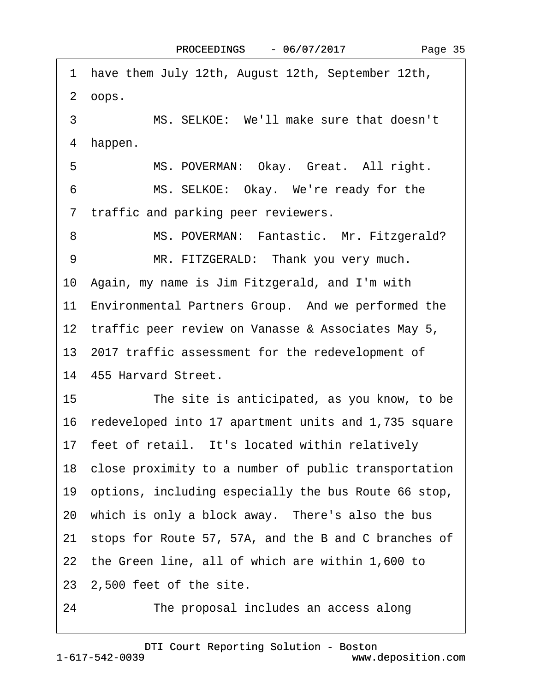| 1 have them July 12th, August 12th, September 12th,            |
|----------------------------------------------------------------|
| 2 oops.                                                        |
| MS. SELKOE: We'll make sure that doesn't<br>3                  |
| 4 happen.                                                      |
| 5<br>MS. POVERMAN: Okay. Great. All right.                     |
| MS. SELKOE: Okay. We're ready for the<br>6                     |
| 7 traffic and parking peer reviewers.                          |
| MS. POVERMAN: Fantastic. Mr. Fitzgerald?<br>8                  |
| MR. FITZGERALD: Thank you very much.<br>9                      |
| 10 Again, my name is Jim Fitzgerald, and I'm with              |
| 11 Environmental Partners Group. And we performed the          |
| 12 traffic peer review on Vanasse & Associates May 5,          |
| 13 2017 traffic assessment for the redevelopment of            |
| 14 455 Harvard Street.                                         |
| 15 <sub>1</sub><br>The site is anticipated, as you know, to be |
| 16 redeveloped into 17 apartment units and 1,735 square        |
| 17 feet of retail. It's located within relatively              |
| 18 close proximity to a number of public transportation        |
| 19 options, including especially the bus Route 66 stop,        |
| 20 which is only a block away. There's also the bus            |
| 21 stops for Route 57, 57A, and the B and C branches of        |
| 22 the Green line, all of which are within 1,600 to            |
| 23 2,500 feet of the site.                                     |
| The proposal includes an access along<br>24                    |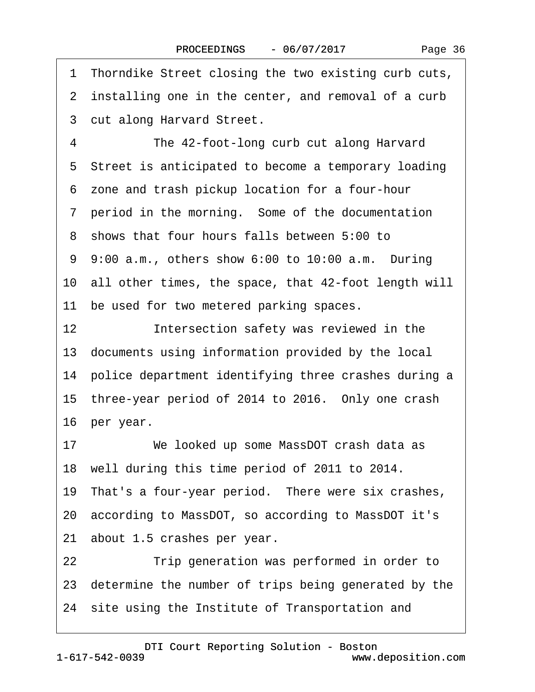·1· Thorndike Street closing the two existing curb cuts, 2 installing one in the center, and removal of a curb 3 cut along Harvard Street. 4 The 42-foot-long curb cut along Harvard 5 Street is anticipated to become a temporary loading ·6· zone and trash pickup location for a four-hour 7 period in the morning. Some of the documentation ·8· shows that four hours falls between 5:00 to 9 9:00 a.m., others show 6:00 to 10:00 a.m. During 10· all other times, the space, that 42-foot length will 11 be used for two metered parking spaces. 12 **Intersection safety was reviewed in the** 13 documents using information provided by the local 14 police department identifying three crashes during a 15 three-year period of 2014 to 2016. Only one crash 16 per year. 17 We looked up some MassDOT crash data as 18 well during this time period of 2011 to 2014. 19 That's a four-year period. There were six crashes, 20· according to MassDOT, so according to MassDOT it's 21 about 1.5 crashes per year. 22 **I** Trip generation was performed in order to 23· determine the number of trips being generated by the 24 site using the Institute of Transportation and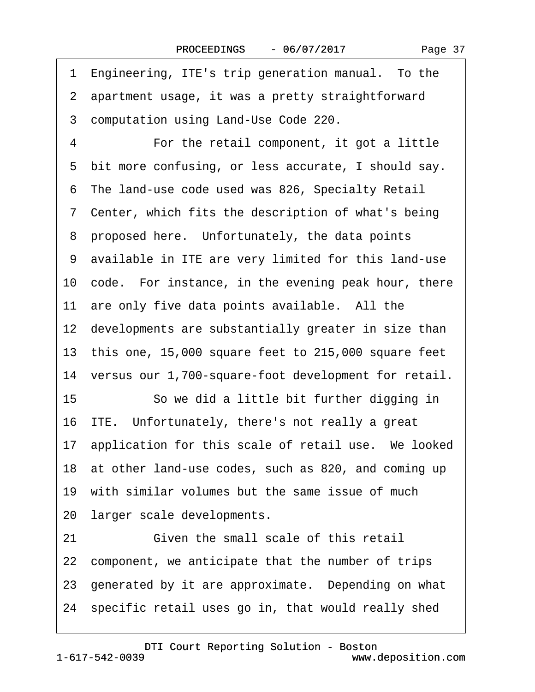1 Engineering, ITE's trip generation manual. To the 2 apartment usage, it was a pretty straightforward ·3· computation using Land-Use Code 220. 4 For the retail component, it got a little 5 bit more confusing, or less accurate, I should say. ·6· The land-use code used was 826, Specialty Retail 7 Center, which fits the description of what's being 8 proposed here. Unfortunately, the data points ·9· available in ITE are very limited for this land-use 10 code. For instance, in the evening peak hour, there 11 are only five data points available. All the 12 developments are substantially greater in size than 13· this one, 15,000 square feet to 215,000 square feet 14 versus our 1,700-square-foot development for retail. 15 So we did a little bit further digging in 16 ITE. Unfortunately, there's not really a great 17 application for this scale of retail use. We looked 18 at other land-use codes, such as 820, and coming up 19 with similar volumes but the same issue of much 20 larger scale developments. 21 **· • Given the small scale of this retail** 22 component, we anticipate that the number of trips 23 generated by it are approximate. Depending on what 24· specific retail uses go in, that would really shed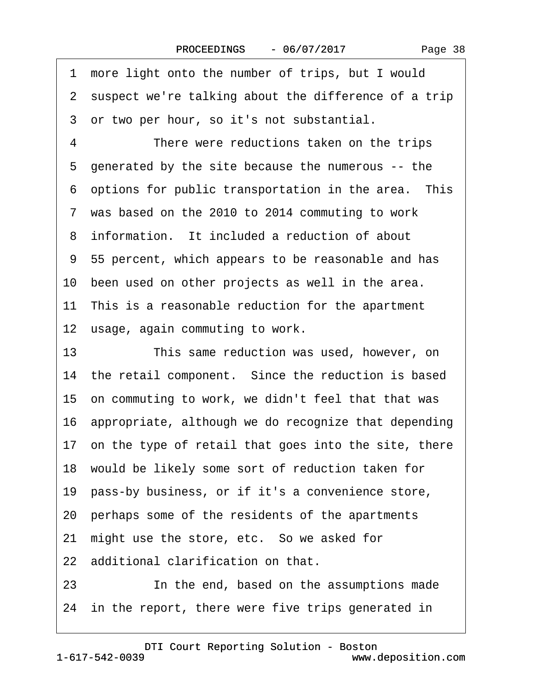1 more light onto the number of trips, but I would 2 suspect we're talking about the difference of a trip ·3· or two per hour, so it's not substantial. 4 There were reductions taken on the trips ·5· generated by the site because the numerous -- the 6 options for public transportation in the area. This 7 was based on the 2010 to 2014 commuting to work 8 information. It included a reduction of about ·9· 55 percent, which appears to be reasonable and has 10 been used on other projects as well in the area. 11 This is a reasonable reduction for the apartment 12 usage, again commuting to work. 13 This same reduction was used, however, on 14 the retail component. Since the reduction is based 15· on commuting to work, we didn't feel that that was 16· appropriate, although we do recognize that depending 17 on the type of retail that goes into the site, there 18 would be likely some sort of reduction taken for 19 pass-by business, or if it's a convenience store, 20· perhaps some of the residents of the apartments 21 might use the store, etc. So we asked for 22 additional clarification on that. 23 In the end, based on the assumptions made 24 in the report, there were five trips generated in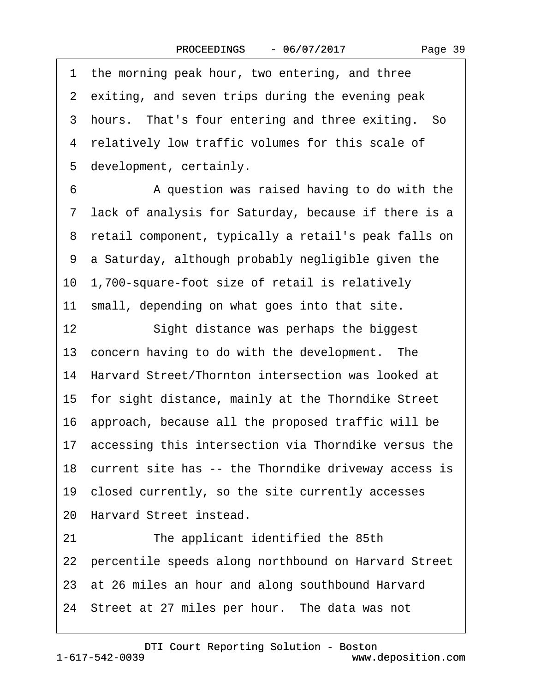Page 39

1 the morning peak hour, two entering, and three 2 exiting, and seven trips during the evening peak 3 hours. That's four entering and three exiting. So 4 relatively low traffic volumes for this scale of 5 development, certainly.

6 • • A question was raised having to do with the ·7· lack of analysis for Saturday, because if there is a 8 retail component, typically a retail's peak falls on ·9· a Saturday, although probably negligible given the 10· 1,700-square-foot size of retail is relatively 11 small, depending on what goes into that site. 12 Sight distance was perhaps the biggest 13 concern having to do with the development. The 14 Harvard Street/Thornton intersection was looked at 15· for sight distance, mainly at the Thorndike Street 16· approach, because all the proposed traffic will be 17 accessing this intersection via Thorndike versus the 18 current site has -- the Thorndike driveway access is 19· closed currently, so the site currently accesses 20 Harvard Street instead. 21 The applicant identified the 85th 22 percentile speeds along northbound on Harvard Street 23 at 26 miles an hour and along southbound Harvard

24 Street at 27 miles per hour. The data was not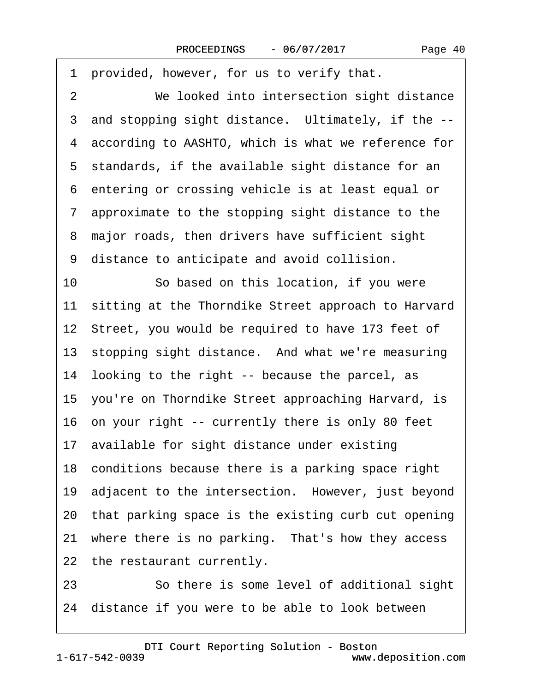| 1 provided, however, for us to verify that.            |
|--------------------------------------------------------|
| 2<br>We looked into intersection sight distance        |
| 3 and stopping sight distance. Ultimately, if the --   |
| 4 according to AASHTO, which is what we reference for  |
| 5 standards, if the available sight distance for an    |
| 6 entering or crossing vehicle is at least equal or    |
| 7 approximate to the stopping sight distance to the    |
| 8 major roads, then drivers have sufficient sight      |
| 9 distance to anticipate and avoid collision.          |
| 10<br>So based on this location, if you were           |
| 11 sitting at the Thorndike Street approach to Harvard |
| 12 Street, you would be required to have 173 feet of   |
| 13 stopping sight distance. And what we're measuring   |
| 14 looking to the right -- because the parcel, as      |
| 15 you're on Thorndike Street approaching Harvard, is  |
| 16 on your right -- currently there is only 80 feet    |
| 17 available for sight distance under existing         |
| 18 conditions because there is a parking space right   |
| 19 adjacent to the intersection. However, just beyond  |
| 20 that parking space is the existing curb cut opening |
| 21 where there is no parking. That's how they access   |
| 22 the restaurant currently.                           |
| 23<br>So there is some level of additional sight       |

24 distance if you were to be able to look between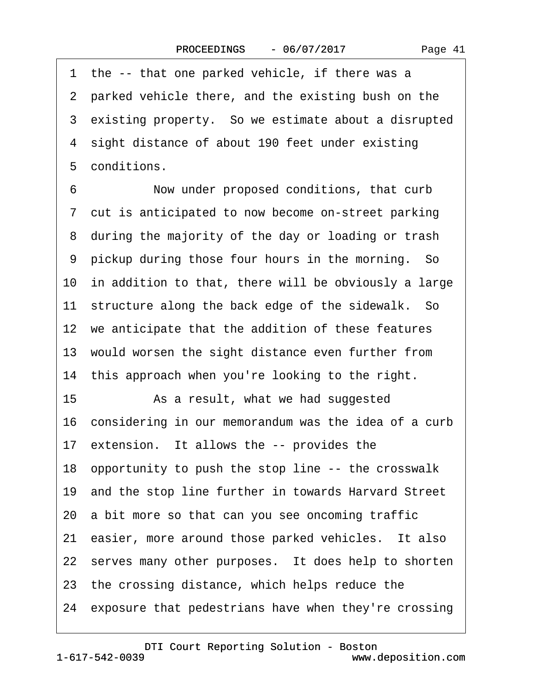Page 41

1 the -- that one parked vehicle, if there was a 2 parked vehicle there, and the existing bush on the 3 existing property. So we estimate about a disrupted 4 sight distance of about 190 feet under existing 5 conditions.

6 Now under proposed conditions, that curb 7 cut is anticipated to now become on-street parking 8 during the majority of the day or loading or trash 9 pickup during those four hours in the morning. So 10 in addition to that, there will be obviously a large 11 structure along the back edge of the sidewalk. So 12 we anticipate that the addition of these features 13 would worsen the sight distance even further from 14 this approach when you're looking to the right. 15 • As a result, what we had suggested 16· considering in our memorandum was the idea of a curb 17 extension. It allows the -- provides the 18· opportunity to push the stop line -- the crosswalk 19· and the stop line further in towards Harvard Street 20 a bit more so that can you see oncoming traffic 21 easier, more around those parked vehicles. It also 22 serves many other purposes. It does help to shorten 23 the crossing distance, which helps reduce the 24 exposure that pedestrians have when they're crossing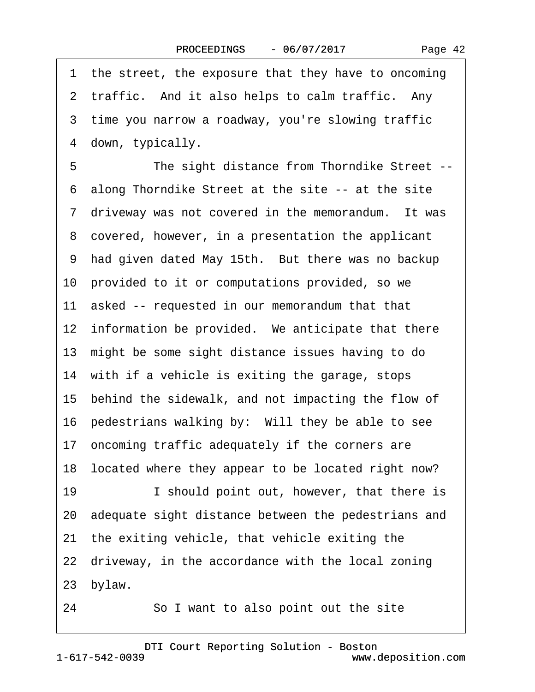1 the street, the exposure that they have to oncoming 2 traffic. And it also helps to calm traffic. Any 3 time you narrow a roadway, you're slowing traffic 4 down, typically. 5 The sight distance from Thorndike Street --·6· along Thorndike Street at the site -- at the site 7 driveway was not covered in the memorandum. It was 8 covered, however, in a presentation the applicant 9 had given dated May 15th. But there was no backup 10 provided to it or computations provided, so we 11 asked -- requested in our memorandum that that 12 information be provided. We anticipate that there 13· might be some sight distance issues having to do 14 with if a vehicle is exiting the garage, stops 15 behind the sidewalk, and not impacting the flow of 16 pedestrians walking by: Will they be able to see 17 oncoming traffic adequately if the corners are 18 located where they appear to be located right now? 19 **I** should point out, however, that there is 20· adequate sight distance between the pedestrians and 21 the exiting vehicle, that vehicle exiting the 22 driveway, in the accordance with the local zoning 23 bylaw. 24 **· · So I want to also point out the site**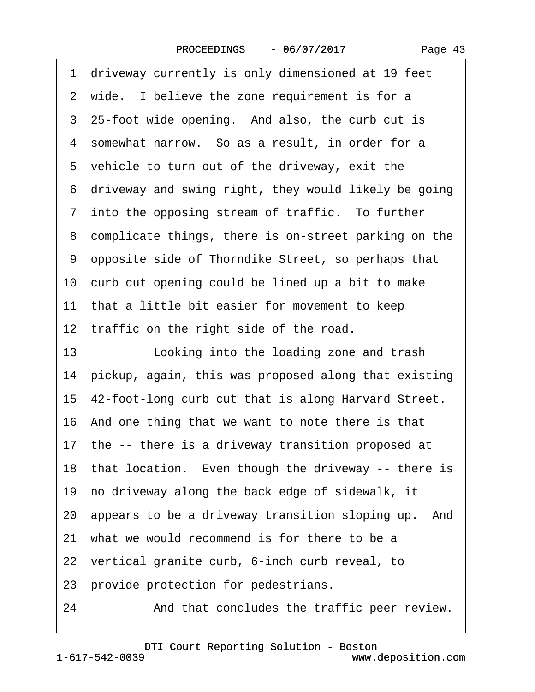Page 43

| 1 driveway currently is only dimensioned at 19 feet     |
|---------------------------------------------------------|
| 2 wide. I believe the zone requirement is for a         |
| 3 25-foot wide opening. And also, the curb cut is       |
| 4 somewhat narrow. So as a result, in order for a       |
| 5 vehicle to turn out of the driveway, exit the         |
| 6 driveway and swing right, they would likely be going  |
| 7 into the opposing stream of traffic. To further       |
| 8 complicate things, there is on-street parking on the  |
| 9 opposite side of Thorndike Street, so perhaps that    |
| 10 curb cut opening could be lined up a bit to make     |
| 11 that a little bit easier for movement to keep        |
| 12 traffic on the right side of the road.               |
| 13<br>Looking into the loading zone and trash           |
| 14 pickup, again, this was proposed along that existing |
| 15 42-foot-long curb cut that is along Harvard Street.  |
| 16 And one thing that we want to note there is that     |
| 17 the -- there is a driveway transition proposed at    |
| 18 that location. Even though the driveway -- there is  |
| 19 no driveway along the back edge of sidewalk, it      |
| 20 appears to be a driveway transition sloping up. And  |
| 21 what we would recommend is for there to be a         |
| 22 vertical granite curb, 6-inch curb reveal, to        |
| 23 provide protection for pedestrians.                  |
| And that concludes the traffic peer review.<br>24       |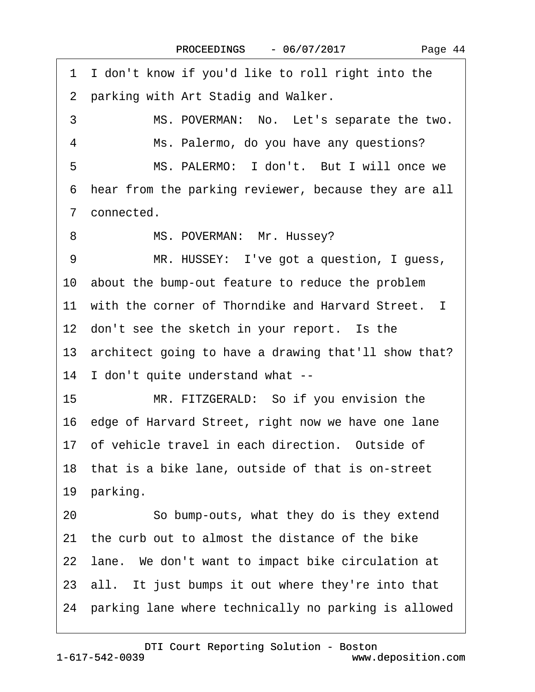1 I don't know if you'd like to roll right into the 2 parking with Art Stadig and Walker. 3 MS. POVERMAN: No. Let's separate the two. 4 Ms. Palermo, do you have any questions? 5 MS. PALERMO: I don't. But I will once we ·6· hear from the parking reviewer, because they are all 7 connected. 8 MS. POVERMAN: Mr. Hussey? 9 MR. HUSSEY: I've got a question, I guess, 10 about the bump-out feature to reduce the problem 11 with the corner of Thorndike and Harvard Street. I 12 don't see the sketch in your report. Is the 13 architect going to have a drawing that'll show that? 14 I don't quite understand what --15 MR. FITZGERALD: So if you envision the 16 edge of Harvard Street, right now we have one lane 17 of vehicle travel in each direction. Outside of 18· that is a bike lane, outside of that is on-street 19 parking. 20 So bump-outs, what they do is they extend 21 the curb out to almost the distance of the bike 22 Iane. We don't want to impact bike circulation at 23 all. It just bumps it out where they're into that 24 parking lane where technically no parking is allowed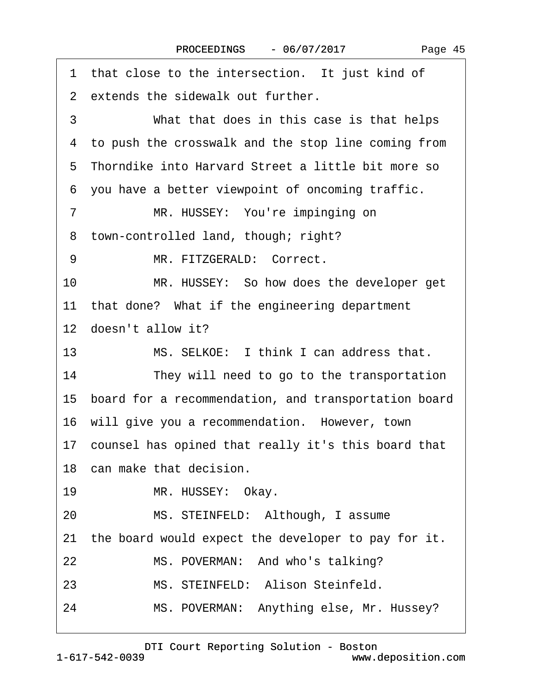| 1 that close to the intersection. It just kind of         |
|-----------------------------------------------------------|
| 2 extends the sidewalk out further.                       |
| 3<br>What that does in this case is that helps            |
| 4 to push the crosswalk and the stop line coming from     |
| 5 Thorndike into Harvard Street a little bit more so      |
| 6 you have a better viewpoint of oncoming traffic.        |
| MR. HUSSEY: You're impinging on<br>7                      |
| town-controlled land, though; right?<br>8                 |
| MR. FITZGERALD: Correct.<br>9                             |
| 10<br>MR. HUSSEY: So how does the developer get           |
| 11 that done? What if the engineering department          |
| 12 doesn't allow it?                                      |
| MS. SELKOE: I think I can address that.<br>13             |
| 14<br>They will need to go to the transportation          |
| 15 board for a recommendation, and transportation board   |
| 16 will give you a recommendation. However, town          |
| 17 counsel has opined that really it's this board that    |
| 18 can make that decision.                                |
| MR. HUSSEY: Okay.<br>19                                   |
| MS. STEINFELD: Although, I assume<br>20                   |
| the board would expect the developer to pay for it.<br>21 |
| MS. POVERMAN: And who's talking?<br>22                    |
| MS. STEINFELD: Alison Steinfeld.<br>23                    |
| MS. POVERMAN: Anything else, Mr. Hussey?<br>24            |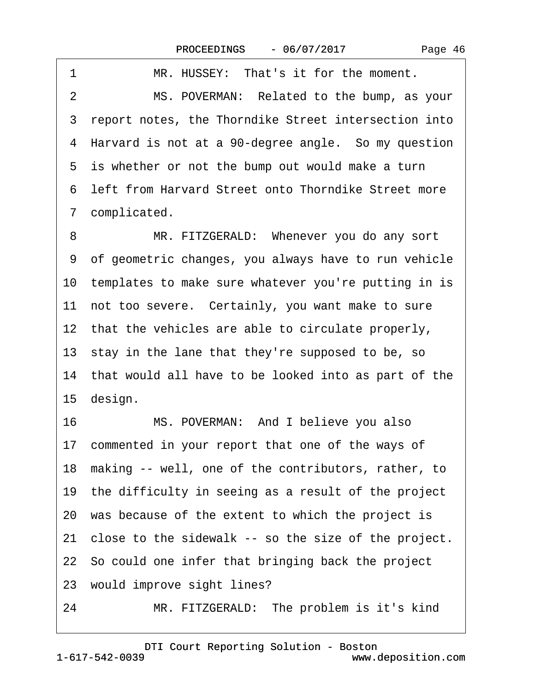| 1 | MR. HUSSEY: That's it for the moment.                                                                                                                                                                                                                                                                                                                                                                                                                      |
|---|------------------------------------------------------------------------------------------------------------------------------------------------------------------------------------------------------------------------------------------------------------------------------------------------------------------------------------------------------------------------------------------------------------------------------------------------------------|
| 2 | MS. POVERMAN: Related to the bump, as your                                                                                                                                                                                                                                                                                                                                                                                                                 |
|   | 3 report notes, the Thorndike Street intersection into                                                                                                                                                                                                                                                                                                                                                                                                     |
|   | 4 Harvard is not at a 90-degree angle. So my question                                                                                                                                                                                                                                                                                                                                                                                                      |
|   | 5 is whether or not the bump out would make a turn                                                                                                                                                                                                                                                                                                                                                                                                         |
|   | 6 left from Harvard Street onto Thorndike Street more                                                                                                                                                                                                                                                                                                                                                                                                      |
|   | 7 complicated.                                                                                                                                                                                                                                                                                                                                                                                                                                             |
|   | $\mathbf{Z} \cap \mathbf{Z} \cap \mathbf{Z} \cap \mathbf{Z} \cap \mathbf{Z} \cap \mathbf{Z} \cap \mathbf{Z} \cap \mathbf{Z} \cap \mathbf{Z} \cap \mathbf{Z} \cap \mathbf{Z} \cap \mathbf{Z} \cap \mathbf{Z} \cap \mathbf{Z} \cap \mathbf{Z} \cap \mathbf{Z} \cap \mathbf{Z} \cap \mathbf{Z} \cap \mathbf{Z} \cap \mathbf{Z} \cap \mathbf{Z} \cap \mathbf{Z} \cap \mathbf{Z} \cap \mathbf{Z} \cap \mathbf{Z} \cap \mathbf{Z} \cap \mathbf{Z} \cap \mathbf{$ |

8 MR. FITZGERALD: Whenever you do any sort ·9· of geometric changes, you always have to run vehicle 10 templates to make sure whatever you're putting in is 11 not too severe. Certainly, you want make to sure 12 that the vehicles are able to circulate properly, 13 stay in the lane that they're supposed to be, so 14 that would all have to be looked into as part of the 15 design.

16 MS. POVERMAN: And I believe you also 17 commented in your report that one of the ways of 18 making -- well, one of the contributors, rather, to 19 the difficulty in seeing as a result of the project 20· was because of the extent to which the project is 21 close to the sidewalk -- so the size of the project. 22· So could one infer that bringing back the project 23 would improve sight lines? 24 MR. FITZGERALD: The problem is it's kind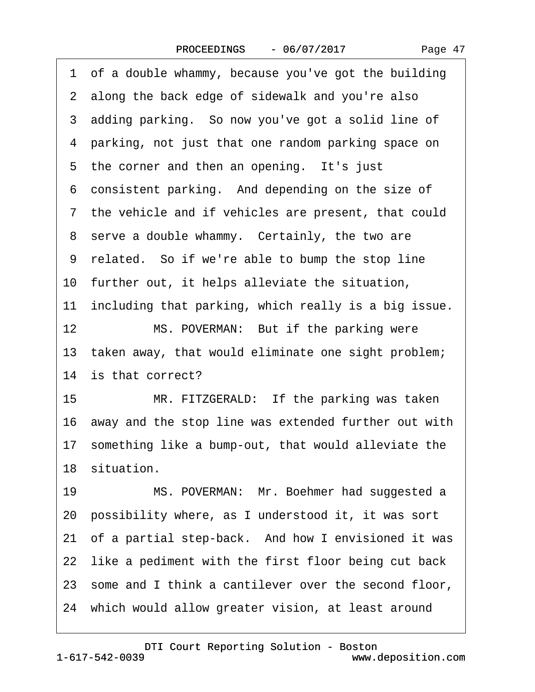·1· of a double whammy, because you've got the building 2 along the back edge of sidewalk and you're also 3 adding parking. So now you've got a solid line of 4 parking, not just that one random parking space on 5 the corner and then an opening. It's just 6 consistent parking. And depending on the size of 7 the vehicle and if vehicles are present, that could 8 serve a double whammy. Certainly, the two are 9 related. So if we're able to bump the stop line 10 further out, it helps alleviate the situation, 11 including that parking, which really is a big issue. 12 MS. POVERMAN: But if the parking were 13 taken away, that would eliminate one sight problem; 14 is that correct? 15 MR. FITZGERALD: If the parking was taken 16· away and the stop line was extended further out with 17 something like a bump-out, that would alleviate the 18 situation. 19 MS. POVERMAN: Mr. Boehmer had suggested a 20· possibility where, as I understood it, it was sort 21 of a partial step-back. And how I envisioned it was 22 like a pediment with the first floor being cut back 23· some and I think a cantilever over the second floor, 24 which would allow greater vision, at least around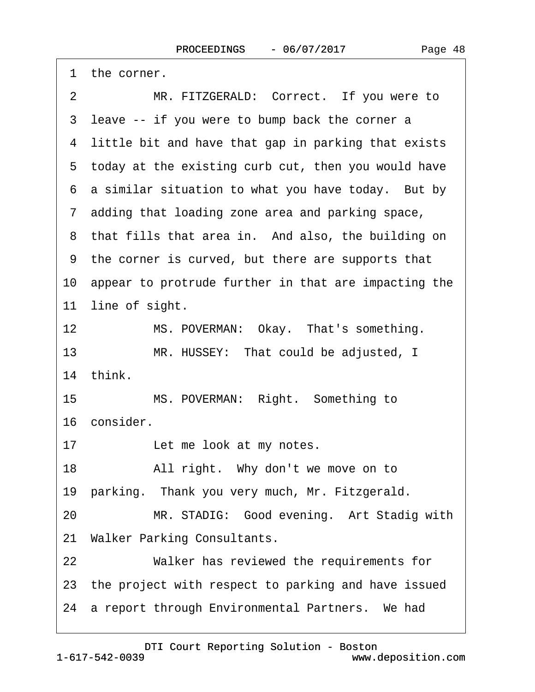2 MR. FITZGERALD: Correct. If you were to 3 leave -- if you were to bump back the corner a 4 little bit and have that gap in parking that exists 5 today at the existing curb cut, then you would have 6 a similar situation to what you have today. But by ·7· adding that loading zone area and parking space, 8 that fills that area in. And also, the building on ·9· the corner is curved, but there are supports that 10· appear to protrude further in that are impacting the 11 line of sight. 12 MS. POVERMAN: Okay. That's something. 13 MR. HUSSEY: That could be adjusted, I 14· think. 15 MS. POVERMAN: Right. Something to 16 consider. 17 Let me look at my notes.

1 the corner.

18 • All right. Why don't we move on to

19 parking. Thank you very much, Mr. Fitzgerald.

20 MR. STADIG: Good evening. Art Stadig with

21 Walker Parking Consultants.

22 Walker has reviewed the requirements for

23 the project with respect to parking and have issued

24 a report through Environmental Partners. We had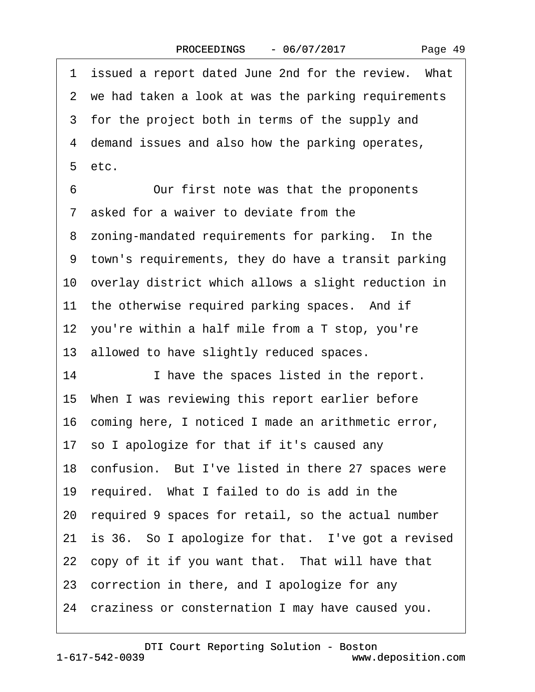1 issued a report dated June 2nd for the review. What 2 we had taken a look at was the parking requirements 3 for the project both in terms of the supply and 4 demand issues and also how the parking operates,  $5$  etc. 6 Our first note was that the proponents ·7· asked for a waiver to deviate from the 8 zoning-mandated requirements for parking. In the ·9· town's requirements, they do have a transit parking 10 overlay district which allows a slight reduction in 11 the otherwise required parking spaces. And if 12 you're within a half mile from a  $T$  stop, you're 13 allowed to have slightly reduced spaces. 14 I have the spaces listed in the report. 15· When I was reviewing this report earlier before 16 coming here, I noticed I made an arithmetic error, 17· so I apologize for that if it's caused any 18 confusion. But I've listed in there 27 spaces were 19 required. What I failed to do is add in the 20· required 9 spaces for retail, so the actual number 21 is 36. So I apologize for that. I've got a revised 22 copy of it if you want that. That will have that 23 correction in there, and I apologize for any 24· craziness or consternation I may have caused you.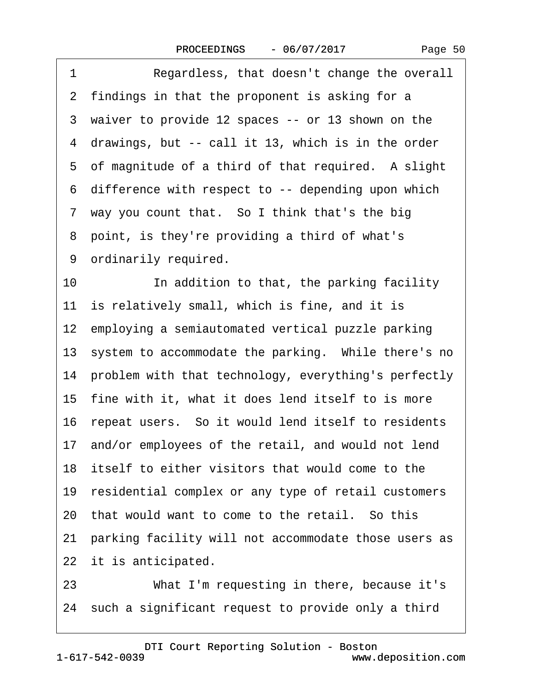|  | Page 50 |  |
|--|---------|--|
|--|---------|--|

| 1  | Regardless, that doesn't change the overall             |
|----|---------------------------------------------------------|
|    | 2 findings in that the proponent is asking for a        |
|    | 3 waiver to provide 12 spaces -- or 13 shown on the     |
|    | 4 drawings, but -- call it 13, which is in the order    |
|    | 5 of magnitude of a third of that required. A slight    |
|    | 6 difference with respect to -- depending upon which    |
|    | 7 way you count that. So I think that's the big         |
|    | 8 point, is they're providing a third of what's         |
|    | 9 ordinarily required.                                  |
| 10 | In addition to that, the parking facility               |
|    | 11 is relatively small, which is fine, and it is        |
|    | 12 employing a semiautomated vertical puzzle parking    |
|    | 13 system to accommodate the parking. While there's no  |
|    | 14 problem with that technology, everything's perfectly |
|    | 15 fine with it, what it does lend itself to is more    |
|    | 16 repeat users. So it would lend itself to residents   |
|    | 17 and/or employees of the retail, and would not lend   |
|    | 18 itself to either visitors that would come to the     |
|    | 19 residential complex or any type of retail customers  |
|    | 20 that would want to come to the retail. So this       |
|    | 21 parking facility will not accommodate those users as |
|    | 22 it is anticipated.                                   |
| 23 | What I'm requesting in there, because it's              |
|    | 24 such a significant request to provide only a third   |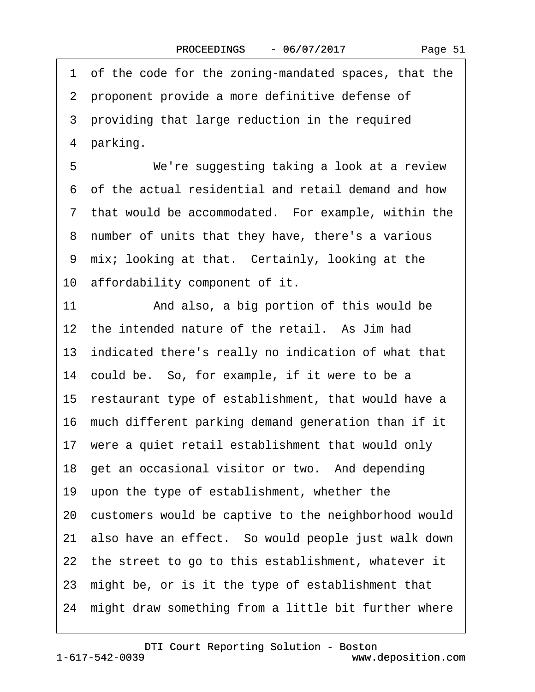·1· of the code for the zoning-mandated spaces, that the 2 proponent provide a more definitive defense of 3 providing that large reduction in the required 4 parking. 5 We're suggesting taking a look at a review ·6· of the actual residential and retail demand and how 7 that would be accommodated. For example, within the 8 number of units that they have, there's a various 9 mix; looking at that. Certainly, looking at the 10 affordability component of it. 11 • And also, a big portion of this would be 12 the intended nature of the retail. As Jim had 13· indicated there's really no indication of what that 14 could be. So, for example, if it were to be a 15 restaurant type of establishment, that would have a 16· much different parking demand generation than if it 17 were a quiet retail establishment that would only 18 get an occasional visitor or two. And depending 19· upon the type of establishment, whether the 20· customers would be captive to the neighborhood would 21· also have an effect.· So would people just walk down 22 the street to go to this establishment, whatever it 23· might be, or is it the type of establishment that 24 might draw something from a little bit further where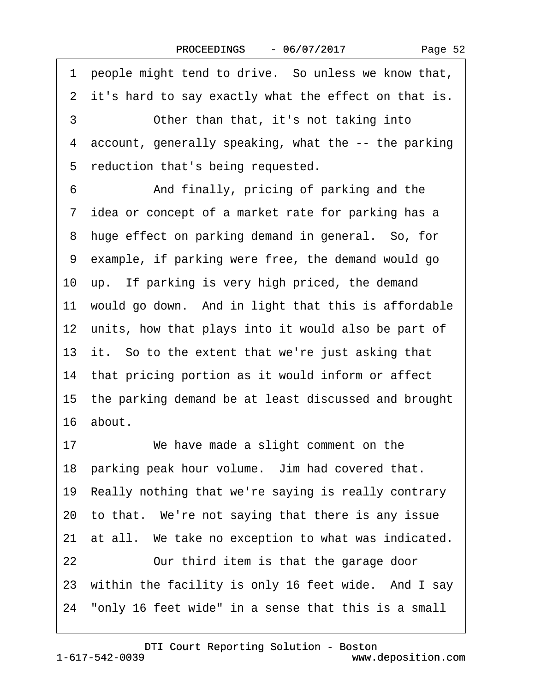Page 52

1 people might tend to drive. So unless we know that, 2 it's hard to say exactly what the effect on that is. 3 **• Other than that, it's not taking into** 4 account, generally speaking, what the -- the parking 5 reduction that's being requested. 6 • • And finally, pricing of parking and the 7 idea or concept of a market rate for parking has a 8 huge effect on parking demand in general. So, for ·9· example, if parking were free, the demand would go 10 up. If parking is very high priced, the demand 11 would go down. And in light that this is affordable 12 units, how that plays into it would also be part of 13 it. So to the extent that we're just asking that 14 that pricing portion as it would inform or affect 15· the parking demand be at least discussed and brought 16· about. 17 We have made a slight comment on the 18 parking peak hour volume. Jim had covered that. 19 Really nothing that we're saying is really contrary 20 to that. We're not saying that there is any issue 21 at all. We take no exception to what was indicated. 22 **Durit Construst** Our third item is that the garage door 23 within the facility is only 16 feet wide. And I say 24· "only 16 feet wide" in a sense that this is a small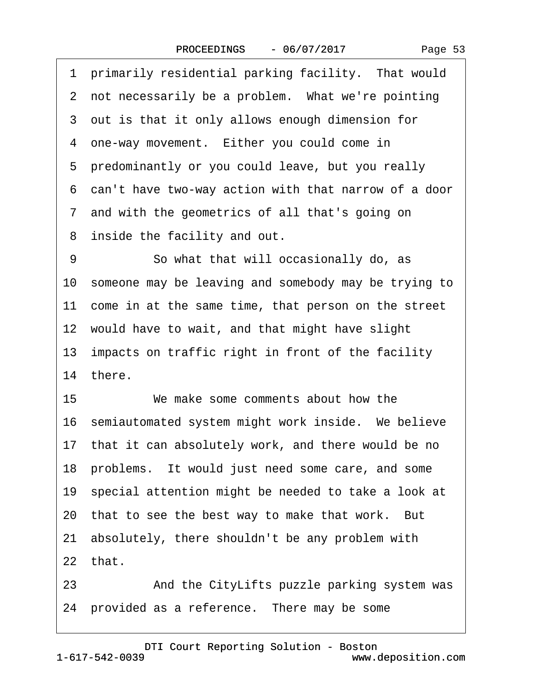1 primarily residential parking facility. That would 2 not necessarily be a problem. What we're pointing 3 out is that it only allows enough dimension for 4 one-way movement. Either you could come in 5 predominantly or you could leave, but you really ·6· can't have two-way action with that narrow of a door 7 and with the geometrics of all that's going on 8 inside the facility and out. 9 **So what that will occasionally do, as** 10· someone may be leaving and somebody may be trying to 11 come in at the same time, that person on the street 12 would have to wait, and that might have slight 13 impacts on traffic right in front of the facility 14 there. 15 We make some comments about how the 16 semiautomated system might work inside. We believe 17 that it can absolutely work, and there would be no 18 problems. It would just need some care, and some 19 special attention might be needed to take a look at 20 that to see the best way to make that work. But 21· absolutely, there shouldn't be any problem with  $22$  that. 23 • And the CityLifts puzzle parking system was

24 provided as a reference. There may be some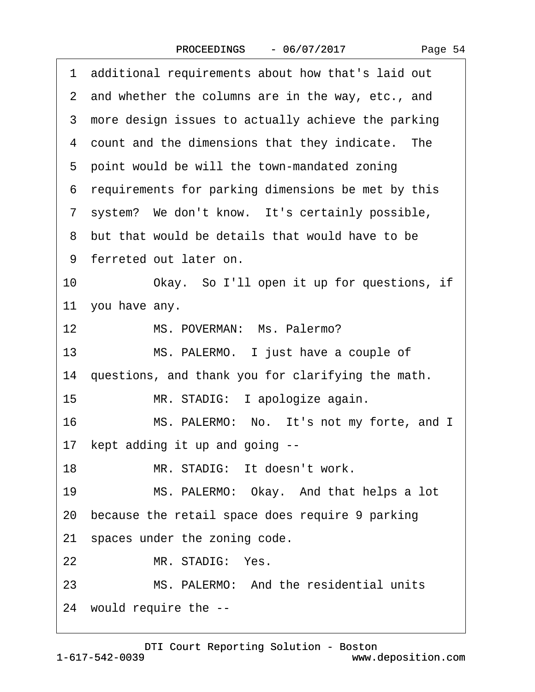|  | Page 54 |  |
|--|---------|--|
|--|---------|--|

| 1 additional requirements about how that's laid out  |
|------------------------------------------------------|
| 2 and whether the columns are in the way, etc., and  |
| 3 more design issues to actually achieve the parking |
| 4 count and the dimensions that they indicate. The   |
| 5 point would be will the town-mandated zoning       |
| 6 requirements for parking dimensions be met by this |
| 7 system? We don't know. It's certainly possible,    |
| 8 but that would be details that would have to be    |
| 9 ferreted out later on.                             |
| 10<br>Okay. So I'll open it up for questions, if     |
| 11 you have any.                                     |
| MS. POVERMAN: Ms. Palermo?<br>12                     |
| MS. PALERMO. I just have a couple of<br>13           |
| 14 questions, and thank you for clarifying the math. |
| 15<br>MR. STADIG: I apologize again.                 |
| MS. PALERMO: No. It's not my forte, and I<br>16      |
| 17 kept adding it up and going --                    |
| 18<br>MR. STADIG: It doesn't work.                   |
| MS. PALERMO: Okay. And that helps a lot<br>19        |
| 20 because the retail space does require 9 parking   |
| 21 spaces under the zoning code.                     |
| MR. STADIG: Yes.<br>22                               |
| 23<br>MS. PALERMO: And the residential units         |
| 24 would require the --                              |

1-617-542-0039 [DTI Court Reporting Solution - Boston](http://www.deposition.com) www.deposition.com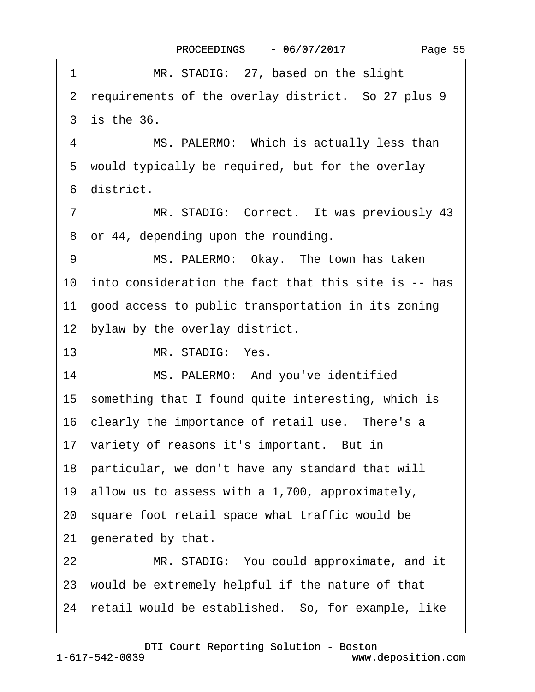|  | Page 55 |  |
|--|---------|--|
|--|---------|--|

| 1              | MR. STADIG: 27, based on the slight                     |
|----------------|---------------------------------------------------------|
|                | 2 requirements of the overlay district. So 27 plus 9    |
|                | 3 is the 36.                                            |
| 4              | MS. PALERMO: Which is actually less than                |
|                | 5 would typically be required, but for the overlay      |
|                | 6 district.                                             |
| $\overline{7}$ | MR. STADIG: Correct. It was previously 43               |
|                | 8 or 44, depending upon the rounding.                   |
| 9              | MS. PALERMO: Okay. The town has taken                   |
|                | 10 into consideration the fact that this site is -- has |
|                | 11 good access to public transportation in its zoning   |
|                | 12 bylaw by the overlay district.                       |
| 13             | MR. STADIG: Yes.                                        |
| 14             | MS. PALERMO: And you've identified                      |
|                | 15 something that I found quite interesting, which is   |
|                | 16 clearly the importance of retail use. There's a      |
|                | 17 variety of reasons it's important. But in            |
|                | 18 particular, we don't have any standard that will     |
|                | 19 allow us to assess with a 1,700, approximately,      |
|                | 20 square foot retail space what traffic would be       |
|                | 21 generated by that.                                   |
| 22             | MR. STADIG: You could approximate, and it               |
|                | 23 would be extremely helpful if the nature of that     |
|                | 24 retail would be established. So, for example, like   |
|                |                                                         |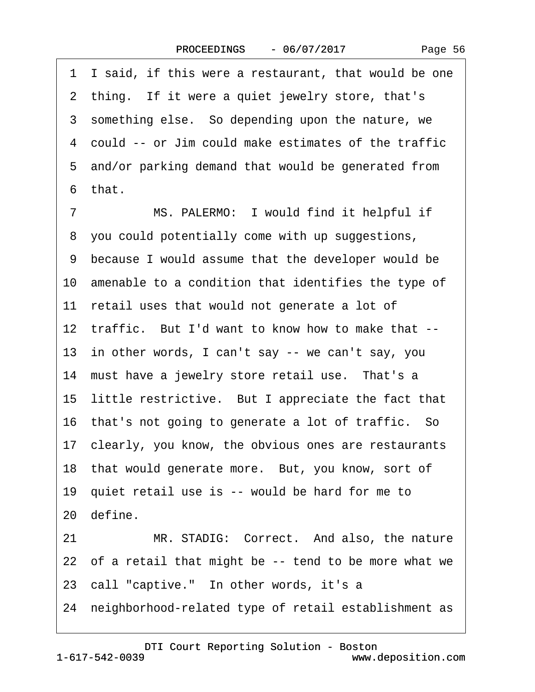1 I said, if this were a restaurant, that would be one 2 thing. If it were a quiet jewelry store, that's 3 something else. So depending upon the nature, we ·4· could -- or Jim could make estimates of the traffic 5 and/or parking demand that would be generated from 6 that. 7 MS. PALERMO: I would find it helpful if 8 you could potentially come with up suggestions, ·9· because I would assume that the developer would be 10 amenable to a condition that identifies the type of 11 retail uses that would not generate a lot of 12 traffic. But I'd want to know how to make that --13 in other words, I can't say -- we can't say, you 14 must have a jewelry store retail use. That's a 15 little restrictive. But I appreciate the fact that 16· that's not going to generate a lot of traffic.· So 17· clearly, you know, the obvious ones are restaurants 18 that would generate more. But, you know, sort of 19 quiet retail use is -- would be hard for me to 20 define. 21 MR. STADIG: Correct. And also, the nature 22 of a retail that might be -- tend to be more what we 23 call "captive." In other words, it's a 24 neighborhood-related type of retail establishment as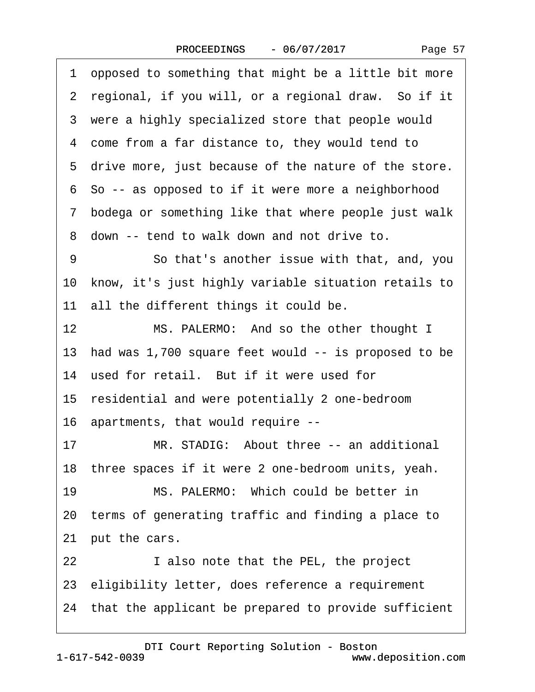|  | Page 57 |  |
|--|---------|--|
|--|---------|--|

| 1  | opposed to something that might be a little bit more    |
|----|---------------------------------------------------------|
|    | 2 regional, if you will, or a regional draw. So if it   |
|    | 3 were a highly specialized store that people would     |
|    | 4 come from a far distance to, they would tend to       |
|    | 5 drive more, just because of the nature of the store.  |
|    | 6 So -- as opposed to if it were more a neighborhood    |
|    | 7 bodega or something like that where people just walk  |
|    | 8 down -- tend to walk down and not drive to.           |
| 9  | So that's another issue with that, and, you             |
|    | 10 know, it's just highly variable situation retails to |
|    | 11 all the different things it could be.                |
| 12 | MS. PALERMO: And so the other thought I                 |
|    | 13 had was 1,700 square feet would -- is proposed to be |
|    | 14 used for retail. But if it were used for             |
|    | 15 residential and were potentially 2 one-bedroom       |
|    | 16 apartments, that would require --                    |
| 17 | MR. STADIG: About three -- an additional                |
|    | 18 three spaces if it were 2 one-bedroom units, yeah.   |
| 19 | MS. PALERMO: Which could be better in                   |
|    | 20 terms of generating traffic and finding a place to   |
|    | 21 put the cars.                                        |
| 22 | I also note that the PEL, the project                   |
|    | 23 eligibility letter, does reference a requirement     |
|    | 24 that the applicant be prepared to provide sufficient |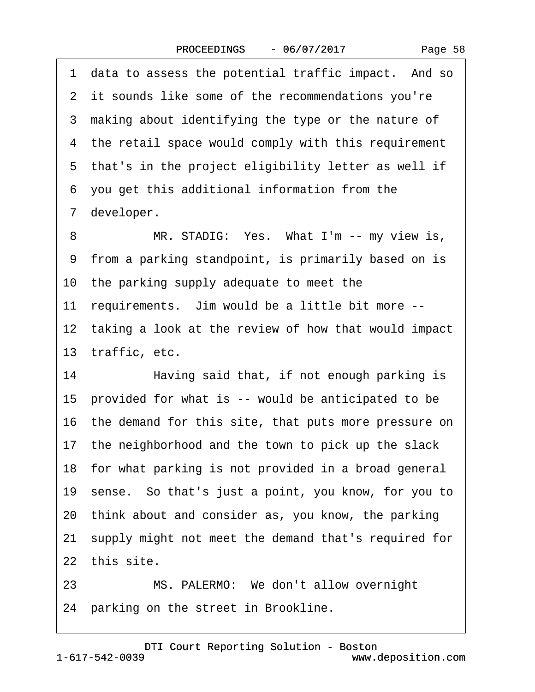1 data to assess the potential traffic impact. And so 2 it sounds like some of the recommendations you're 3 making about identifying the type or the nature of 4 the retail space would comply with this requirement 5 that's in the project eligibility letter as well if ·6· you get this additional information from the 7 developer. 8 MR. STADIG: Yes. What I'm -- my view is, ·9· from a parking standpoint, is primarily based on is 10 the parking supply adequate to meet the 11 requirements. Jim would be a little bit more --12 taking a look at the review of how that would impact 13 traffic, etc. 14 • Having said that, if not enough parking is 15 provided for what is -- would be anticipated to be 16· the demand for this site, that puts more pressure on 17 the neighborhood and the town to pick up the slack 18 for what parking is not provided in a broad general 19· sense.· So that's just a point, you know, for you to 20· think about and consider as, you know, the parking 21 supply might not meet the demand that's required for 22 this site.

23 MS. PALERMO: We don't allow overnight 24 parking on the street in Brookline.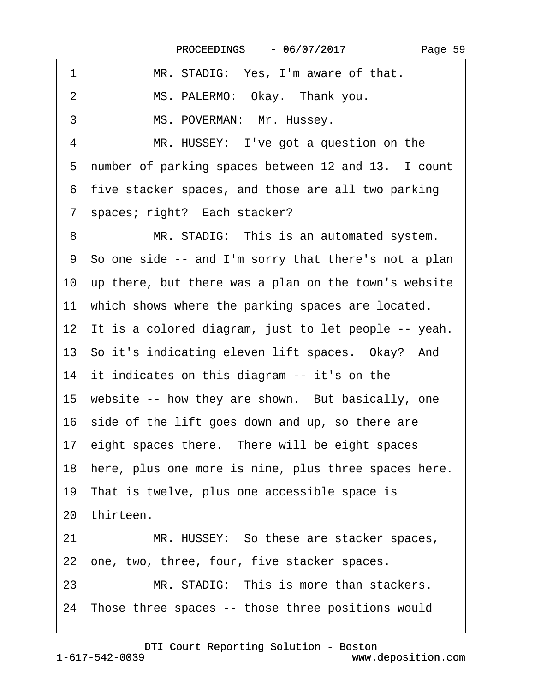| 1<br>MR. STADIG: Yes, I'm aware of that.                 |
|----------------------------------------------------------|
| MS. PALERMO: Okay. Thank you.<br>2                       |
| 3<br>MS. POVERMAN: Mr. Hussey.                           |
| $\overline{4}$<br>MR. HUSSEY: I've got a question on the |
| 5 number of parking spaces between 12 and 13. I count    |
| 6 five stacker spaces, and those are all two parking     |
| 7 spaces; right? Each stacker?                           |
| MR. STADIG: This is an automated system.<br>8            |
| 9 So one side -- and I'm sorry that there's not a plan   |
| 10 up there, but there was a plan on the town's website  |
| 11 which shows where the parking spaces are located.     |
| 12 It is a colored diagram, just to let people -- yeah.  |
| 13 So it's indicating eleven lift spaces. Okay? And      |
| 14 it indicates on this diagram -- it's on the           |
| 15 website -- how they are shown. But basically, one     |
| 16 side of the lift goes down and up, so there are       |
| 17 eight spaces there. There will be eight spaces        |
| 18 here, plus one more is nine, plus three spaces here.  |
| 19 That is twelve, plus one accessible space is          |
| 20 thirteen.                                             |
| MR. HUSSEY: So these are stacker spaces,<br>21           |
| 22 one, two, three, four, five stacker spaces.           |
| MR. STADIG: This is more than stackers.<br>23            |
| 24 Those three spaces -- those three positions would     |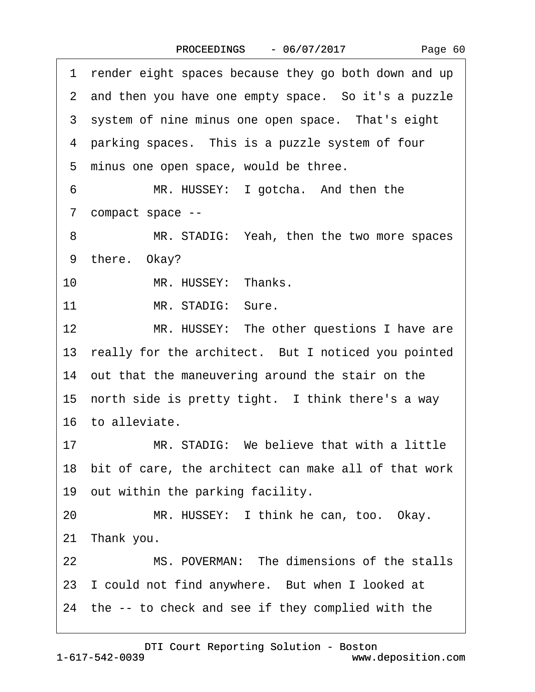|  | Page 60 |  |
|--|---------|--|
|--|---------|--|

1 render eight spaces because they go both down and up 2 and then you have one empty space. So it's a puzzle 3 system of nine minus one open space. That's eight 4 parking spaces. This is a puzzle system of four 5 minus one open space, would be three. 6 MR. HUSSEY: I gotcha. And then the ·7· compact space -- 8 MR. STADIG: Yeah, then the two more spaces 9 there. Okay? 10 MR. HUSSEY: Thanks. 11 MR. STADIG: Sure. 12 MR. HUSSEY: The other questions I have are 13 really for the architect. But I noticed you pointed 14 out that the maneuvering around the stair on the 15 north side is pretty tight. I think there's a way 16· to alleviate. 17 MR. STADIG: We believe that with a little 18· bit of care, the architect can make all of that work 19 out within the parking facility. 20 MR. HUSSEY: I think he can, too. Okay. 21 Thank you. 22 MS. POVERMAN: The dimensions of the stalls 23 I could not find anywhere. But when I looked at 24· the -- to check and see if they complied with the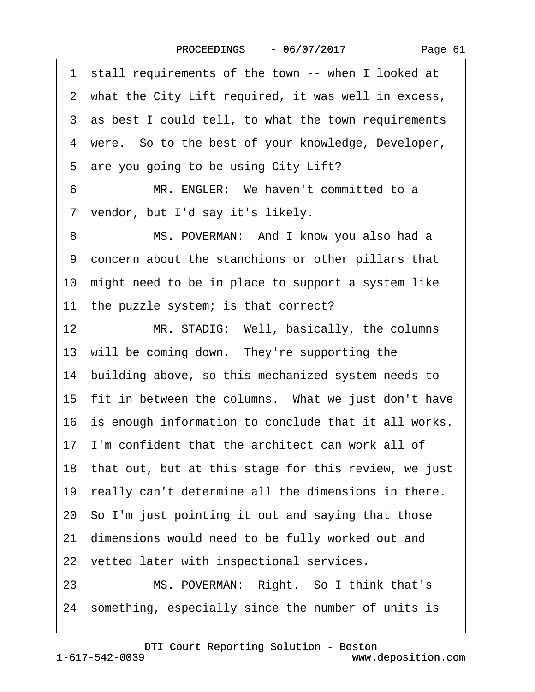Page 61

1 stall requirements of the town -- when I looked at 2 what the City Lift required, it was well in excess, 3 as best I could tell, to what the town requirements 4 were. So to the best of your knowledge, Developer, 5 are you going to be using City Lift? 6 MR. ENGLER: We haven't committed to a 7 vendor, but I'd say it's likely. 8 MS. POVERMAN: And I know you also had a ·9· concern about the stanchions or other pillars that 10· might need to be in place to support a system like 11 the puzzle system; is that correct? 12 MR. STADIG: Well, basically, the columns 13 will be coming down. They're supporting the 14 building above, so this mechanized system needs to 15 fit in between the columns. What we just don't have 16 is enough information to conclude that it all works. 17 I'm confident that the architect can work all of 18 that out, but at this stage for this review, we just 19 really can't determine all the dimensions in there. 20· So I'm just pointing it out and saying that those 21 dimensions would need to be fully worked out and 22 vetted later with inspectional services. 23 MS. POVERMAN: Right. So I think that's 24· something, especially since the number of units is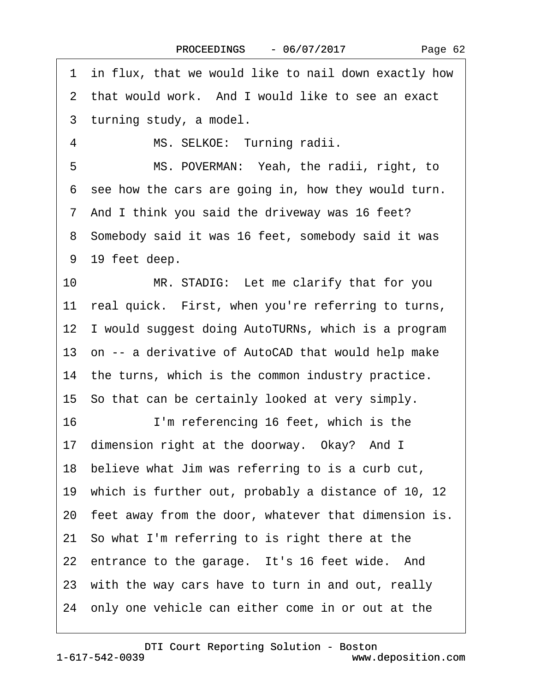·1· in flux, that we would like to nail down exactly how 2 that would work. And I would like to see an exact 3 turning study, a model. 4 MS. SELKOE: Turning radii. 5 MS. POVERMAN: Yeah, the radii, right, to 6 see how the cars are going in, how they would turn. 7 And I think you said the driveway was 16 feet? 8 Somebody said it was 16 feet, somebody said it was 9 19 feet deep. 10 MR. STADIG: Let me clarify that for you 11 real quick. First, when you're referring to turns, 12 I would suggest doing AutoTURNs, which is a program 13 on -- a derivative of AutoCAD that would help make 14 the turns, which is the common industry practice. 15· So that can be certainly looked at very simply. 16 I'm referencing 16 feet, which is the 17 dimension right at the doorway. Okay? And I 18 believe what Jim was referring to is a curb cut, 19· which is further out, probably a distance of 10, 12 20 feet away from the door, whatever that dimension is. 21· So what I'm referring to is right there at the 22 entrance to the garage. It's 16 feet wide. And 23 with the way cars have to turn in and out, really 24· only one vehicle can either come in or out at the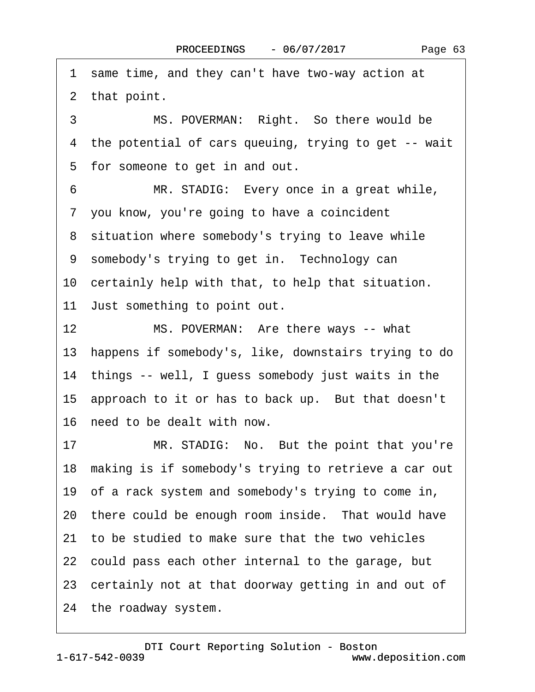3 MS. POVERMAN: Right. So there would be ·4· the potential of cars queuing, trying to get -- wait 5 for someone to get in and out. 6 MR. STADIG: Every once in a great while, ·7· you know, you're going to have a coincident 8 situation where somebody's trying to leave while 9 somebody's trying to get in. Technology can 10 certainly help with that, to help that situation. 11 Just something to point out. 12 MS. POVERMAN: Are there ways -- what 13· happens if somebody's, like, downstairs trying to do 14 things -- well, I guess somebody just waits in the 15 approach to it or has to back up. But that doesn't 16· need to be dealt with now. 17 MR. STADIG: No. But the point that you're 18 making is if somebody's trying to retrieve a car out 19· of a rack system and somebody's trying to come in, 20 there could be enough room inside. That would have 21· to be studied to make sure that the two vehicles 22· could pass each other internal to the garage, but 23 certainly not at that doorway getting in and out of 24 the roadway system.

1 same time, and they can't have two-way action at

2 that point.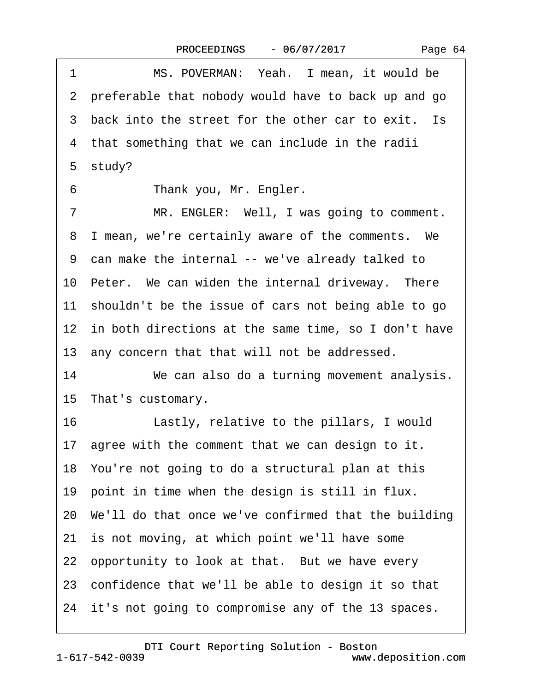|  | Page 64 |  |
|--|---------|--|
|--|---------|--|

1 MS. POVERMAN: Yeah. I mean, it would be ·2· preferable that nobody would have to back up and go 3 back into the street for the other car to exit. Is 4 that something that we can include in the radii 5 study? 6 Thank you, Mr. Engler. 7 MR. ENGLER: Well, I was going to comment. 8 I mean, we're certainly aware of the comments. We ·9· can make the internal -- we've already talked to 10 Peter. We can widen the internal driveway. There 11 shouldn't be the issue of cars not being able to go 12 in both directions at the same time, so I don't have 13 any concern that that will not be addressed. 14 We can also do a turning movement analysis. 15 That's customary. 16 Lastly, relative to the pillars, I would 17 agree with the comment that we can design to it. 18· You're not going to do a structural plan at this 19 point in time when the design is still in flux. 20· We'll do that once we've confirmed that the building 21 is not moving, at which point we'll have some 22 opportunity to look at that. But we have every 23· confidence that we'll be able to design it so that 24 it's not going to compromise any of the 13 spaces.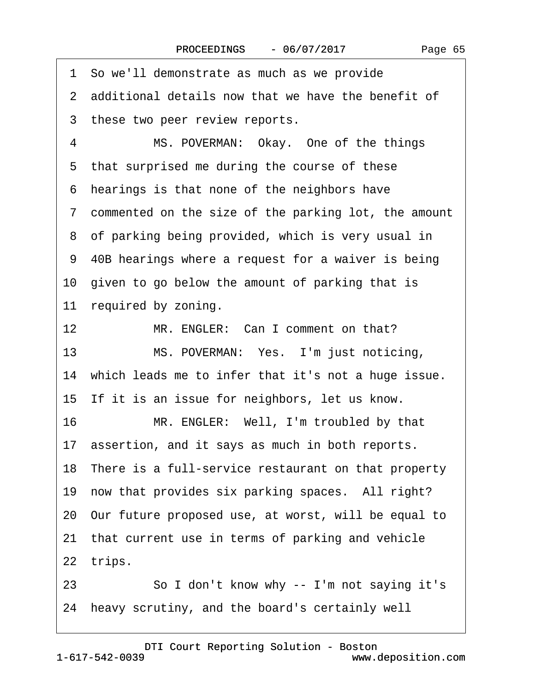·1· So we'll demonstrate as much as we provide 2 additional details now that we have the benefit of 3 these two peer review reports. 4 MS. POVERMAN: Okay. One of the things 5 that surprised me during the course of these ·6· hearings is that none of the neighbors have ·7· commented on the size of the parking lot, the amount 8 of parking being provided, which is very usual in ·9· 40B hearings where a request for a waiver is being 10 given to go below the amount of parking that is 11 required by zoning. 12 MR. ENGLER: Can I comment on that? 13 MS. POVERMAN: Yes. I'm just noticing, 14 which leads me to infer that it's not a huge issue. 15 If it is an issue for neighbors, let us know. 16 MR. ENGLER: Well, I'm troubled by that 17 assertion, and it says as much in both reports. 18 There is a full-service restaurant on that property 19 now that provides six parking spaces. All right? 20· Our future proposed use, at worst, will be equal to 21 that current use in terms of parking and vehicle 22 trips. 23 · · · So I don't know why -- I'm not saying it's

24 heavy scrutiny, and the board's certainly well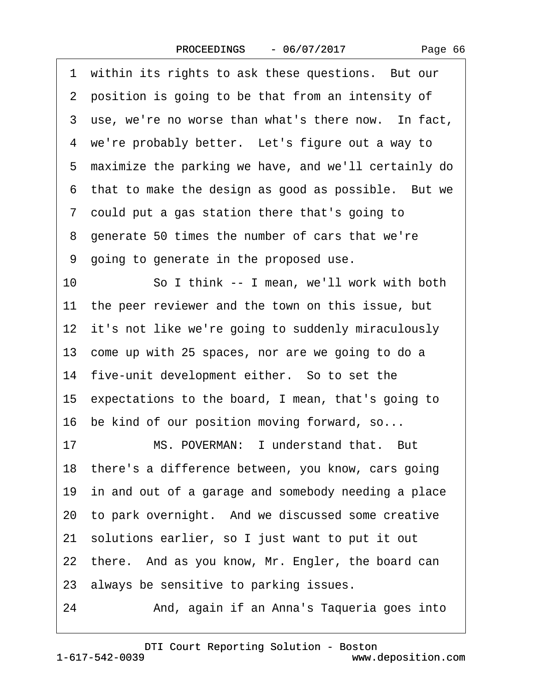1 within its rights to ask these questions. But our 2 position is going to be that from an intensity of 3 use, we're no worse than what's there now. In fact, 4 we're probably better. Let's figure out a way to ·5· maximize the parking we have, and we'll certainly do 6 that to make the design as good as possible. But we ·7· could put a gas station there that's going to ·8· generate 50 times the number of cars that we're ·9· going to generate in the proposed use. 10 So I think -- I mean, we'll work with both 11 the peer reviewer and the town on this issue, but 12 it's not like we're going to suddenly miraculously 13 come up with 25 spaces, nor are we going to do a 14 five-unit development either. So to set the 15· expectations to the board, I mean, that's going to 16 be kind of our position moving forward, so... 17 MS. POVERMAN: I understand that. But 18 there's a difference between, you know, cars going 19 in and out of a garage and somebody needing a place 20 to park overnight. And we discussed some creative 21· solutions earlier, so I just want to put it out 22 there. And as you know, Mr. Engler, the board can 23· always be sensitive to parking issues. 24 • **And, again if an Anna's Taqueria goes into**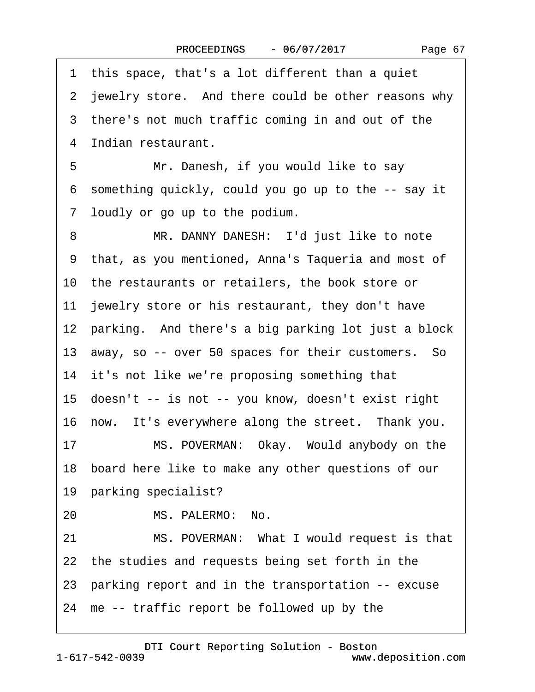| 1 this space, that's a lot different than a quiet      |
|--------------------------------------------------------|
| 2 jewelry store. And there could be other reasons why  |
| 3 there's not much traffic coming in and out of the    |
| 4 Indian restaurant.                                   |
| Mr. Danesh, if you would like to say<br>5              |
| 6 something quickly, could you go up to the -- say it  |
| 7 loudly or go up to the podium.                       |
| 8<br>MR. DANNY DANESH: I'd just like to note           |
| 9 that, as you mentioned, Anna's Taqueria and most of  |
| 10 the restaurants or retailers, the book store or     |
| 11 jewelry store or his restaurant, they don't have    |
| 12 parking. And there's a big parking lot just a block |
| 13 away, so -- over 50 spaces for their customers. So  |
| 14 it's not like we're proposing something that        |
| 15 doesn't -- is not -- you know, doesn't exist right  |
| 16 now. It's everywhere along the street. Thank you.   |
| 17<br>MS. POVERMAN: Okay. Would anybody on the         |
| 18 board here like to make any other questions of our  |
| 19 parking specialist?                                 |
| MS. PALERMO: No.<br>20                                 |
| 21<br>MS. POVERMAN: What I would request is that       |
| 22 the studies and requests being set forth in the     |
| 23 parking report and in the transportation -- excuse  |
| 24 me -- traffic report be followed up by the          |
|                                                        |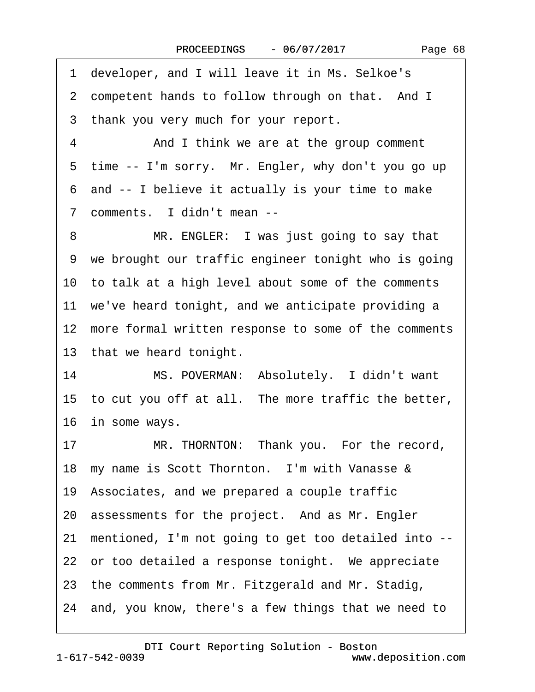·1· developer, and I will leave it in Ms. Selkoe's 2 competent hands to follow through on that. And I 3 thank you very much for your report. 4 And I think we are at the group comment 5 time -- I'm sorry. Mr. Engler, why don't you go up ·6· and -- I believe it actually is your time to make 7 comments. I didn't mean --8 MR. ENGLER: I was just going to say that 9 we brought our traffic engineer tonight who is going 10· to talk at a high level about some of the comments 11 we've heard tonight, and we anticipate providing a 12 more formal written response to some of the comments 13 that we heard tonight. 14 MS. POVERMAN: Absolutely. I didn't want 15 to cut you off at all. The more traffic the better, 16 in some ways. 17 MR. THORNTON: Thank you. For the record, 18 my name is Scott Thornton. I'm with Vanasse & 19· Associates, and we prepared a couple traffic 20 assessments for the project. And as Mr. Engler 21· mentioned, I'm not going to get too detailed into -- 22 or too detailed a response tonight. We appreciate 23· the comments from Mr. Fitzgerald and Mr. Stadig, 24· and, you know, there's a few things that we need to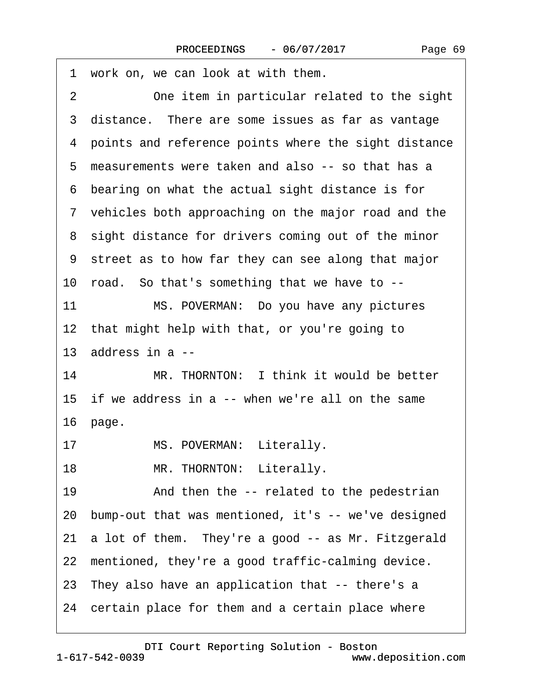| 1 work on, we can look at with them.                   |
|--------------------------------------------------------|
| One item in particular related to the sight<br>2       |
| 3 distance. There are some issues as far as vantage    |
| 4 points and reference points where the sight distance |
| 5 measurements were taken and also -- so that has a    |
| bearing on what the actual sight distance is for<br>6  |
| 7 vehicles both approaching on the major road and the  |
| 8 sight distance for drivers coming out of the minor   |
| 9 street as to how far they can see along that major   |
| 10 road. So that's something that we have to --        |
| 11<br>MS. POVERMAN: Do you have any pictures           |
| 12 that might help with that, or you're going to       |
| 13 address in a --                                     |
| MR. THORNTON: I think it would be better<br>14         |
| 15 if we address in a -- when we're all on the same    |
| 16 page.                                               |
| MS. POVERMAN: Literally.<br>17                         |
| MR. THORNTON: Literally.<br>18                         |
| 19<br>And then the -- related to the pedestrian        |
| 20 bump-out that was mentioned, it's -- we've designed |
| 21 a lot of them. They're a good -- as Mr. Fitzgerald  |
| 22 mentioned, they're a good traffic-calming device.   |
| 23 They also have an application that -- there's a     |
| 24 certain place for them and a certain place where    |
|                                                        |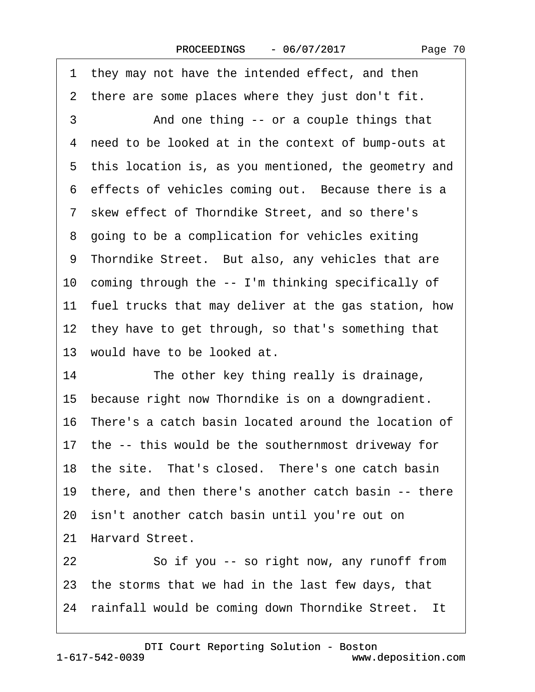1 they may not have the intended effect, and then 2 there are some places where they just don't fit. 3 • • And one thing -- or a couple things that 4 need to be looked at in the context of bump-outs at 5 this location is, as you mentioned, the geometry and 6 effects of vehicles coming out. Because there is a ·7· skew effect of Thorndike Street, and so there's 8 going to be a complication for vehicles exiting 9 Thorndike Street. But also, any vehicles that are 10 coming through the -- I'm thinking specifically of 11 fuel trucks that may deliver at the gas station, how 12 they have to get through, so that's something that 13 would have to be looked at. 14 The other key thing really is drainage, 15 because right now Thorndike is on a downgradient. 16· There's a catch basin located around the location of 17 the -- this would be the southernmost driveway for 18 the site. That's closed. There's one catch basin 19 there, and then there's another catch basin -- there 20· isn't another catch basin until you're out on 21 Harvard Street. 22 So if you -- so right now, any runoff from 23 the storms that we had in the last few days, that 24 rainfall would be coming down Thorndike Street. It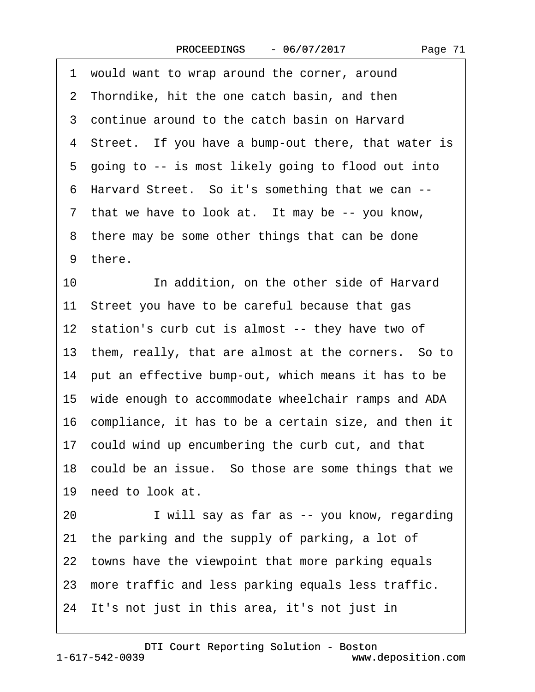| would want to wrap around the corner, around<br>1       |
|---------------------------------------------------------|
| 2 Thorndike, hit the one catch basin, and then          |
| 3 continue around to the catch basin on Harvard         |
| 4 Street. If you have a bump-out there, that water is   |
| 5 going to -- is most likely going to flood out into    |
| 6 Harvard Street. So it's something that we can --      |
| 7 that we have to look at. It may be -- you know,       |
| 8 there may be some other things that can be done       |
| 9 there.                                                |
| In addition, on the other side of Harvard<br>10         |
| 11 Street you have to be careful because that gas       |
| 12 station's curb cut is almost -- they have two of     |
| 13 them, really, that are almost at the corners. So to  |
| 14 put an effective bump-out, which means it has to be  |
| 15 wide enough to accommodate wheelchair ramps and ADA  |
| 16 compliance, it has to be a certain size, and then it |
| 17 could wind up encumbering the curb cut, and that     |
| 18 could be an issue. So those are some things that we  |
| 19 need to look at.                                     |
| I will say as far as -- you know, regarding<br>20       |
| 21 the parking and the supply of parking, a lot of      |
| 22 towns have the viewpoint that more parking equals    |
| 23 more traffic and less parking equals less traffic.   |
| 24 It's not just in this area, it's not just in         |

1-617-542-0039 [DTI Court Reporting Solution - Boston](http://www.deposition.com) www.deposition.com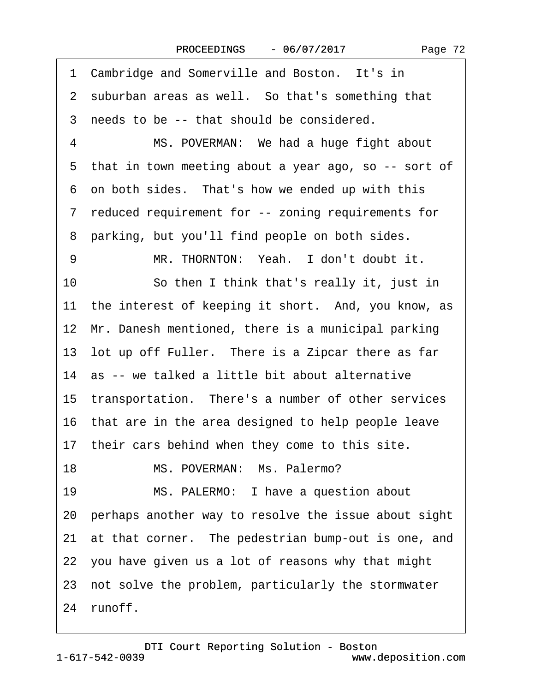Page 72

1 Cambridge and Somerville and Boston. It's in 2 suburban areas as well. So that's something that 3 needs to be -- that should be considered. 4 MS. POVERMAN: We had a huge fight about 5 that in town meeting about a year ago, so -- sort of 6 on both sides. That's how we ended up with this ·7· reduced requirement for -- zoning requirements for 8 parking, but you'll find people on both sides. 9 MR. THORNTON: Yeah. I don't doubt it. 10 So then I think that's really it, just in 11 the interest of keeping it short. And, you know, as 12 Mr. Danesh mentioned, there is a municipal parking 13 lot up off Fuller. There is a Zipcar there as far 14 as -- we talked a little bit about alternative 15 transportation. There's a number of other services 16 that are in the area designed to help people leave 17 their cars behind when they come to this site. 18 MS. POVERMAN: Ms. Palermo? 19 MS. PALERMO: I have a question about 20· perhaps another way to resolve the issue about sight 21 at that corner. The pedestrian bump-out is one, and 22· you have given us a lot of reasons why that might 23 not solve the problem, particularly the stormwater 24 runoff.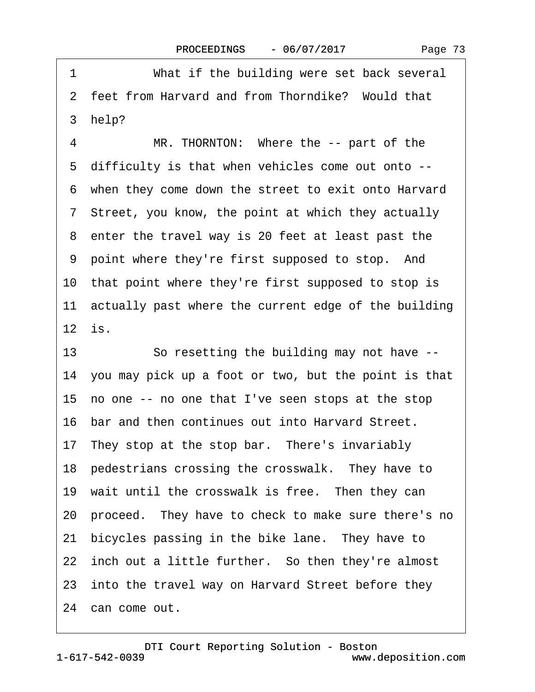<span id="page-72-0"></span>1 What if the building were set back several 2 feet from Harvard and from Thorndike? Would that 3 help? 4 MR. THORNTON: Where the -- part of the 5 difficulty is that when vehicles come out onto --·6· when they come down the street to exit onto Harvard 7 Street, you know, the point at which they actually 8 enter the travel way is 20 feet at least past the 9 point where they're first supposed to stop. And 10 that point where they're first supposed to stop is 11 actually past where the current edge of the building  $12$  is. 13 So resetting the building may not have --14· you may pick up a foot or two, but the point is that 15· no one -- no one that I've seen stops at the stop 16· bar and then continues out into Harvard Street. 17 They stop at the stop bar. There's invariably 18 pedestrians crossing the crosswalk. They have to 19 wait until the crosswalk is free. Then they can 20· proceed.· They have to check to make sure there's no 21 bicycles passing in the bike lane. They have to 22 inch out a little further. So then they're almost 23 into the travel way on Harvard Street before they 24 can come out.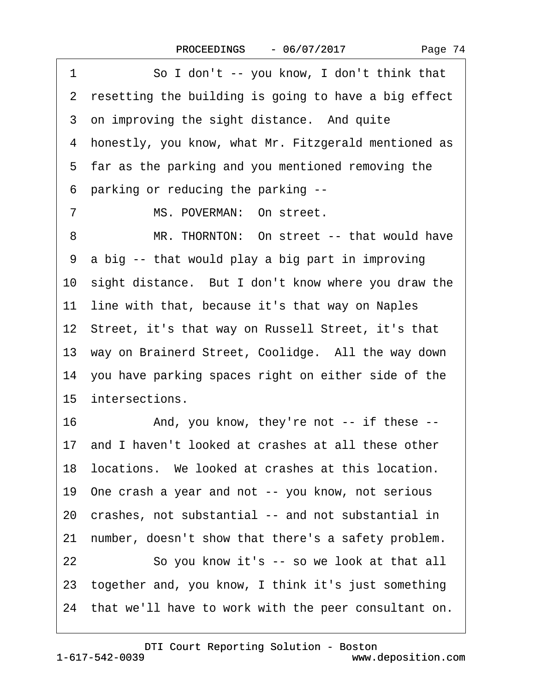| So I don't -- you know, I don't think that<br>1         |  |  |  |
|---------------------------------------------------------|--|--|--|
| 2 resetting the building is going to have a big effect  |  |  |  |
| 3 on improving the sight distance. And quite            |  |  |  |
| 4 honestly, you know, what Mr. Fitzgerald mentioned as  |  |  |  |
| 5 far as the parking and you mentioned removing the     |  |  |  |
| 6 parking or reducing the parking --                    |  |  |  |
| $\overline{7}$<br>MS. POVERMAN: On street.              |  |  |  |
| MR. THORNTON: On street -- that would have<br>8         |  |  |  |
| 9 a big -- that would play a big part in improving      |  |  |  |
| 10 sight distance. But I don't know where you draw the  |  |  |  |
| 11 line with that, because it's that way on Naples      |  |  |  |
| 12 Street, it's that way on Russell Street, it's that   |  |  |  |
| 13 way on Brainerd Street, Coolidge. All the way down   |  |  |  |
| 14 you have parking spaces right on either side of the  |  |  |  |
| 15 intersections.                                       |  |  |  |
| 16<br>And, you know, they're not -- if these --         |  |  |  |
| 17 and I haven't looked at crashes at all these other   |  |  |  |
| 18 locations. We looked at crashes at this location.    |  |  |  |
| 19 One crash a year and not -- you know, not serious    |  |  |  |
| 20 crashes, not substantial -- and not substantial in   |  |  |  |
| 21 number, doesn't show that there's a safety problem.  |  |  |  |
| So you know it's -- so we look at that all<br>22        |  |  |  |
| 23 together and, you know, I think it's just something  |  |  |  |
| 24 that we'll have to work with the peer consultant on. |  |  |  |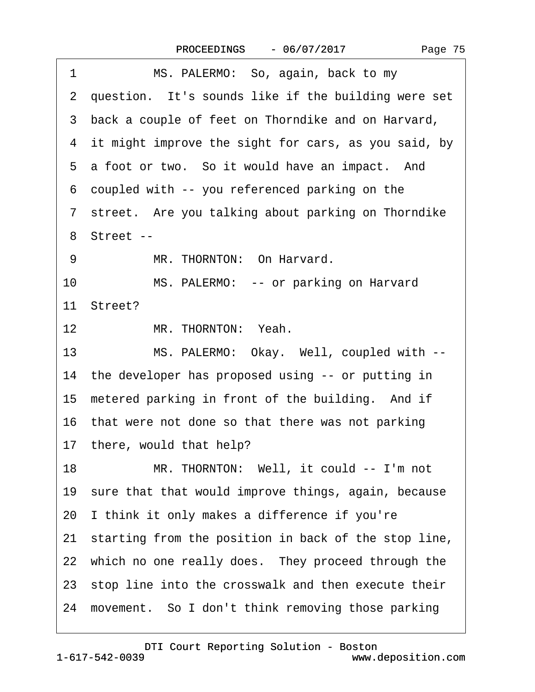|--|--|

<span id="page-74-0"></span>

| 1  | MS. PALERMO: So, again, back to my                      |  |  |  |
|----|---------------------------------------------------------|--|--|--|
|    | 2 question. It's sounds like if the building were set   |  |  |  |
|    | 3 back a couple of feet on Thorndike and on Harvard,    |  |  |  |
|    | 4 it might improve the sight for cars, as you said, by  |  |  |  |
|    | 5 a foot or two. So it would have an impact. And        |  |  |  |
|    | 6 coupled with -- you referenced parking on the         |  |  |  |
|    | 7 street. Are you talking about parking on Thorndike    |  |  |  |
|    | 8 Street --                                             |  |  |  |
| 9  | MR. THORNTON: On Harvard.                               |  |  |  |
| 10 | MS. PALERMO: -- or parking on Harvard                   |  |  |  |
|    | 11 Street?                                              |  |  |  |
| 12 | MR. THORNTON: Yeah.                                     |  |  |  |
| 13 | MS. PALERMO: Okay. Well, coupled with --                |  |  |  |
|    | 14 the developer has proposed using -- or putting in    |  |  |  |
|    | 15 metered parking in front of the building. And if     |  |  |  |
|    | 16 that were not done so that there was not parking     |  |  |  |
|    | 17 there, would that help?                              |  |  |  |
| 18 | MR. THORNTON: Well, it could -- I'm not                 |  |  |  |
|    | 19 sure that that would improve things, again, because  |  |  |  |
|    | 20 I think it only makes a difference if you're         |  |  |  |
|    | 21 starting from the position in back of the stop line, |  |  |  |
|    | 22 which no one really does. They proceed through the   |  |  |  |
|    | 23 stop line into the crosswalk and then execute their  |  |  |  |
|    | 24 movement. So I don't think removing those parking    |  |  |  |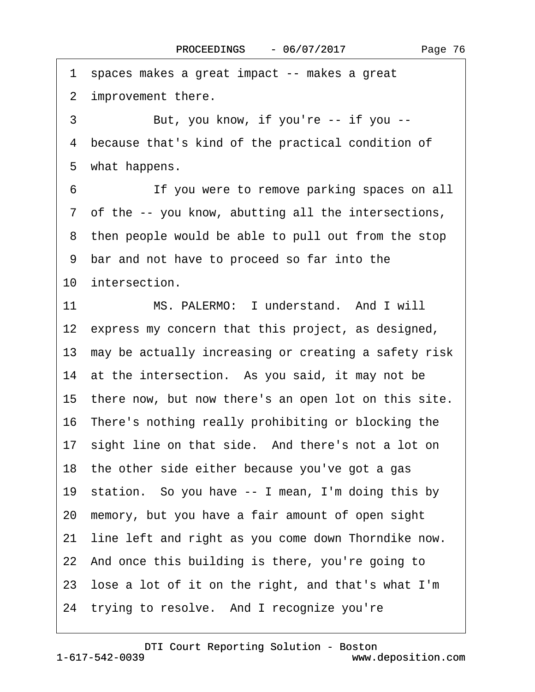<span id="page-75-0"></span>·1· spaces makes a great impact -- makes a great 2 improvement there. 3 But, you know, if you're -- if you --4 because that's kind of the practical condition of 5 what happens. 6 **If you were to remove parking spaces on all** 7 of the -- you know, abutting all the intersections, 8 then people would be able to pull out from the stop ·9· bar and not have to proceed so far into the 10 intersection. 11 MS. PALERMO: I understand. And I will 12 express my concern that this project, as designed, 13 may be actually increasing or creating a safety risk 14 at the intersection. As you said, it may not be 15 there now, but now there's an open lot on this site. 16 There's nothing really prohibiting or blocking the 17 sight line on that side. And there's not a lot on 18 the other side either because you've got a gas 19· station.· So you have -- I mean, I'm doing this by 20· memory, but you have a fair amount of open sight 21 line left and right as you come down Thorndike now. 22 And once this building is there, you're going to 23· lose a lot of it on the right, and that's what I'm 24 trying to resolve. And I recognize you're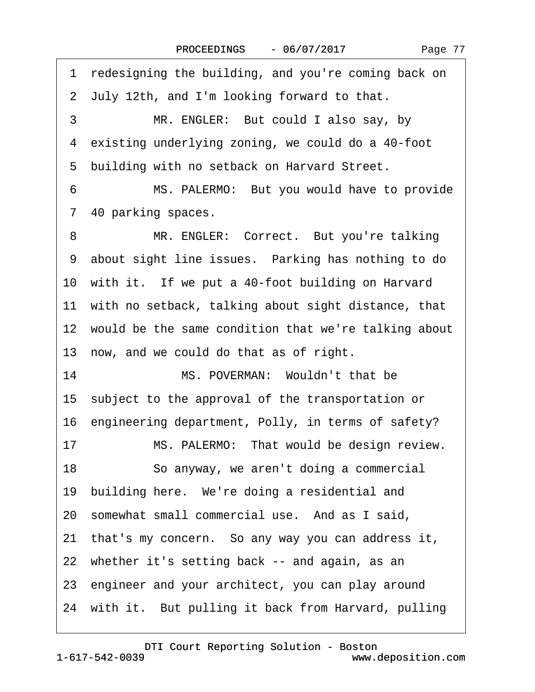Page 77

<span id="page-76-0"></span>1 redesigning the building, and you're coming back on ·2· July 12th, and I'm looking forward to that. 3 MR. ENGLER: But could I also say, by 4 existing underlying zoning, we could do a 40-foot 5 building with no setback on Harvard Street. 6 MS. PALERMO: But you would have to provide 7 40 parking spaces. 8 MR. ENGLER: Correct. But you're talking 9 about sight line issues. Parking has nothing to do 10 with it. If we put a 40-foot building on Harvard 11 with no setback, talking about sight distance, that 12 would be the same condition that we're talking about 13 now, and we could do that as of right. 14 MS. POVERMAN: Wouldn't that be 15· subject to the approval of the transportation or 16· engineering department, Polly, in terms of safety? 17 MS. PALERMO: That would be design review. 18 · · So anyway, we aren't doing a commercial 19 building here. We're doing a residential and 20 somewhat small commercial use. And as I said, 21· that's my concern.· So any way you can address it, 22 whether it's setting back -- and again, as an 23· engineer and your architect, you can play around 24 with it. But pulling it back from Harvard, pulling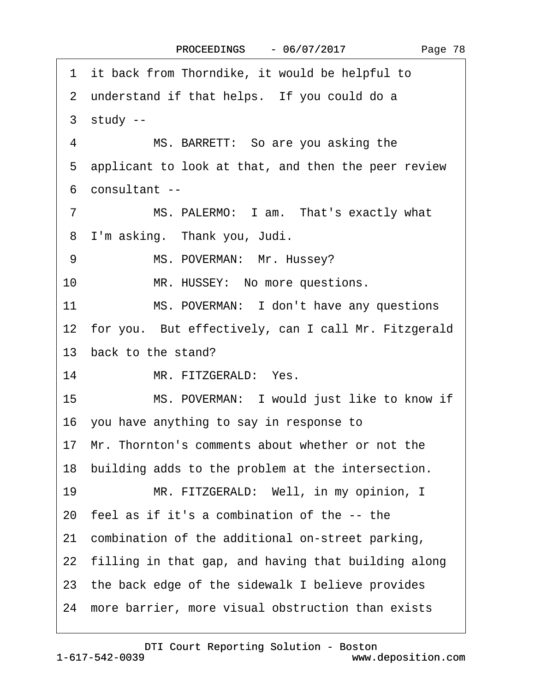Page 78

<span id="page-77-0"></span>1 it back from Thorndike, it would be helpful to 2 understand if that helps. If you could do a  $3 \times$  study --4 MS. BARRETT: So are you asking the 5 applicant to look at that, and then the peer review ·6· consultant -- 7 MS. PALERMO: I am. That's exactly what 8 I'm asking. Thank you, Judi. 9 MS. POVERMAN: Mr. Hussey? 10 MR. HUSSEY: No more questions. 11 MS. POVERMAN: I don't have any questions 12 for you. But effectively, can I call Mr. Fitzgerald 13 back to the stand? 14 MR. FITZGERALD: Yes. 15 MS. POVERMAN: I would just like to know if 16· you have anything to say in response to 17· Mr. Thornton's comments about whether or not the 18 building adds to the problem at the intersection. 19 MR. FITZGERALD: Well, in my opinion, I 20· feel as if it's a combination of the -- the 21· combination of the additional on-street parking, 22 filling in that gap, and having that building along 23· the back edge of the sidewalk I believe provides 24· more barrier, more visual obstruction than exists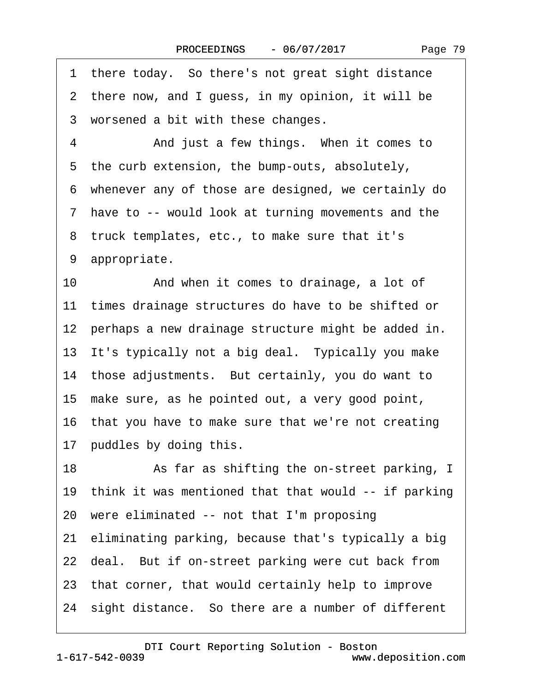|  | Page 79 |  |
|--|---------|--|
|--|---------|--|

<span id="page-78-0"></span>1 there today. So there's not great sight distance 2 there now, and I guess, in my opinion, it will be 3 worsened a bit with these changes. 4 • • And just a few things. When it comes to 5 the curb extension, the bump-outs, absolutely, ·6· whenever any of those are designed, we certainly do ·7· have to -- would look at turning movements and the 8 truck templates, etc., to make sure that it's 9 appropriate. 10 • And when it comes to drainage, a lot of 11 times drainage structures do have to be shifted or 12 perhaps a new drainage structure might be added in. 13 It's typically not a big deal. Typically you make 14 those adjustments. But certainly, you do want to 15· make sure, as he pointed out, a very good point, 16 that you have to make sure that we're not creating 17 puddles by doing this. 18 • As far as shifting the on-street parking, I 19 think it was mentioned that that would -- if parking 20· were eliminated -- not that I'm proposing 21· eliminating parking, because that's typically a big 22 deal. But if on-street parking were cut back from 23· that corner, that would certainly help to improve 24 sight distance. So there are a number of different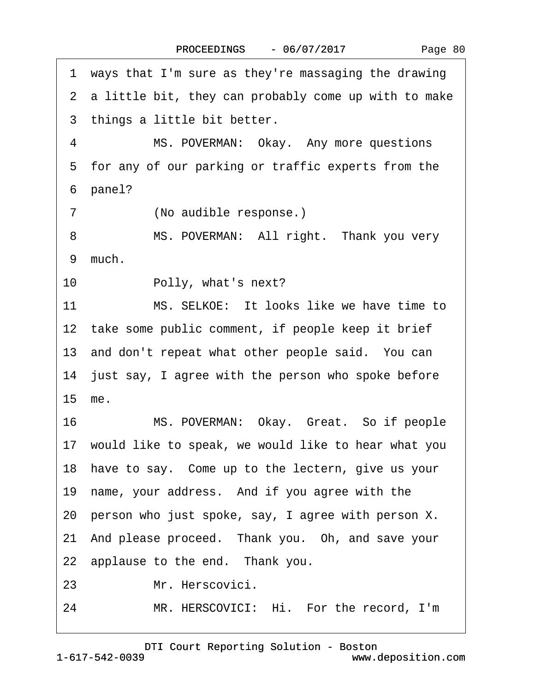<span id="page-79-0"></span>·1· ways that I'm sure as they're massaging the drawing 2 a little bit, they can probably come up with to make 3 things a little bit better. 4 MS. POVERMAN: Okay. Any more questions 5 for any of our parking or traffic experts from the 6 panel? 7 (No audible response.) 8 MS. POVERMAN: All right. Thank you very 9 much. 10 • Polly, what's next? 11 MS. SELKOE: It looks like we have time to 12 take some public comment, if people keep it brief 13 and don't repeat what other people said. You can 14 just say, I agree with the person who spoke before 15· me. 16 MS. POVERMAN: Okay. Great. So if people 17 would like to speak, we would like to hear what you 18 have to say. Come up to the lectern, give us your 19 name, your address. And if you agree with the 20· person who just spoke, say, I agree with person X. 21 And please proceed. Thank you. Oh, and save your 22 applause to the end. Thank you. 23 Mr. Herscovici. 24 MR. HERSCOVICI: Hi. For the record, I'm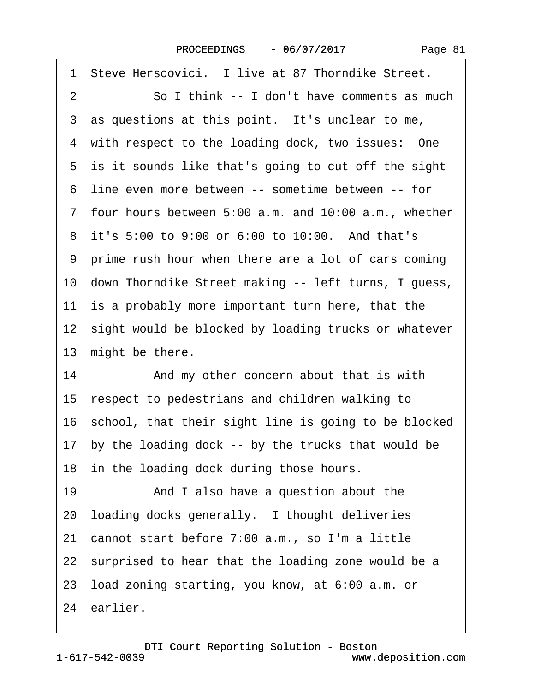<span id="page-80-0"></span>

| 1 Steve Herscovici. I live at 87 Thorndike Street.      |
|---------------------------------------------------------|
| So I think -- I don't have comments as much<br>2        |
| 3 as questions at this point. It's unclear to me,       |
| 4 with respect to the loading dock, two issues: One     |
| 5 is it sounds like that's going to cut off the sight   |
| 6 line even more between -- sometime between -- for     |
| 7 four hours between 5:00 a.m. and 10:00 a.m., whether  |
| 8 it's 5:00 to 9:00 or 6:00 to 10:00. And that's        |
| 9 prime rush hour when there are a lot of cars coming   |
| 10 down Thorndike Street making -- left turns, I guess, |
| 11 is a probably more important turn here, that the     |
| 12 sight would be blocked by loading trucks or whatever |
| 13 might be there.                                      |
| 14<br>And my other concern about that is with           |
| 15 respect to pedestrians and children walking to       |
| 16 school, that their sight line is going to be blocked |
| 17 by the loading dock -- by the trucks that would be   |
| 18 in the loading dock during those hours.              |
| 19<br>And I also have a question about the              |
| 20 loading docks generally. I thought deliveries        |
| 21 cannot start before 7:00 a.m., so I'm a little       |
| 22 surprised to hear that the loading zone would be a   |
| 23 load zoning starting, you know, at 6:00 a.m. or      |
| 24 earlier.                                             |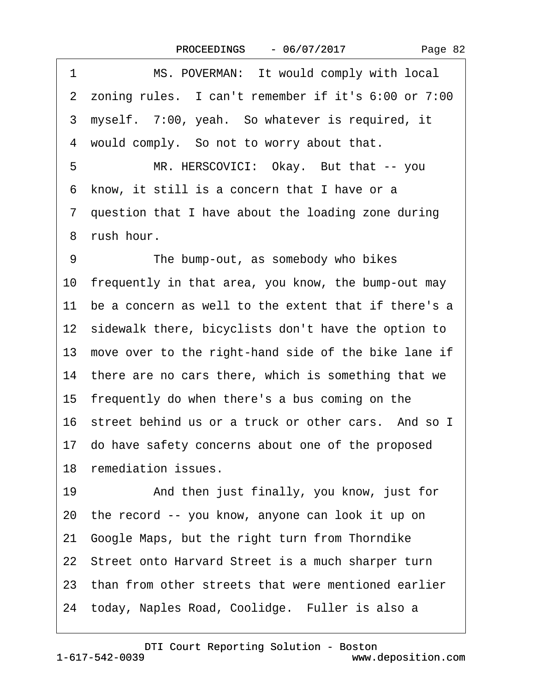| Page 82 |  |
|---------|--|
|---------|--|

<span id="page-81-0"></span>1 MS. POVERMAN: It would comply with local 2 zoning rules. I can't remember if it's 6:00 or 7:00 ·3· myself.· 7:00, yeah.· So whatever is required, it 4 would comply. So not to worry about that. 5 MR. HERSCOVICI: Okay. But that -- you ·6· know, it still is a concern that I have or a ·7· question that I have about the loading zone during 8 rush hour. 9 The bump-out, as somebody who bikes 10 frequently in that area, you know, the bump-out may 11 be a concern as well to the extent that if there's a 12 sidewalk there, bicyclists don't have the option to 13 move over to the right-hand side of the bike lane if 14 there are no cars there, which is something that we 15 frequently do when there's a bus coming on the 16 street behind us or a truck or other cars. And so I 17· do have safety concerns about one of the proposed 18 remediation issues. 19 • And then just finally, you know, just for 20· the record -- you know, anyone can look it up on 21· Google Maps, but the right turn from Thorndike 22 Street onto Harvard Street is a much sharper turn 23 than from other streets that were mentioned earlier 24 today, Naples Road, Coolidge. Fuller is also a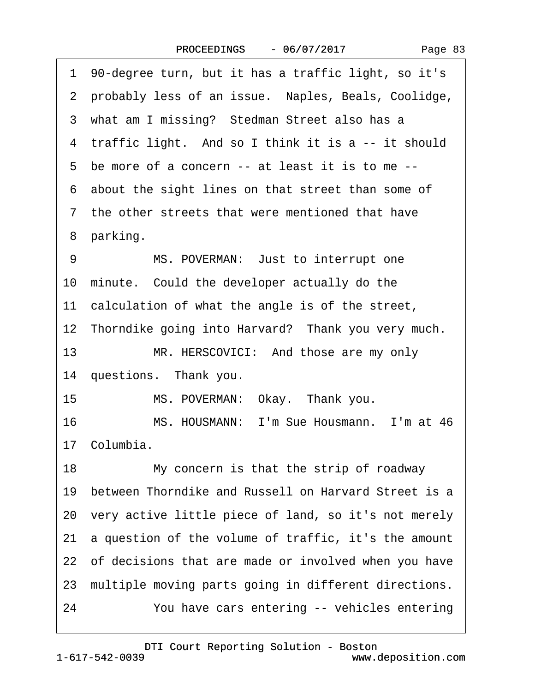<span id="page-82-0"></span>

| 1 90-degree turn, but it has a traffic light, so it's      |  |  |  |
|------------------------------------------------------------|--|--|--|
| 2 probably less of an issue. Naples, Beals, Coolidge,      |  |  |  |
| 3 what am I missing? Stedman Street also has a             |  |  |  |
| 4 traffic light. And so I think it is a -- it should       |  |  |  |
| 5 be more of a concern -- at least it is to me --          |  |  |  |
| 6 about the sight lines on that street than some of        |  |  |  |
| 7 the other streets that were mentioned that have          |  |  |  |
| 8 parking.                                                 |  |  |  |
| 9<br>MS. POVERMAN: Just to interrupt one                   |  |  |  |
| 10 minute. Could the developer actually do the             |  |  |  |
| 11 calculation of what the angle is of the street,         |  |  |  |
| 12 Thorndike going into Harvard? Thank you very much.      |  |  |  |
| 13<br>MR. HERSCOVICI: And those are my only                |  |  |  |
| 14 questions. Thank you.                                   |  |  |  |
| 15<br>MS. POVERMAN: Okay. Thank you.                       |  |  |  |
| 16<br>MS. HOUSMANN: I'm Sue Housmann. I'm at 46            |  |  |  |
| 17 Columbia.                                               |  |  |  |
| 18<br>My concern is that the strip of roadway              |  |  |  |
| 19 between Thorndike and Russell on Harvard Street is a    |  |  |  |
| 20 very active little piece of land, so it's not merely    |  |  |  |
| a question of the volume of traffic, it's the amount<br>21 |  |  |  |
| 22 of decisions that are made or involved when you have    |  |  |  |
| 23 multiple moving parts going in different directions.    |  |  |  |
| 24<br>You have cars entering -- vehicles entering          |  |  |  |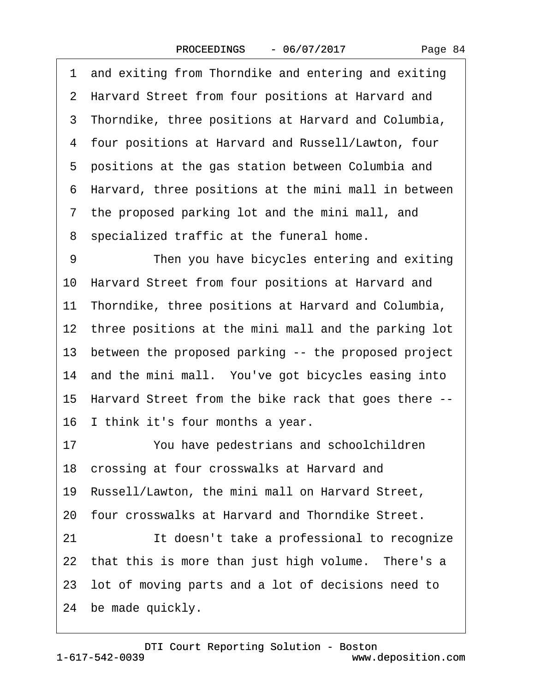·1· and exiting from Thorndike and entering and exiting 2 Harvard Street from four positions at Harvard and 3 Thorndike, three positions at Harvard and Columbia, ·4· four positions at Harvard and Russell/Lawton, four 5 positions at the gas station between Columbia and ·6· Harvard, three positions at the mini mall in between 7 the proposed parking lot and the mini mall, and ·8· specialized traffic at the funeral home. 9 Then you have bicycles entering and exiting 10 Harvard Street from four positions at Harvard and 11 Thorndike, three positions at Harvard and Columbia, 12 three positions at the mini mall and the parking lot 13 between the proposed parking -- the proposed project 14 and the mini mall. You've got bicycles easing into 15· Harvard Street from the bike rack that goes there -- 16 I think it's four months a year. 17 You have pedestrians and schoolchildren 18 crossing at four crosswalks at Harvard and 19· Russell/Lawton, the mini mall on Harvard Street, 20· four crosswalks at Harvard and Thorndike Street. 21 **It doesn't take a professional to recognize** 22 that this is more than just high volume. There's a 23· lot of moving parts and a lot of decisions need to 24 be made quickly.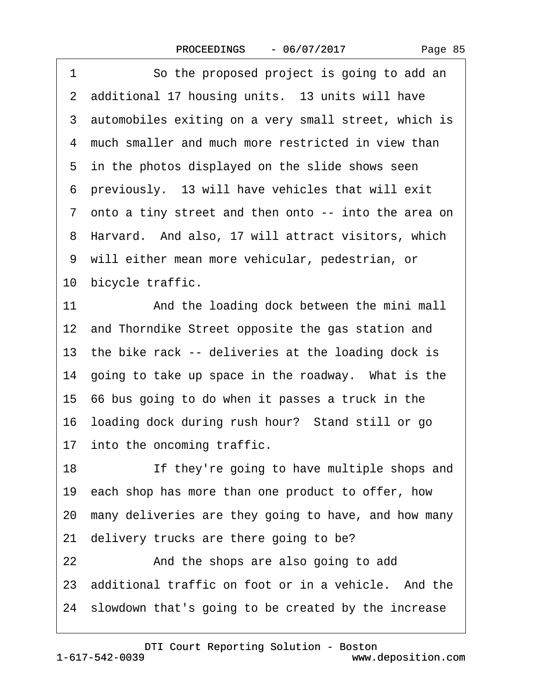<span id="page-84-0"></span>1 So the proposed project is going to add an 2 additional 17 housing units. 13 units will have 3 automobiles exiting on a very small street, which is 4 much smaller and much more restricted in view than 5 in the photos displayed on the slide shows seen ·6· previously.· 13 will have vehicles that will exit 7 onto a tiny street and then onto -- into the area on 8 Harvard. And also, 17 will attract visitors, which ·9· will either mean more vehicular, pedestrian, or 10 bicycle traffic. 11 And the loading dock between the mini mall 12 and Thorndike Street opposite the gas station and 13 the bike rack -- deliveries at the loading dock is 14 going to take up space in the roadway. What is the 15· 66 bus going to do when it passes a truck in the 16· loading dock during rush hour?· Stand still or go 17 into the oncoming traffic. 18 If they're going to have multiple shops and 19 each shop has more than one product to offer, how 20· many deliveries are they going to have, and how many 21 delivery trucks are there going to be? 22 And the shops are also going to add 23 additional traffic on foot or in a vehicle. And the 24· slowdown that's going to be created by the increase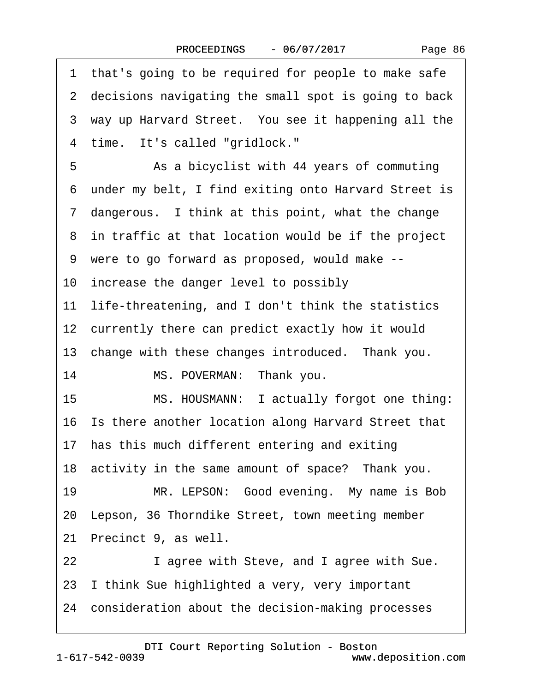<span id="page-85-0"></span>1 that's going to be required for people to make safe 2 decisions navigating the small spot is going to back 3 way up Harvard Street. You see it happening all the 4 time. It's called "gridlock." 5 • Section As a bicyclist with 44 years of commuting ·6· under my belt, I find exiting onto Harvard Street is 7 dangerous. I think at this point, what the change 8 in traffic at that location would be if the project ·9· were to go forward as proposed, would make -- 10 increase the danger level to possibly 11 life-threatening, and I don't think the statistics 12 currently there can predict exactly how it would 13 change with these changes introduced. Thank you. 14 MS. POVERMAN: Thank you. 15 MS. HOUSMANN: I actually forgot one thing: 16· Is there another location along Harvard Street that 17 has this much different entering and exiting 18 activity in the same amount of space? Thank you. 19 MR. LEPSON: Good evening. My name is Bob 20 Lepson, 36 Thorndike Street, town meeting member 21 Precinct 9, as well. 22 I agree with Steve, and I agree with Sue. 23 I think Sue highlighted a very, very important 24· consideration about the decision-making processes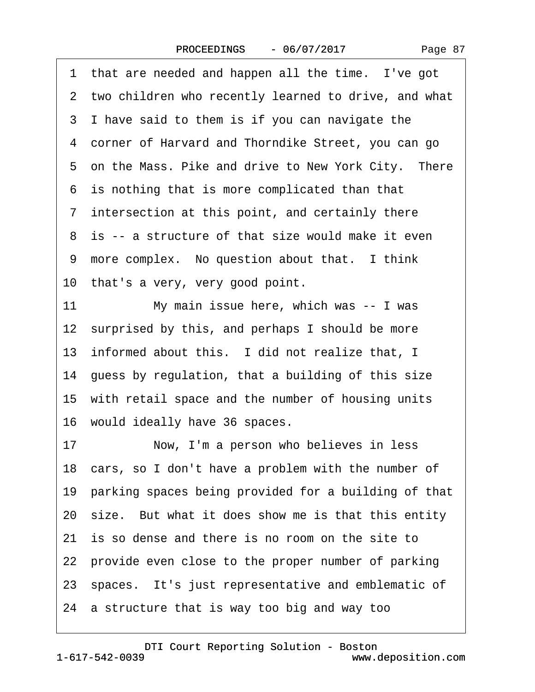<span id="page-86-0"></span>1 that are needed and happen all the time. I've got 2 two children who recently learned to drive, and what 3 I have said to them is if you can navigate the 4 corner of Harvard and Thorndike Street, you can go 5 on the Mass. Pike and drive to New York City. There 6 is nothing that is more complicated than that 7 intersection at this point, and certainly there 8 is -- a structure of that size would make it even 9 more complex. No question about that. I think 10 that's a very, very good point. 11 My main issue here, which was -- I was 12 surprised by this, and perhaps I should be more 13 informed about this. I did not realize that, I 14 guess by regulation, that a building of this size 15 with retail space and the number of housing units 16· would ideally have 36 spaces. 17 Now, I'm a person who believes in less 18 cars, so I don't have a problem with the number of 19 parking spaces being provided for a building of that 20 size. But what it does show me is that this entity 21 is so dense and there is no room on the site to 22 provide even close to the proper number of parking 23 spaces. It's just representative and emblematic of 24· a structure that is way too big and way too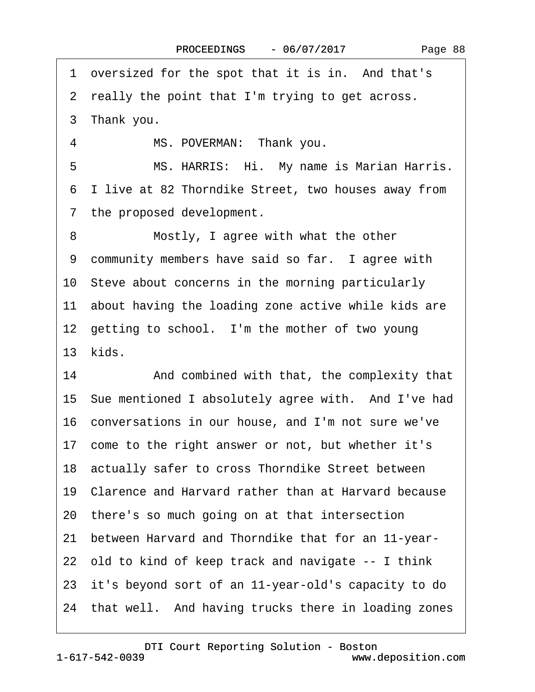<span id="page-87-0"></span>1 oversized for the spot that it is in. And that's

2 really the point that I'm trying to get across.

3 Thank you.

4 MS. POVERMAN: Thank you.

5 MS. HARRIS: Hi. My name is Marian Harris. ·6· I live at 82 Thorndike Street, two houses away from 7 the proposed development.

8 Mostly, I agree with what the other 9 community members have said so far. I agree with 10· Steve about concerns in the morning particularly 11 about having the loading zone active while kids are 12 getting to school. I'm the mother of two young 13 kids.

14 • And combined with that, the complexity that 15· Sue mentioned I absolutely agree with.· And I've had 16· conversations in our house, and I'm not sure we've 17 come to the right answer or not, but whether it's

18· actually safer to cross Thorndike Street between

19· Clarence and Harvard rather than at Harvard because

20· there's so much going on at that intersection

21· between Harvard and Thorndike that for an 11-year-

22· old to kind of keep track and navigate -- I think

23· it's beyond sort of an 11-year-old's capacity to do

24 that well. And having trucks there in loading zones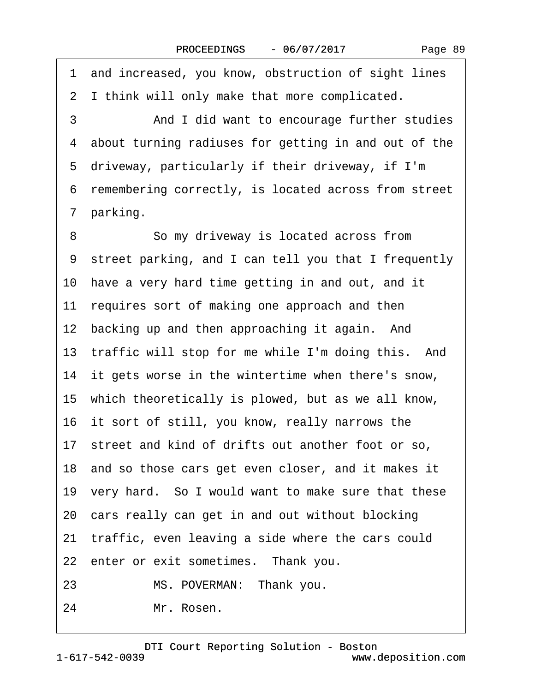<span id="page-88-0"></span>1 and increased, you know, obstruction of sight lines 2 I think will only make that more complicated.

·3· · · · · ·And I did want to encourage further studies 4 about turning radiuses for getting in and out of the 5 driveway, particularly if their driveway, if I'm ·6· remembering correctly, is located across from street 7 parking.

8 **8** · **So my driveway is located across from** ·9· street parking, and I can tell you that I frequently 10 have a very hard time getting in and out, and it 11 requires sort of making one approach and then 12 backing up and then approaching it again. And 13 traffic will stop for me while I'm doing this. And 14 it gets worse in the wintertime when there's snow, 15· which theoretically is plowed, but as we all know, 16 it sort of still, you know, really narrows the 17 street and kind of drifts out another foot or so, 18 and so those cars get even closer, and it makes it 19· very hard.· So I would want to make sure that these 20 cars really can get in and out without blocking 21 traffic, even leaving a side where the cars could 22 enter or exit sometimes. Thank you. 23 MS. POVERMAN: Thank you. 24 Mr. Rosen.

1-617-542-0039 [DTI Court Reporting Solution - Boston](http://www.deposition.com) www.deposition.com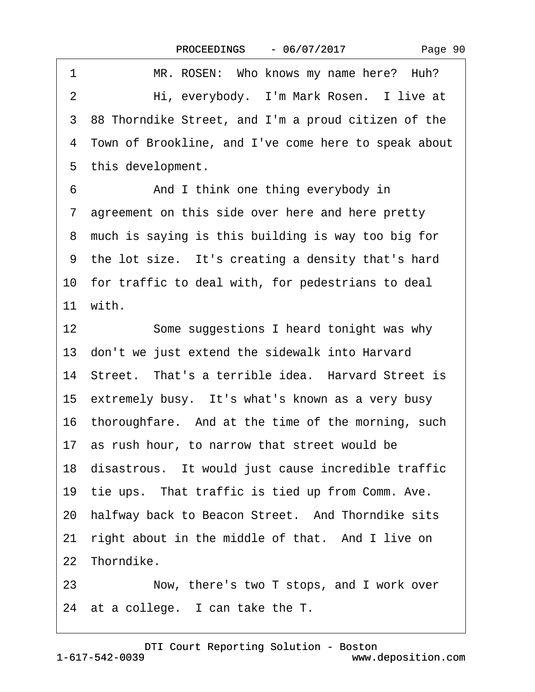<span id="page-89-0"></span>

| 1  | MR. ROSEN: Who knows my name here? Huh?                |  |  |  |
|----|--------------------------------------------------------|--|--|--|
| 2  | Hi, everybody. I'm Mark Rosen. I live at               |  |  |  |
|    | 3 88 Thorndike Street, and I'm a proud citizen of the  |  |  |  |
|    | 4 Town of Brookline, and I've come here to speak about |  |  |  |
|    | 5 this development.                                    |  |  |  |
| 6  | And I think one thing everybody in                     |  |  |  |
|    | 7 agreement on this side over here and here pretty     |  |  |  |
|    | 8 much is saying is this building is way too big for   |  |  |  |
|    | 9 the lot size. It's creating a density that's hard    |  |  |  |
|    | 10 for traffic to deal with, for pedestrians to deal   |  |  |  |
|    | 11 with.                                               |  |  |  |
| 12 | Some suggestions I heard tonight was why               |  |  |  |
|    | 13 don't we just extend the sidewalk into Harvard      |  |  |  |
|    | 14 Street. That's a terrible idea. Harvard Street is   |  |  |  |
|    | 15 extremely busy. It's what's known as a very busy    |  |  |  |
|    | 16 thoroughfare. And at the time of the morning, such  |  |  |  |
|    | 17 as rush hour, to narrow that street would be        |  |  |  |
|    | 18 disastrous. It would just cause incredible traffic  |  |  |  |
|    | 19 tie ups. That traffic is tied up from Comm. Ave.    |  |  |  |
|    | 20 halfway back to Beacon Street. And Thorndike sits   |  |  |  |
|    | 21 right about in the middle of that. And I live on    |  |  |  |
|    | 22 Thorndike.                                          |  |  |  |
| 23 | Now, there's two T stops, and I work over              |  |  |  |
|    | 24 at a college. I can take the T.                     |  |  |  |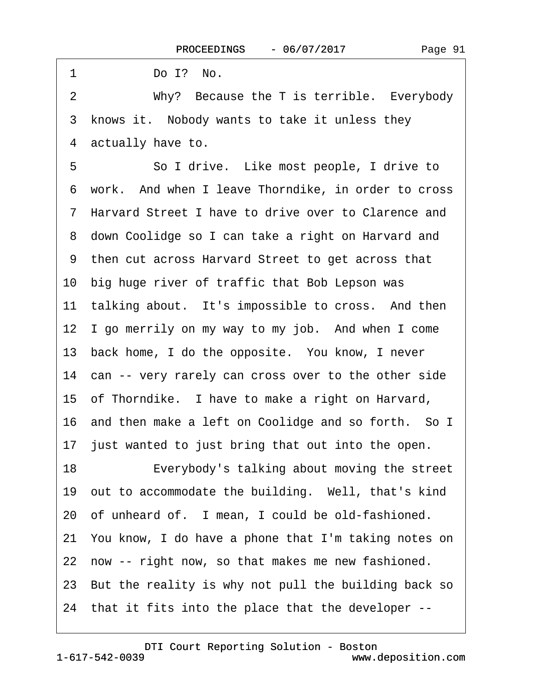<span id="page-90-0"></span> $1$  Do I? No.

2 Why? Because the T is terrible. Everybody 3 knows it. Nobody wants to take it unless they 4 actually have to.

5 **· · · So I drive.** Like most people, I drive to ·6· work.· And when I leave Thorndike, in order to cross ·7· Harvard Street I have to drive over to Clarence and 8 down Coolidge so I can take a right on Harvard and ·9· then cut across Harvard Street to get across that 10 big huge river of traffic that Bob Lepson was 11 talking about. It's impossible to cross. And then 12 I go merrily on my way to my job. And when I come 13 back home, I do the opposite. You know, I never 14 can -- very rarely can cross over to the other side 15 of Thorndike. I have to make a right on Harvard, 16 and then make a left on Coolidge and so forth. So I 17 just wanted to just bring that out into the open. 18 • • • Everybody's talking about moving the street 19 out to accommodate the building. Well, that's kind 20 of unheard of. I mean, I could be old-fashioned. 21· You know, I do have a phone that I'm taking notes on 22 now -- right now, so that makes me new fashioned. 23· But the reality is why not pull the building back so 24· that it fits into the place that the developer --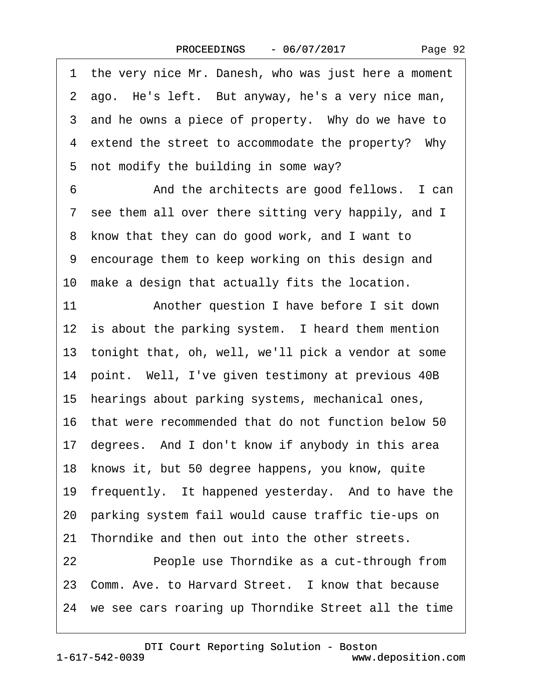Page 92

<span id="page-91-0"></span>1 the very nice Mr. Danesh, who was just here a moment 2 ago. He's left. But anyway, he's a very nice man, 3 and he owns a piece of property. Why do we have to 4 extend the street to accommodate the property? Why 5 not modify the building in some way? 6 • • And the architects are good fellows. I can 7 see them all over there sitting very happily, and I 8 know that they can do good work, and I want to ·9· encourage them to keep working on this design and 10 make a design that actually fits the location. 11 • **Another question I have before I sit down** 12 is about the parking system. I heard them mention 13· tonight that, oh, well, we'll pick a vendor at some 14 point. Well, I've given testimony at previous 40B 15 hearings about parking systems, mechanical ones, 16· that were recommended that do not function below 50 17 degrees. And I don't know if anybody in this area 18 knows it, but 50 degree happens, you know, quite 19 frequently. It happened yesterday. And to have the 20· parking system fail would cause traffic tie-ups on 21 Thorndike and then out into the other streets. 22 **• People use Thorndike as a cut-through from** 23 Comm. Ave. to Harvard Street. I know that because 24 we see cars roaring up Thorndike Street all the time

1-617-542-0039 [DTI Court Reporting Solution - Boston](http://www.deposition.com)

www.deposition.com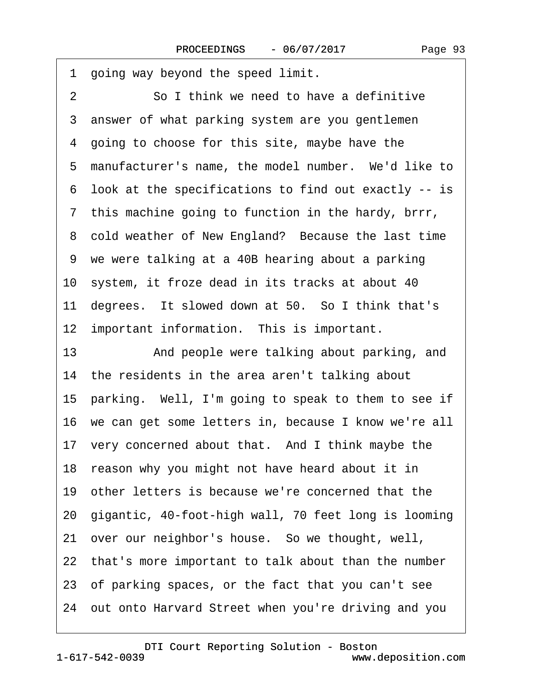<span id="page-92-0"></span>1 going way beyond the speed limit. 2 **3. • So I think we need to have a definitive** 3 answer of what parking system are you gentlemen 4 going to choose for this site, maybe have the 5 manufacturer's name, the model number. We'd like to ·6· look at the specifications to find out exactly -- is 7 this machine going to function in the hardy, brrr, 8 cold weather of New England? Because the last time 9 we were talking at a 40B hearing about a parking 10 system, it froze dead in its tracks at about 40 11 degrees. It slowed down at 50. So I think that's 12 important information. This is important. 13 • And people were talking about parking, and 14 the residents in the area aren't talking about 15 parking. Well, I'm going to speak to them to see if 16 we can get some letters in, because I know we're all 17 very concerned about that. And I think maybe the 18 reason why you might not have heard about it in 19· other letters is because we're concerned that the 20· gigantic, 40-foot-high wall, 70 feet long is looming 21· over our neighbor's house.· So we thought, well, 22 that's more important to talk about than the number 23· of parking spaces, or the fact that you can't see 24· out onto Harvard Street when you're driving and you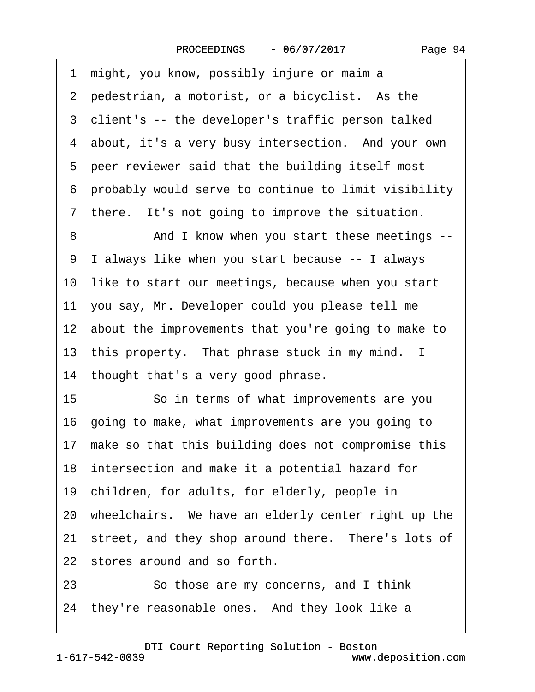<span id="page-93-0"></span>·1· might, you know, possibly injure or maim a 2 pedestrian, a motorist, or a bicyclist. As the 3 client's -- the developer's traffic person talked 4 about, it's a very busy intersection. And your own 5 peer reviewer said that the building itself most ·6· probably would serve to continue to limit visibility 7 there. It's not going to improve the situation. 8 And I know when you start these meetings --·9· I always like when you start because -- I always 10 like to start our meetings, because when you start 11· you say, Mr. Developer could you please tell me 12 about the improvements that you're going to make to 13 this property. That phrase stuck in my mind. I 14 thought that's a very good phrase. 15 **· · · · So in terms of what improvements are you** 16· going to make, what improvements are you going to 17 make so that this building does not compromise this 18 intersection and make it a potential hazard for 19 children, for adults, for elderly, people in 20· wheelchairs.· We have an elderly center right up the 21 street, and they shop around there. There's lots of 22 stores around and so forth. 23 **So those are my concerns, and I think** 

24 they're reasonable ones. And they look like a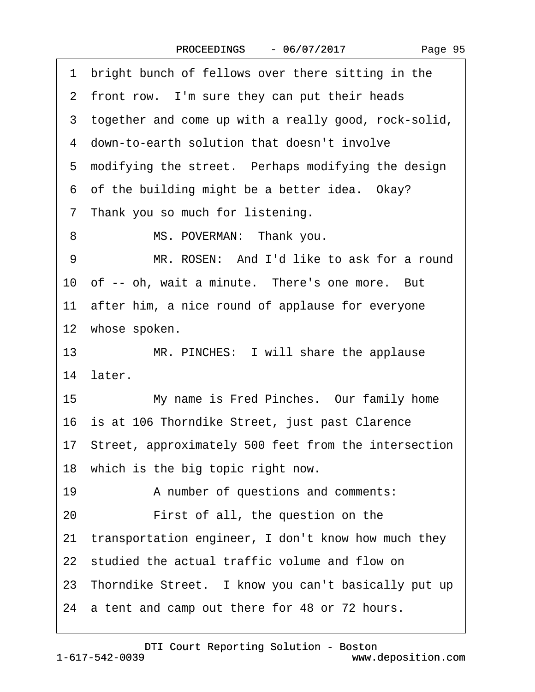<span id="page-94-0"></span>1 bright bunch of fellows over there sitting in the

- 2 front row. I'm sure they can put their heads
- 3 together and come up with a really good, rock-solid,
- ·4· down-to-earth solution that doesn't involve
- 5 modifying the street. Perhaps modifying the design
- 6 of the building might be a better idea. Okay?
- 7 Thank you so much for listening.
- 8 MS. POVERMAN: Thank you.
- 9 MR. ROSEN: And I'd like to ask for a round
- 10 of -- oh, wait a minute. There's one more. But
- 11 after him, a nice round of applause for everyone
- 12 whose spoken.
- 13 MR. PINCHES: I will share the applause 14 later.
- 15 My name is Fred Pinches. Our family home
- 16 is at 106 Thorndike Street, just past Clarence
- 17· Street, approximately 500 feet from the intersection
- 18 which is the big topic right now.
- 19 A number of questions and comments:
- 20 **••** First of all, the question on the
- 21 transportation engineer, I don't know how much they
- 22 studied the actual traffic volume and flow on
- 23 Thorndike Street. I know you can't basically put up
- 24 a tent and camp out there for 48 or 72 hours.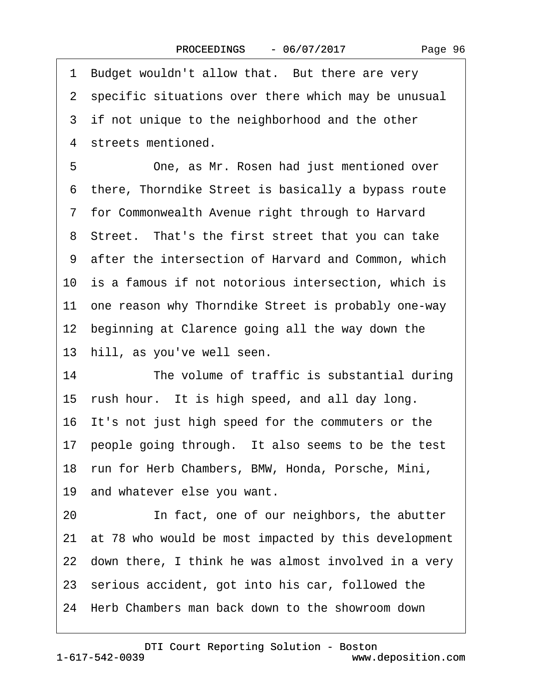Page 96

<span id="page-95-0"></span>1 Budget wouldn't allow that. But there are very 2 specific situations over there which may be unusual 3 if not unique to the neighborhood and the other 4 streets mentioned. 5 **• One, as Mr. Rosen had just mentioned over** ·6· there, Thorndike Street is basically a bypass route ·7· for Commonwealth Avenue right through to Harvard 8 Street. That's the first street that you can take 9 after the intersection of Harvard and Common, which 10 is a famous if not notorious intersection, which is 11 one reason why Thorndike Street is probably one-way 12 beginning at Clarence going all the way down the 13 hill, as you've well seen. 14 The volume of traffic is substantial during 15 rush hour. It is high speed, and all day long. 16 It's not just high speed for the commuters or the 17 people going through. It also seems to be the test 18· run for Herb Chambers, BMW, Honda, Porsche, Mini, 19 and whatever else you want. 20 **In fact, one of our neighbors, the abutter** 21· at 78 who would be most impacted by this development 22 down there, I think he was almost involved in a very 23 serious accident, got into his car, followed the 24· Herb Chambers man back down to the showroom down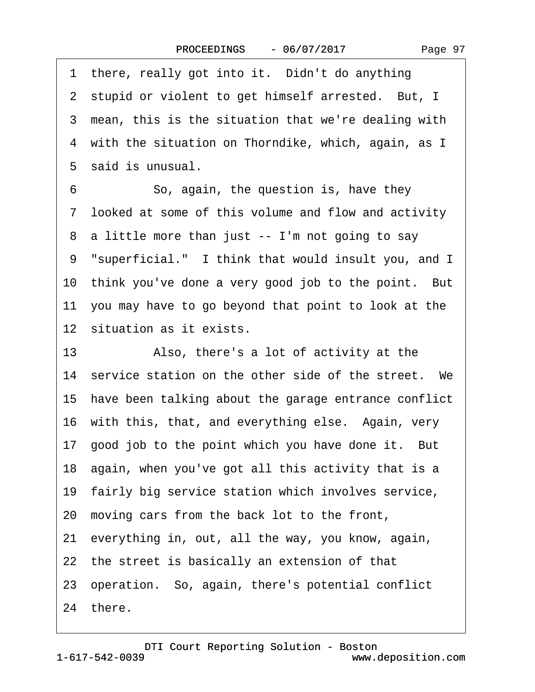<span id="page-96-0"></span>1 there, really got into it. Didn't do anything 2 stupid or violent to get himself arrested. But, I 3 mean, this is the situation that we're dealing with 4 with the situation on Thorndike, which, again, as I 5 said is unusual. 6 · · So, again, the question is, have they ·7· looked at some of this volume and flow and activity 8 a little more than just -- I'm not going to say 9 "superficial." I think that would insult you, and I 10 think you've done a very good job to the point. But 11· you may have to go beyond that point to look at the 12 situation as it exists. 13 • Also, there's a lot of activity at the 14 service station on the other side of the street. We 15· have been talking about the garage entrance conflict 16 with this, that, and everything else. Again, very 17 good job to the point which you have done it. But 18 again, when you've got all this activity that is a 19· fairly big service station which involves service, 20· moving cars from the back lot to the front, 21· everything in, out, all the way, you know, again, 22 the street is basically an extension of that

- 
- 23· operation.· So, again, there's potential conflict

24 there.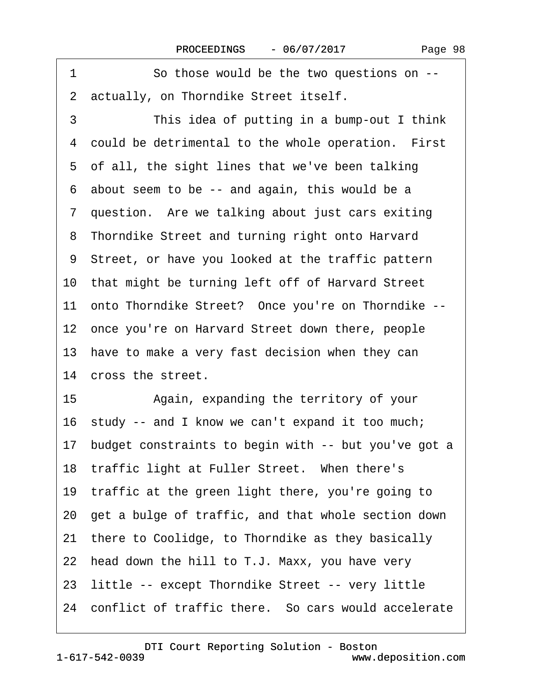<span id="page-97-0"></span>1 So those would be the two questions on --2 actually, on Thorndike Street itself. 3 This idea of putting in a bump-out I think 4 could be detrimental to the whole operation. First 5 of all, the sight lines that we've been talking ·6· about seem to be -- and again, this would be a 7 question. Are we talking about just cars exiting 8 Thorndike Street and turning right onto Harvard ·9· Street, or have you looked at the traffic pattern 10· that might be turning left off of Harvard Street 11 onto Thorndike Street? Once you're on Thorndike --12 once you're on Harvard Street down there, people 13 have to make a very fast decision when they can 14 cross the street. 15 • Again, expanding the territory of your 16 study -- and I know we can't expand it too much; 17 budget constraints to begin with -- but you've got a 18 traffic light at Fuller Street. When there's 19 traffic at the green light there, you're going to 20· get a bulge of traffic, and that whole section down 21 there to Coolidge, to Thorndike as they basically 22 head down the hill to T.J. Maxx, you have very 23 little -- except Thorndike Street -- very little 24 conflict of traffic there. So cars would accelerate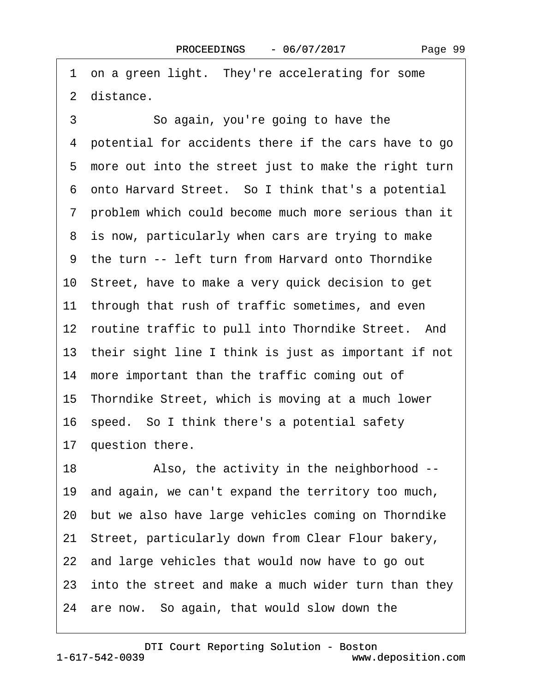<span id="page-98-0"></span>1 on a green light. They're accelerating for some 2 distance.

3 **3** • So again, you're going to have the ·4· potential for accidents there if the cars have to go 5 more out into the street just to make the right turn ·6· onto Harvard Street.· So I think that's a potential ·7· problem which could become much more serious than it 8 is now, particularly when cars are trying to make ·9· the turn -- left turn from Harvard onto Thorndike 10· Street, have to make a very quick decision to get 11 through that rush of traffic sometimes, and even 12 routine traffic to pull into Thorndike Street. And 13 their sight line I think is just as important if not 14 more important than the traffic coming out of 15· Thorndike Street, which is moving at a much lower 16 speed. So I think there's a potential safety 17 question there. 18 • Also, the activity in the neighborhood --19· and again, we can't expand the territory too much, 20· but we also have large vehicles coming on Thorndike 21· Street, particularly down from Clear Flour bakery, 22 and large vehicles that would now have to go out 23 into the street and make a much wider turn than they 24 are now. So again, that would slow down the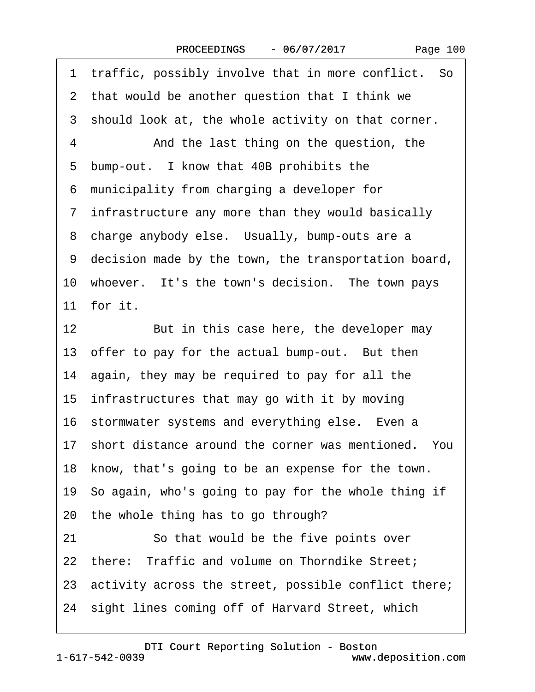Page 100

<span id="page-99-0"></span>1 traffic, possibly involve that in more conflict. So 2 that would be another question that I think we 3 should look at, the whole activity on that corner. 4 • And the last thing on the question, the 5 bump-out. I know that 40B prohibits the ·6· municipality from charging a developer for ·7· infrastructure any more than they would basically 8 charge anybody else. Usually, bump-outs are a ·9· decision made by the town, the transportation board, 10 whoever. It's the town's decision. The town pays 11 for it. 12 But in this case here, the developer may 13 offer to pay for the actual bump-out. But then 14 again, they may be required to pay for all the 15 infrastructures that may go with it by moving 16 stormwater systems and everything else. Even a 17 short distance around the corner was mentioned. You 18 know, that's going to be an expense for the town. 19· So again, who's going to pay for the whole thing if 20 the whole thing has to go through? 21 So that would be the five points over 22 there: Traffic and volume on Thorndike Street; 23 activity across the street, possible conflict there; 24 sight lines coming off of Harvard Street, which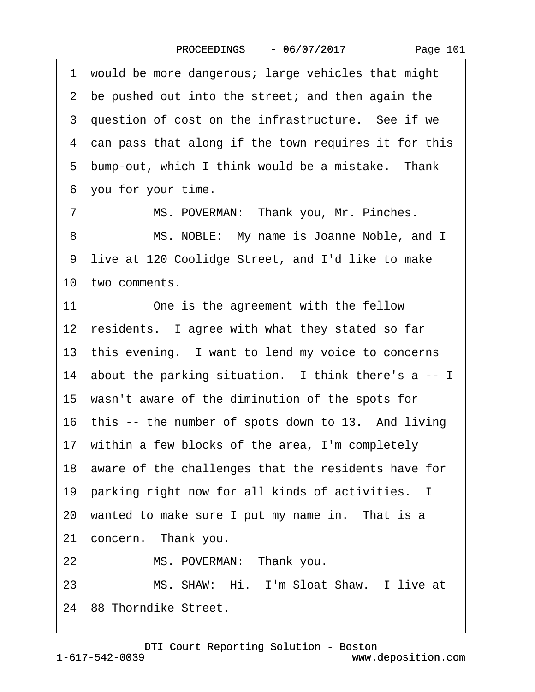<span id="page-100-0"></span>·1· would be more dangerous; large vehicles that might 2 be pushed out into the street; and then again the 3 question of cost on the infrastructure. See if we 4 can pass that along if the town requires it for this 5 bump-out, which I think would be a mistake. Thank ·6· you for your time. 7 MS. POVERMAN: Thank you, Mr. Pinches. 8 MS. NOBLE: My name is Joanne Noble, and I 9 live at 120 Coolidge Street, and I'd like to make 10 two comments.

11 One is the agreement with the fellow 12 residents. I agree with what they stated so far 13 this evening. I want to lend my voice to concerns 14 about the parking situation. I think there's a  $-1$ 15 wasn't aware of the diminution of the spots for 16 this -- the number of spots down to 13. And living 17 within a few blocks of the area, I'm completely 18 aware of the challenges that the residents have for 19· parking right now for all kinds of activities. I 20 wanted to make sure I put my name in. That is a 21 concern. Thank you. 22 MS. POVERMAN: Thank you. 23 MS. SHAW: Hi. I'm Sloat Shaw. I live at 24 88 Thorndike Street.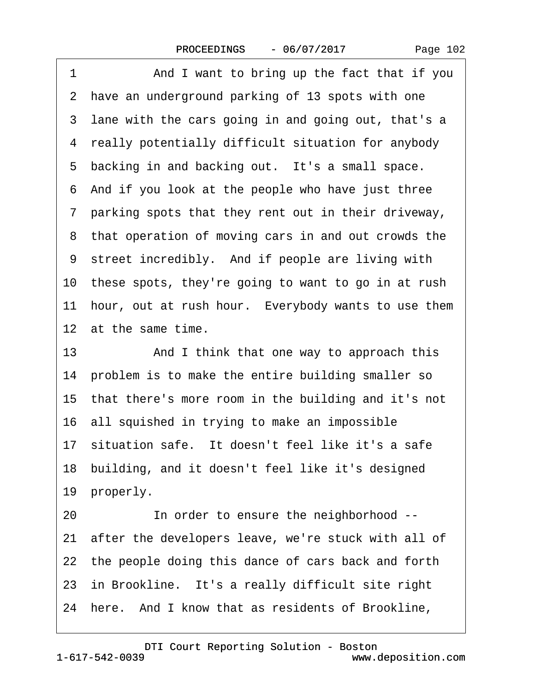<span id="page-101-0"></span>1 And I want to bring up the fact that if you 2 have an underground parking of 13 spots with one 3 lane with the cars going in and going out, that's a 4 really potentially difficult situation for anybody 5 backing in and backing out. It's a small space. ·6· And if you look at the people who have just three ·7· parking spots that they rent out in their driveway, 8 that operation of moving cars in and out crowds the 9 street incredibly. And if people are living with 10 these spots, they're going to want to go in at rush 11 hour, out at rush hour. Everybody wants to use them 12 at the same time. 13 • And I think that one way to approach this 14 problem is to make the entire building smaller so 15 that there's more room in the building and it's not 16· all squished in trying to make an impossible 17 situation safe. It doesn't feel like it's a safe 18 building, and it doesn't feel like it's designed 19 properly.

20 **In order to ensure the neighborhood --**21 after the developers leave, we're stuck with all of 22 the people doing this dance of cars back and forth 23 in Brookline. It's a really difficult site right 24 here. And I know that as residents of Brookline,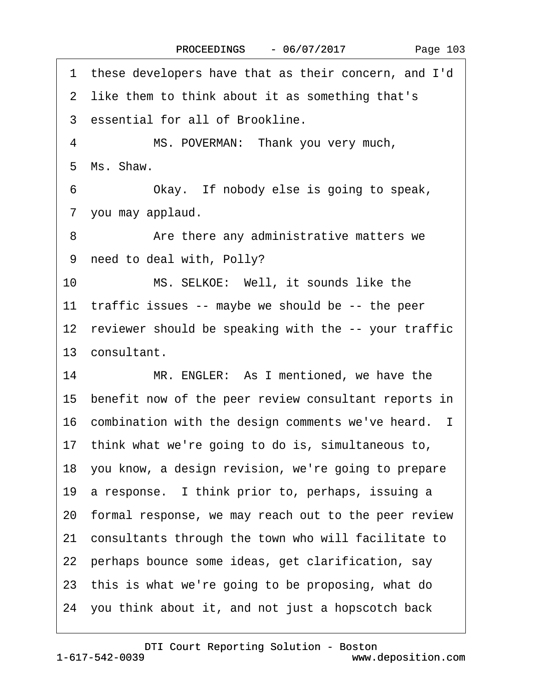<span id="page-102-0"></span>·1· these developers have that as their concern, and I'd 2 like them to think about it as something that's 3 essential for all of Brookline. 4 MS. POVERMAN: Thank you very much, ·5· Ms. Shaw. 6 Chay. If nobody else is going to speak, 7 you may applaud. 8 • • • Are there any administrative matters we 9 need to deal with, Polly? 10 MS. SELKOE: Well, it sounds like the 11 traffic issues -- maybe we should be -- the peer 12 reviewer should be speaking with the -- your traffic 13 consultant. 14 MR. ENGLER: As I mentioned, we have the 15 benefit now of the peer review consultant reports in 16 combination with the design comments we've heard. I 17· think what we're going to do is, simultaneous to, 18 you know, a design revision, we're going to prepare 19 a response. I think prior to, perhaps, issuing a 20· formal response, we may reach out to the peer review 21· consultants through the town who will facilitate to 22 perhaps bounce some ideas, get clarification, say 23· this is what we're going to be proposing, what do 24· you think about it, and not just a hopscotch back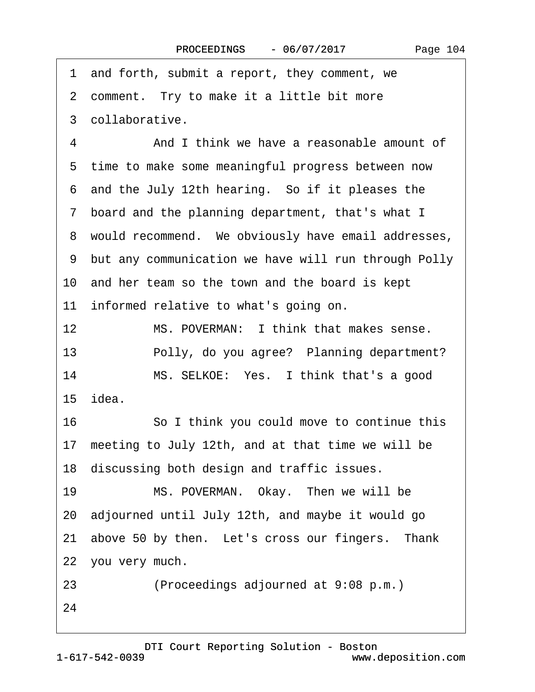<span id="page-103-0"></span>1 and forth, submit a report, they comment, we

2 comment. Try to make it a little bit more

·3· collaborative.

4 And I think we have a reasonable amount of 5 time to make some meaningful progress between now ·6· and the July 12th hearing.· So if it pleases the 7 board and the planning department, that's what I 8 would recommend. We obviously have email addresses, ·9· but any communication we have will run through Polly 10 and her team so the town and the board is kept 11 informed relative to what's going on. 12 MS. POVERMAN: I think that makes sense. 13 • Polly, do you agree? Planning department? 14 MS. SELKOE: Yes. I think that's a good 15· idea. 16 **· · · · So I think you could move to continue this** 

17 meeting to July 12th, and at that time we will be 18 discussing both design and traffic issues.

19 MS. POVERMAN. Okay. Then we will be 20· adjourned until July 12th, and maybe it would go 21 above 50 by then. Let's cross our fingers. Thank 22 you very much.

23 • Proceedings adjourned at 9:08 p.m.)

24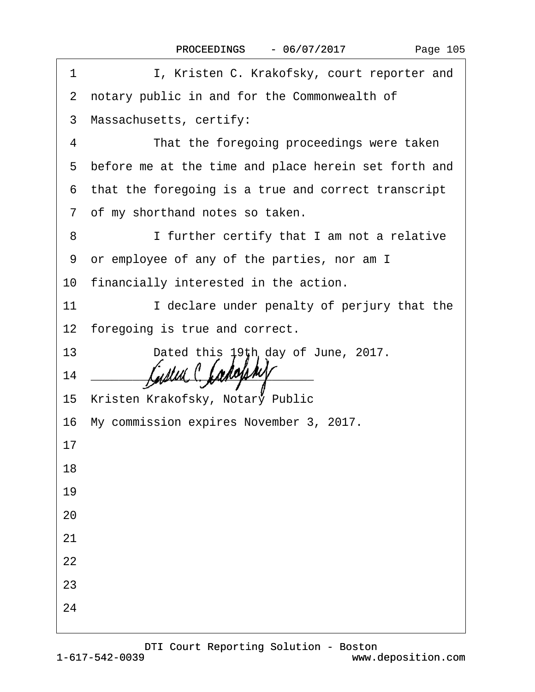| 1  | I, Kristen C. Krakofsky, court reporter and                                                                           |  |  |  |
|----|-----------------------------------------------------------------------------------------------------------------------|--|--|--|
|    | 2 notary public in and for the Commonwealth of                                                                        |  |  |  |
|    | 3 Massachusetts, certify:                                                                                             |  |  |  |
| 4  | That the foregoing proceedings were taken                                                                             |  |  |  |
|    | 5 before me at the time and place herein set forth and                                                                |  |  |  |
|    | 6 that the foregoing is a true and correct transcript                                                                 |  |  |  |
|    | 7 of my shorthand notes so taken.                                                                                     |  |  |  |
| 8  | I further certify that I am not a relative                                                                            |  |  |  |
|    | 9 or employee of any of the parties, nor am I                                                                         |  |  |  |
|    | 10 financially interested in the action.                                                                              |  |  |  |
| 11 | I declare under penalty of perjury that the                                                                           |  |  |  |
|    | 12 foregoing is true and correct.                                                                                     |  |  |  |
|    | 13<br>Dated this 19th day of June, 2017.                                                                              |  |  |  |
| 14 | <u> 2008 - Jan James James James James James James James James James James James James James James James James Ja</u> |  |  |  |
|    | 15 Kristen Krakofsky, Notary Public                                                                                   |  |  |  |
|    | 16 My commission expires November 3, 2017.                                                                            |  |  |  |
| 17 |                                                                                                                       |  |  |  |
| 18 |                                                                                                                       |  |  |  |
| 19 |                                                                                                                       |  |  |  |
| 20 |                                                                                                                       |  |  |  |
| 21 |                                                                                                                       |  |  |  |
| 22 |                                                                                                                       |  |  |  |
| 23 |                                                                                                                       |  |  |  |
| 24 |                                                                                                                       |  |  |  |
|    |                                                                                                                       |  |  |  |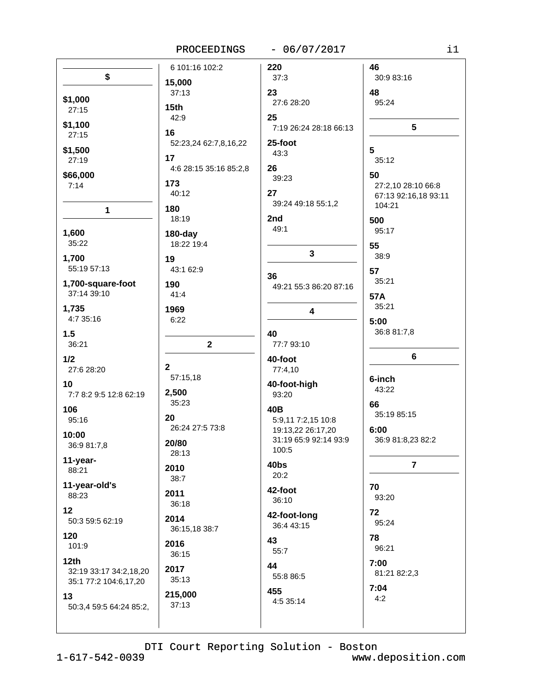### PROCEEDINGS - 06/07/2017

|                         | 6 101:16 102:2         | 220                    | 46                   |
|-------------------------|------------------------|------------------------|----------------------|
| \$                      | 15,000                 | 37:3                   | 30:9 83:16           |
|                         | 37:13                  | 23                     | 48                   |
| \$1,000                 |                        | 27:6 28:20             | 95:24                |
| 27:15                   | 15th                   |                        |                      |
| \$1,100                 | 42:9                   | 25                     |                      |
| 27:15                   | 16                     | 7:19 26:24 28:18 66:13 | 5                    |
|                         | 52:23,24 62:7,8,16,22  | 25-foot                |                      |
| \$1,500                 |                        | 43:3                   | 5                    |
| 27:19                   | 17                     |                        | 35:12                |
| \$66,000                | 4:6 28:15 35:16 85:2,8 | 26                     | 50                   |
| 7:14                    | 173                    | 39:23                  | 27:2,10 28:10 66:8   |
|                         | 40:12                  | 27                     | 67:13 92:16,18 93:11 |
|                         | 180                    | 39:24 49:18 55:1,2     | 104:21               |
| 1                       | 18:19                  | 2nd                    |                      |
|                         |                        | 49:1                   | 500                  |
| 1,600                   | $180$ -day             |                        | 95:17                |
| 35:22                   | 18:22 19:4             |                        | 55                   |
| 1,700                   | 19                     | 3                      | 38:9                 |
| 55:19 57:13             | 43:1 62:9              |                        | 57                   |
|                         |                        | 36                     | 35:21                |
| 1,700-square-foot       | 190                    | 49:21 55:3 86:20 87:16 |                      |
| 37:14 39:10             | 41:4                   |                        | 57A                  |
| 1,735                   | 1969                   | 4                      | 35:21                |
| 4:7 35:16               | 6:22                   |                        | 5:00                 |
|                         |                        |                        | 36:8 81:7,8          |
| 1.5                     |                        | 40                     |                      |
| 36:21                   | $\mathbf 2$            | 77:7 93:10             |                      |
| 1/2                     |                        | 40-foot                | 6                    |
| 27:6 28:20              | $\mathbf{2}$           | 77:4,10                |                      |
| 10                      | 57:15,18               | 40-foot-high           | 6-inch               |
| 7:7 8:2 9:5 12:8 62:19  | 2,500                  | 93:20                  | 43:22                |
|                         | 35:23                  |                        | 66                   |
| 106                     |                        | 40B                    | 35:19 85:15          |
| 95:16                   | 20                     | 5:9,11 7:2,15 10:8     |                      |
| 10:00                   | 26:24 27:5 73:8        | 19:13,22 26:17,20      | 6:00                 |
| 36:9 81:7,8             | 20/80                  | 31:19 65:9 92:14 93:9  | 36:9 81:8,23 82:2    |
|                         | 28:13                  | 100:5                  |                      |
| 11-year-                | 2010                   | 40bs                   | $\overline{7}$       |
| 88:21                   | 38:7                   | 20:2                   |                      |
| 11-year-old's           |                        |                        | 70                   |
| 88:23                   | 2011                   | 42-foot                | 93:20                |
| 12                      | 36:18                  | 36:10                  |                      |
|                         | 2014                   | 42-foot-long           | 72                   |
| 50:3 59:5 62:19         | 36:15,18 38:7          | 36:4 43:15             | 95:24                |
| 120                     |                        | 43                     | 78                   |
| 101:9                   | 2016                   | 55:7                   | 96:21                |
| 12 <sub>th</sub>        | 36:15                  |                        |                      |
| 32:19 33:17 34:2,18,20  | 2017                   | 44                     | 7:00                 |
| 35:1 77:2 104:6,17,20   | 35:13                  | 55:8 86:5              | 81:21 82:2,3         |
|                         |                        | 455                    | 7:04                 |
| 13                      | 215,000                | 4:5 35:14              | 4:2                  |
| 50:3,4 59:5 64:24 85:2, | 37:13                  |                        |                      |
|                         |                        |                        |                      |
|                         |                        |                        |                      |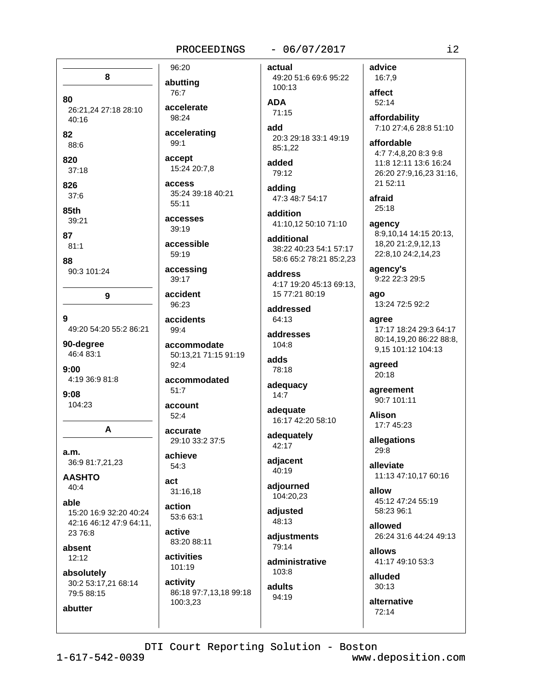#### PROCEEDINGS

### $-06/07/2017$

actual 49:20 51:6 69:6 95:22 100:13

**ADA** 

 $71:15$ add

20:3 29:18 33:1 49:19 85:1.22

added 79:12

adding 47:3 48:7 54:17

addition 41:10,12 50:10 71:10

additional 38:22 40:23 54:1 57:17 58:6 65:2 78:21 85:2.23

address 4:17 19:20 45:13 69:13. 15 77:21 80:19

addressed  $64:13$ 

addresses  $104.8$ 

adds 78:18

adequacy  $14:7$ 

adequate 16:17 42:20 58:10

adequately 42:17

adjacent 40:19

adjourned 104:20,23

adjusted 48:13

adjustments 79:14

administrative 103:8

adults 94:19

16:7,9 affect  $52:14$ affordability 7:10 27:4,6 28:8 51:10 affordable 4:7 7:4,8,20 8:3 9:8 11:8 12:11 13:6 16:24 26:20 27:9,16,23 31:16, 21 52:11

afraid  $25:18$ 

advice

agency 8:9,10,14 14:15 20:13, 18,20 21:2,9,12,13 22:8,10 24:2,14,23

agency's 9:22 22:3 29:5

ago 13:24 72:5 92:2

agree 17:17 18:24 29:3 64:17 80:14.19.20 86:22 88:8. 9,15 101:12 104:13

agreed  $20:18$ 

agreement 90:7 101:11

**Alison** 17:7 45:23

allegations 29:8

alleviate 11:13 47:10,17 60:16

allow 45:12 47:24 55:19 58:23 96:1

allowed 26:24 31:6 44:24 49:13

allows 41:17 49:10 53:3

alluded  $30:13$ 

alternative 72:14

# 96:20

abutting

accelerate

76:7

 $98.24$ 

8 80 26:21,24 27:18 28:10 40:16

82

88:6

820  $37:18$ 

826

 $37:6$ 

85th 39:21

87

 $81:1$ 

88

90:3 101:24

9

9 49:20 54:20 55:2 86:21

90-degree 46:4 83:1

 $9:00$ 4:19 36:9 81:8

 $9:08$ 104:23

a.m. 36:9 81:7,21,23

A

**AASHTO**  $40:4$ 

able 15:20 16:9 32:20 40:24 42:16 46:12 47:9 64:11, 23 76:8

absent  $12:12$ 

abutter

absolutely 30:2 53:17,21 68:14 79:5 88:15

accelerating  $99:1$ accept 15:24 20:7,8 access 35:24 39:18 40:21  $55:11$ accesses

 $39:19$ accessible

59:19 accessing

39:17

accident 96:23

accidents 99:4

accommodate 50:13,21 71:15 91:19  $92:4$ 

accommodated  $51:7$ 

account  $52:4$ 

accurate 29:10 33:2 37:5

achieve 54:3

act

31:16,18 action

53:6 63:1 active 83:20 88:11

activities 101:19

activity 86:18 97:7,13,18 99:18 100:3,23

DTI Court Reporting Solution - Boston

 $1 - 617 - 542 - 0039$ 

www.deposition.com

 $i2$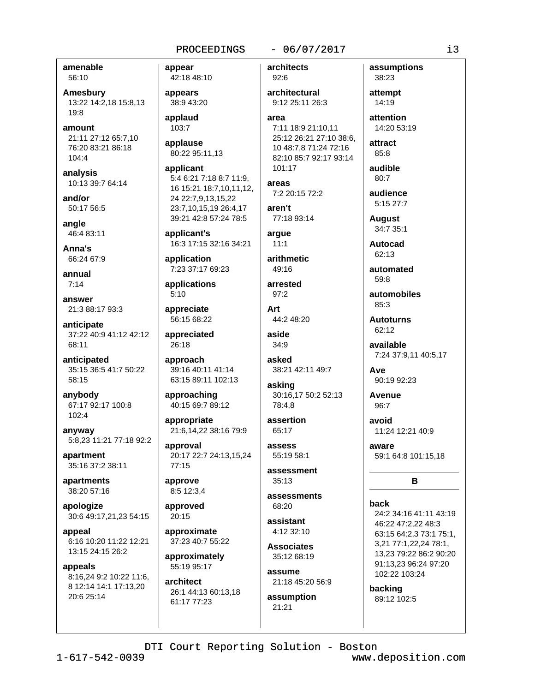#### PROCEEDINGS

#### $-06/07/2017$

architects

amenable 56:10

Amesbury 13:22 14:2.18 15:8.13  $19.8$ 

amount 21:11 27:12 65:7.10 76:20 83:21 86:18  $104:4$ 

analysis 10:13 39:7 64:14

and/or 50:17 56:5

angle 46:4 83:11

Anna's 66:24 67:9

annual  $7:14$ 

answer 21:3 88:17 93:3

anticipate 37:22 40:9 41:12 42:12  $68.11$ 

anticipated 35:15 36:5 41:7 50:22 58:15

anybody 67:17 92:17 100:8 102:4

anyway 5:8,23 11:21 77:18 92:2

apartment 35:16 37:2 38:11

apartments 38:20 57:16

apologize 30:6 49:17,21,23 54:15

appeal 6:16 10:20 11:22 12:21 13:15 24:15 26:2

appeals 8:16,24 9:2 10:22 11:6, 8 12:14 14:1 17:13,20 20:6 25:14

appear 42:18 48:10

appears 38:9 43:20

applaud 103:7

applause 80:22 95:11,13

applicant 5:4 6:21 7:18 8:7 11:9, 16 15:21 18:7,10,11,12, 24 22:7,9,13,15,22 23:7,10,15,19 26:4,17 39:21 42:8 57:24 78:5

applicant's 16:3 17:15 32:16 34:21

application 7:23 37:17 69:23

applications  $5:10$ 

appreciate 56:15 68:22

appreciated  $26:18$ 

approach 39:16 40:11 41:14 63:15 89:11 102:13

approaching 40:15 69:7 89:12

appropriate 21:6,14,22 38:16 79:9

approval 20:17 22:7 24:13,15,24  $77:15$ 

approve 8:5 12:3.4

approved 20:15

approximate 37:23 40:7 55:22

approximately 55:19 95:17

architect 26:1 44:13 60:13,18 61:17 77:23

92:6 architectural 9:12 25:11 26:3 area 7:11 18:9 21:10,11 25:12 26:21 27:10 38:6, 10 48:7.8 71:24 72:16

82:10 85:7 92:17 93:14

101:17 areas 7:2 20:15 72:2

aren't 77:18 93:14

arque  $11:1$ 

arithmetic 49:16

arrested  $97:2$ 

Art

44:2 48:20 aside

 $34.9$ asked

38:21 42:11 49:7

asking 30:16,17 50:2 52:13 78:4,8

assertion 65:17

 $229228$ 55:19 58:1

assessment  $35:13$ 

assessments 68:20

assistant  $4.1232.10$ 

**Associates** 35:12 68:19

assume 21:18 45:20 56:9

assumption  $21:21$ 

assumptions 38:23

attempt 14:19

attention 14:20 53:19

attract  $85:8$ 

audible  $80:7$ 

audience 5:15 27:7

**August** 34:7 35:1

**Autocad** 

62:13

automated 59:8

automobiles 85:3

**Autoturns** 62:12

available 7:24 37:9,11 40:5,17

Ave 90:19 92:23

Avenue 96:7

avoid 11:24 12:21 40:9

aware 59:1 64:8 101:15,18

## B

#### back

24:2 34:16 41:11 43:19 46:22 47:2,22 48:3 63:15 64:2,3 73:1 75:1, 3,21 77:1,22,24 78:1, 13,23 79:22 86:2 90:20 91:13,23 96:24 97:20 102:22 103:24

backing 89:12 102:5

www.deposition.com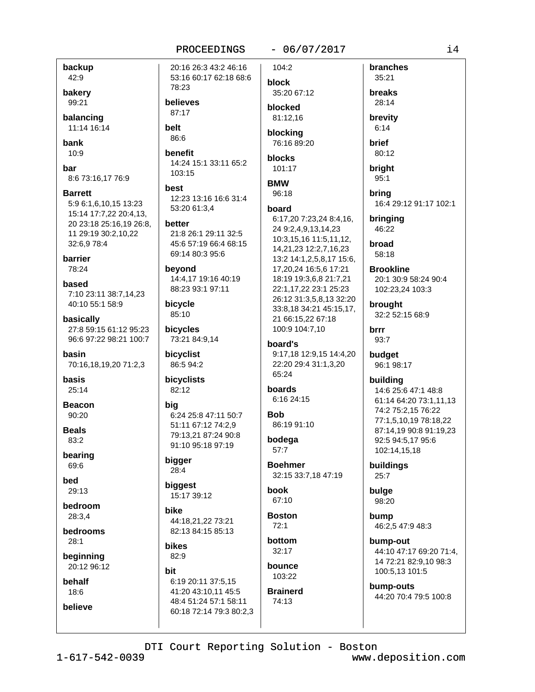backup 42:9

bakery 99:21

balancing 11:14 16:14

bank  $10:9$ 

bar 8:6 73:16,17 76:9

**Barrett** 5:9 6:1.6.10.15 13:23 15:14 17:7,22 20:4,13, 20 23:18 25:16,19 26:8, 11 29:19 30:2,10,22 32:6,9 78:4

barrier 78:24 based

7:10 23:11 38:7,14,23 40:10 55:1 58:9

basically 27:8 59:15 61:12 95:23 96:6 97:22 98:21 100:7

basin 70:16,18,19,20 71:2,3

**basis**  $25:14$ 

**Beacon** 90:20

**Beals** 83:2

bearing 69:6

**bed** 29:13

bedroom 28:3.4

**bedrooms**  $28:1$ 

beginning 20:12 96:12

behalf 18:6

believe

20:16 26:3 43:2 46:16 53:16 60:17 62:18 68:6 78:23

believes 87:17

belt 86:6

benefit 14:24 15:1 33:11 65:2 103:15

best 12:23 13:16 16:6 31:4 53:20 61:3.4

**better** 21:8 26:1 29:11 32:5 45:6 57:19 66:4 68:15 69:14 80:3 95:6

beyond 14:4,17 19:16 40:19 88:23 93:1 97:11

bicycle 85:10

bicycles 73:21 84:9,14

bicyclist 86:5 94:2

bicyclists 82:12

bia 6:24 25:8 47:11 50:7 51:11 67:12 74:2.9 79:13,21 87:24 90:8 91:10 95:18 97:19

bigger 28:4

biggest 15:17 39:12

hike 44:18.21.22 73:21 82:13 84:15 85:13

**bikes** 82:9

hit

6:19 20:11 37:5.15 41:20 43:10,11 45:5 48:4 51:24 57:1 58:11 60:18 72:14 79:3 80:2,3  $-06/07/2017$ 

104:2 block

35:20 67:12 blocked

81:12.16 blocking 76:16 89:20

blocks 101:17

```
BMW
 96:18
```
board

6:17,20 7:23,24 8:4,16, 24 9:2,4,9,13,14,23 10:3,15,16 11:5,11,12, 14,21,23 12:2,7,16,23 13:2 14:1,2,5,8,17 15:6, 17,20,24 16:5,6 17:21 18:19 19:3,6,8 21:7,21 22:1,17,22 23:1 25:23 26:12 31:3,5,8,13 32:20 33:8,18 34:21 45:15,17, 21 66:15.22 67:18 100:9 104:7,10

board's 9:17,18 12:9,15 14:4,20 22:20 29:4 31:1,3,20

65:24

boards 6:16 24:15

**Rob** 86:19 91:10

bodega  $57:7$ 

**Boehmer** 32:15 33:7,18 47:19

**book** 67:10

**Boston**  $72:1$ hottom

 $32:17$ hounce

103:22 **Brainerd** 

74:13

branches 35:21 breaks 28:14

brevity  $6:14$ 

**brief** 80:12

bright  $95:1$ 

brina 16:4 29:12 91:17 102:1

bringing 46:22

broad 58:18

**Brookline** 20:1 30:9 58:24 90:4 102:23,24 103:3

brought 32:2 52:15 68:9

**brrr** 93:7

budget 96:1 98:17

building

14:6 25:6 47:1 48:8 61:14 64:20 73:1,11,13 74:2 75:2,15 76:22 77:1,5,10,19 78:18,22 87:14,19 90:8 91:19,23 92:5 94:5,17 95:6 102:14,15,18

buildings  $25:7$ 

bulge 98:20

bump 46:2,5 47:9 48:3

bump-out 44:10 47:17 69:20 71:4. 14 72:21 82:9,10 98:3 100:5,13 101:5

bump-outs 44:20 70:4 79:5 100:8

DTI Court Reporting Solution - Boston

 $1 - 617 - 542 - 0039$ 

www.deposition.com

 $14$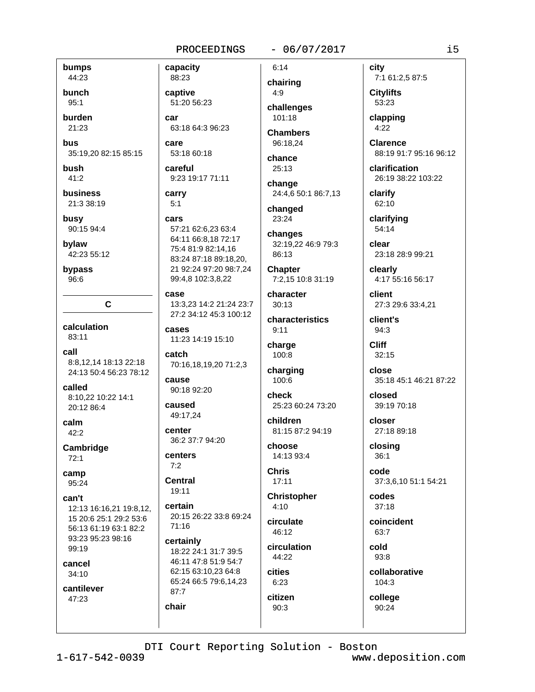bumps 44:23

bunch  $95:1$ 

burden

21:23

bus 35:19,20 82:15 85:15

bush  $41:2$ 

**business** 21:3 38:19

busy 90:15 94:4

bylaw 42:23 55:12

bypass  $96:6$ 

calculation

83:11 call

8:8.12.14 18:13 22:18 24:13 50:4 56:23 78:12

 $\mathbf{C}$ 

called 8:10.22 10:22 14:1 20:12 86:4

calm 42:2

Cambridge  $72:1$ 

camp 95:24

can't 12:13 16:16,21 19:8,12, 15 20:6 25:1 29:2 53:6 56:13 61:19 63:1 82:2 93:23 95:23 98:16 99:19

cancel  $34:10$ 

cantilever 47:23

88:23 captive 51:20 56:23 car 63:18 64:3 96:23

53:18 60:18

careful 9:23 19:17 71:11

carry  $5:1$ 

capacity

cars

care

57:21 62:6,23 63:4 64:11 66:8,18 72:17 75:4 81:9 82:14,16 83:24 87:18 89:18,20, 21 92:24 97:20 98:7,24 99:4,8 102:3,8,22

case 13:3,23 14:2 21:24 23:7 27:2 34:12 45:3 100:12

cases 11:23 14:19 15:10

catch 70:16,18,19,20 71:2,3

cause 90:18 92:20

caused 49:17.24

center 36:2 37:7 94:20

centers  $7:2$ 

Central

19:11 certain 20:15 26:22 33:8 69:24  $71:16$ 

certainly 18:22 24:1 31:7 39:5 46:11 47:8 51:9 54:7 62:15 63:10,23 64:8 65:24 66:5 79:6,14,23 87:7 chair

 $6:14$ 

 $-06/07/2017$ 

chairing  $4:9$ challenges

 $101:18$ **Chambers** 96:18.24

chance  $25:13$ 

change 24:4,6 50:1 86:7,13

changed 23:24

changes 32:19,22 46:9 79:3 86:13

**Chapter** 7:2,15 10:8 31:19

character  $30:13$ 

characteristics  $9:11$ 

charge 100:8

charging 100:6

check 25:23 60:24 73:20

children 81:15 87:2 94:19

choose 14:13 93:4

**Chris**  $17:11$ 

**Christopher**  $4:10$ 

circulate  $46:12$ 

circulation 44:22

cities  $6:23$ citizen

90:3

90:24

city 7:1 61:2,5 87:5

**Citylifts** 53:23

clapping  $4:22$ 

**Clarence** 88:19 91:7 95:16 96:12

clarification 26:19 38:22 103:22

clarify 62:10

clarifying 54:14

clear 23:18 28:9 99:21

clearly 4:17 55:16 56:17

client 27:3 29:6 33:4.21

client's 94:3

**Cliff**  $32:15$ 

close 35:18 45:1 46:21 87:22

closed 39:19 70:18

closer 27:18 89:18

closing  $36:1$ 

code 37:3,6,10 51:1 54:21

codes  $37:18$ 

coincident 63:7

cold 93:8

collaborative 104:3

college

DTI Court Reporting Solution - Boston

 $1 - 617 - 542 - 0039$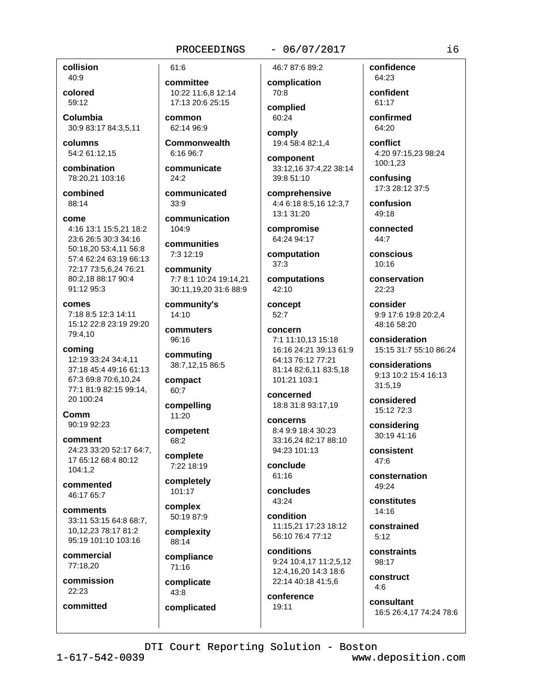#### $-06/07/2017$

collision  $40:9$ 

colored 59:12

Columbia 30:9 83:17 84:3,5,11

columns 54:2 61:12.15

combination 78:20,21 103:16

combined 88:14

come

4:16 13:1 15:5,21 18:2 23:6 26:5 30:3 34:16 50:18,20 53:4,11 56:8 57:4 62:24 63:19 66:13 72:17 73:5,6,24 76:21 80:2,18 88:17 90:4 91:12 95:3

comes 7:18 8:5 12:3 14:11 15:12 22:8 23:19 29:20 79:4,10

coming 12:19 33:24 34:4,11 37:18 45:4 49:16 61:13 67:3 69:8 70:6,10,24 77:1 81:9 82:15 99:14, 20 100:24

Comm 90:19 92:23

comment 24:23 33:20 52:17 64:7. 17 65:12 68:4 80:12  $104:1.2$ 

commented 46:17 65:7

comments 33:11 53:15 64:8 68:7. 10.12.23 78:17 81:2 95:19 101:10 103:16

commercial 77:18,20

commission 22:23

committed

committee 10:22 11:6,8 12:14 17:13 20:6 25:15

common 62:14 96:9

61:6

**Commonwealth**  $6:16.96:7$ 

communicate  $24:2$ 

communicated  $33:9$ 

communication 104:9

communities 7:3 12:19

community 7:7 8:1 10:24 19:14.21 30:11,19,20 31:6 88:9

community's  $14:10$ 

commuters  $96.16$ 

commuting 38:7,12,15 86:5

compact 60:7

compelling 11:20

competent 68:2

complete 7:22 18:19

completely 101:17

complex

50:19 87:9 complexity 88:14

compliance 71:16

complicate 43:8

complicated

46:7 87:6 89:2 complication

70:8 complied 60:24

comply 19:4 58:4 82:1,4

component 33:12,16 37:4,22 38:14 39:8 51:10

comprehensive 4:4 6:18 8:5,16 12:3,7 13:1 31:20

compromise 64:24 94:17

computation  $37:3$ 

computations 42:10

concept  $52:7$ 

concern 7:1 11:10.13 15:18 16:16 24:21 39:13 61:9 64:13 76:12 77:21 81:14 82:6,11 83:5,18 101:21 103:1

concerned 18:8 31:8 93:17,19

concerns 8:4 9:9 18:4 30:23 33:16,24 82:17 88:10 94:23 101:13

conclude  $61:16$ 

concludes 43:24

condition 11:15.21 17:23 18:12 56:10 76:4 77:12

conditions 9:24 10:4,17 11:2,5,12 12:4,16,20 14:3 18:6 22:14 40:18 41:5,6

conference 19:11

confidence 64:23

confident 61:17 confirmed

64:20

conflict 4:20 97:15,23 98:24 100:1.23

confusing 17:3 28:12 37:5

confusion 49:18

connected 44:7

conscious  $10.16$ 

conservation  $22:23$ 

consider 9:9 17:6 19:8 20:2,4 48:16 58:20

consideration 15:15 31:7 55:10 86:24

considerations 9:13 10:2 15:4 16:13 31:5,19

considered 15:12 72:3

considering 30:19 41:16

consistent 47:6

consternation  $49.24$ 

constitutes  $14:16$ 

constrained  $5:12$ 

constraints 98:17

construct  $4.6$ 

consultant 16:5 26:4,17 74:24 78:6

DTI Court Reporting Solution - Boston

www.deposition.com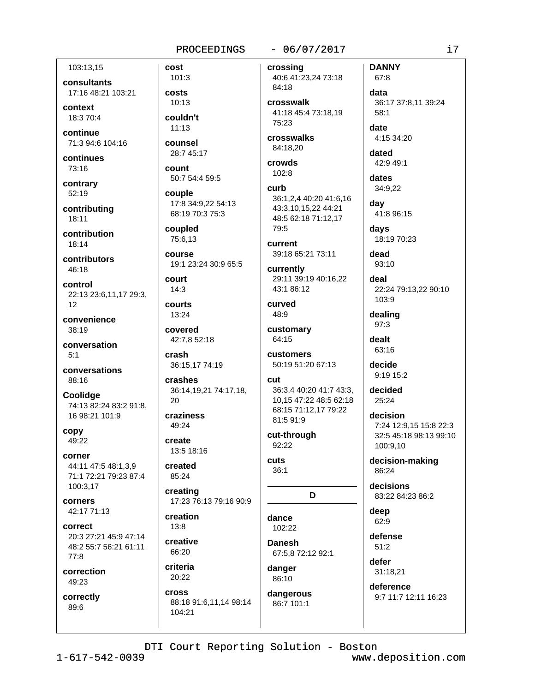#### 103:13.15

consultants 17:16 48:21 103:21

context 18:3 70:4

continue 71:3 94:6 104:16

continues 73:16

contrary 52:19

contributing 18:11

contribution  $18.14$ 

contributors 46:18

control 22:13 23:6,11,17 29:3,  $12$ 

convenience 38:19

conversation  $5:1$ 

conversations 88:16

Coolidge 74:13 82:24 83:2 91:8. 16 98:21 101:9

copy 49:22

corner 44:11 47:5 48:1,3,9 71:1 72:21 79:23 87:4 100:3,17

corners 42:17 71:13

correct 20:3 27:21 45:9 47:14 48:2 55:7 56:21 61:11  $77:8$ 

correction 49:23

correctly 89:6

 $101:3$ costs  $10:13$ 

counsel

cost

couldn't  $11:13$ 

28:7 45:17

count 50:7 54:4 59:5

couple 17:8 34:9.22 54:13 68:19 70:3 75:3

coupled 75:6,13

course 19:1 23:24 30:9 65:5

court  $14:3$ 

courts 13:24

covered 42:7,8 52:18

crash 36:15,17 74:19

crashes 36:14,19,21 74:17,18, 20

craziness 49:24

create 13:5 18:16

created 85:24

creating 17:23 76:13 79:16 90:9

creation  $13:8$ creative

66:20 criteria 20:22

**Cross** 88:18 91:6,11,14 98:14 104:21

 $-06/07/2017$ 

crossing 40:6 41:23,24 73:18 84:18 crosswalk

41:18 45:4 73:18.19 75:23 crosswalks

84:18.20

crowds 102:8

curb 36:1.2.4 40:20 41:6.16 43:3,10,15,22 44:21 48:5 62:18 71:12,17 79:5

**CULTANT** 39:18 65:21 73:11

currently 29:11 39:19 40:16,22 43:1 86:12

curved 48:9

customary 64:15

customers 50:19 51:20 67:13

#### cut 36:3,4 40:20 41:7 43:3, 10,15 47:22 48:5 62:18

68:15 71:12,17 79:22 81:5 91:9

D

cut-through 92:22

cuts  $36:1$ 

dance 102:22

**Danesh** 67:5,8 72:12 92:1 danger

86:10 dangerous 86:7 101:1

**DANNY** 67:8 data 36:17 37:8,11 39:24  $58:1$ date 4:15 34:20 dated

42:9 49:1

dates 34:9,22

dav 41:8 96:15

days 18:19 70:23

dead 93:10

deal 22:24 79:13,22 90:10 103:9

dealing  $97:3$ 

dealt 63:16

decide 9:19 15:2

decided  $25.24$ 

decision 7:24 12:9,15 15:8 22:3 32:5 45:18 98:13 99:10 100:9,10

decision-making 86:24

decisions 83:22 84:23 86:2

deep 62:9

defense  $51:2$ 

defer 31:18,21

deference 9:7 11:7 12:11 16:23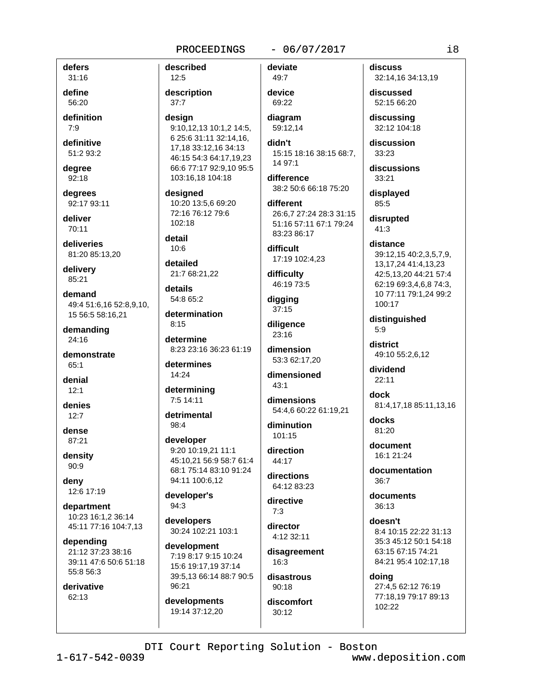described

 $12:5$ 

#### $-06/07/2017$

 $31:16$ define 56:20

defers

definition  $7:9$ 

definitive 51:2 93:2

degree 92:18

dearees 92:17 93:11

deliver 70:11

deliveries 81:20 85:13,20

delivery 85:21

demand 49:4 51:6.16 52:8.9.10. 15 56:5 58:16,21

demanding  $24:16$ 

demonstrate  $65:1$ 

denial  $12:1$ 

denies  $12:7$ 

dense 87:21

density 90:9

deny 12:6 17:19

department 10:23 16:1.2 36:14 45:11 77:16 104:7,13

depending 21:12 37:23 38:16 39:11 47:6 50:6 51:18 55:8 56:3

derivative 62:13

description  $37:7$ design 9:10,12,13 10:1,2 14:5, 6 25:6 31:11 32:14,16, 17,18 33:12,16 34:13 46:15 54:3 64:17,19,23 66:6 77:17 92:9,10 95:5 103:16,18 104:18 designed

10:20 13:5,6 69:20 72:16 76:12 79:6 102:18 detail

 $10:6$ 

detailed 21:7 68:21,22

details 54:8 65:2

determination  $8:15$ 

determine 8:23 23:16 36:23 61:19

determines 14:24

determining 7:5 14:11

detrimental  $98:4$ 

developer 9:20 10:19,21 11:1 45:10,21 56:9 58:7 61:4 68:1 75:14 83:10 91:24 94:11 100:6,12

developer's 94:3

developers 30:24 102:21 103:1

development 7:19 8:17 9:15 10:24 15:6 19:17,19 37:14 39:5,13 66:14 88:7 90:5 96:21

developments 19:14 37:12,20

deviate 49:7

device 69:22

diagram 59:12,14

didn't 15:15 18:16 38:15 68:7. 14 97:1

difference 38:2 50:6 66:18 75:20

different 26:6,7 27:24 28:3 31:15 51:16 57:11 67:1 79:24 83:23 86:17

difficult 17:19 102:4.23

difficulty 46:19 73:5

digging  $37:15$ 

diligence 23:16

dimension 53:3 62:17,20

dimensioned  $43:1$ 

dimensions 54:4,6 60:22 61:19,21

diminution 101:15

direction 44:17

directions 64:12 83:23

directive  $7:3$ 

director 4:12 32:11

disagreement  $16:3$ 

disastrous  $90.18$ 

discomfort  $30:12$ 

discuss 32:14,16 34:13,19

discussed 52:15 66:20

discussing 32:12 104:18

discussion  $33:23$ 

discussions 33:21

displayed 85:5

disrupted 41:3

distance 39:12.15 40:2.3.5.7.9. 13, 17, 24 41: 4, 13, 23 42:5,13,20 44:21 57:4 62:19 69:3,4,6,8 74:3, 10 77:11 79:1,24 99:2 100:17

distinguished  $5:9$ 

district 49:10 55:2,6,12

dividend  $22:11$ 

dock 81:4,17,18 85:11,13,16

docks  $81:20$ 

document 16:1 21:24

documentation  $36.7$ 

documents 36:13

doesn't 8:4 10:15 22:22 31:13 35:3 45:12 50:1 54:18 63:15 67:15 74:21 84:21 95:4 102:17,18

doing 27:4,5 62:12 76:19 77:18,19 79:17 89:13 102:22

DTI Court Reporting Solution - Boston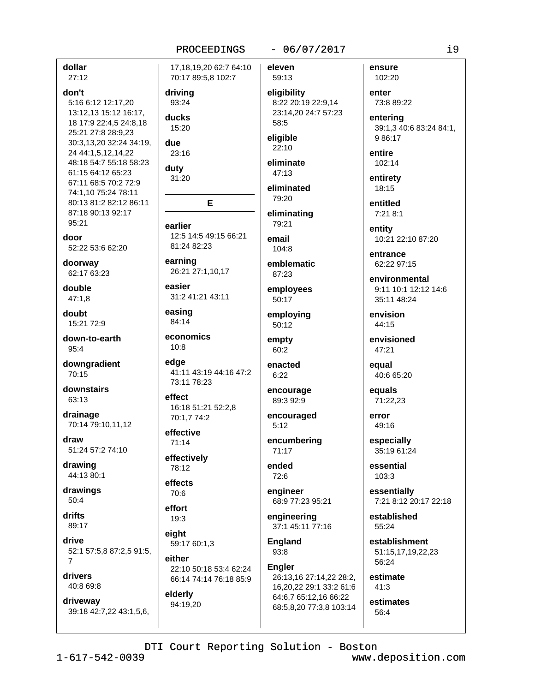dollar  $27:12$ 

# don't

5:16 6:12 12:17.20 13:12,13 15:12 16:17, 18 17:9 22:4,5 24:8,18 25:21 27:8 28:9.23 30:3,13,20 32:24 34:19, 24 44:1,5,12,14,22 48:18 54:7 55:18 58:23 61:15 64:12 65:23 67:11 68:5 70:2 72:9 74:1,10 75:24 78:11 80:13 81:2 82:12 86:11 87:18 90:13 92:17 95:21

door

52:22 53:6 62:20

doorway 62:17 63:23

double  $47:1.8$ 

doubt 15:21 72:9

down-to-earth  $95:4$ 

downgradient  $70:15$ 

downstairs 63:13

drainage 70:14 79:10,11,12

draw 51:24 57:2 74:10

drawing 44:13 80:1

drawings 50:4

drifts 89:17

drive 52:1 57:5,8 87:2,5 91:5,  $\overline{7}$ 

drivers 40:8 69:8

driveway 39:18 42:7,22 43:1,5,6, 17.18.19.20 62:7 64:10 70:17 89:5,8 102:7

driving 93:24

ducks

15:20

due 23:16

duty 31:20

earlier 12:5 14:5 49:15 66:21 81:24 82:23

E

earning 26:21 27:1,10,17

easier 31:2 41:21 43:11

easing 84:14

economics  $10:8$ 

73:11 78:23

edae 41:11 43:19 44:16 47:2

effect 16:18 51:21 52:2,8 70:1.7 74:2

effective 71:14

effectively 78:12

effects

70:6 effort

19:3 eight

59:17 60:1,3

either 22:10 50:18 53:4 62:24 66:14 74:14 76:18 85:9

elderly 94:19,20  $-06/07/2017$ 

eleven 59:13

eligibility 8:22 20:19 22:9,14 23:14.20 24:7 57:23  $58:5$ 

eligible  $22:10$ 

eliminate 47:13

eliminated 79:20

eliminating 79:21

email 104:8

emblematic 87:23

employees 50:17

employing 50:12

empty 60:2

enacted  $6:22$ 

encourage 89:3 92:9

encouraged  $5:12$ 

encumbering  $71:17$ 

ended 72:6

engineer 68:9 77:23 95:21

engineering 37:1 45:11 77:16

**England** 93:8

**Engler** 26:13,16 27:14,22 28:2,

16,20,22 29:1 33:2 61:6 64:6,7 65:12,16 66:22 68:5,8,20 77:3,8 103:14 ensure 102:20

enter 73:8 89:22

entering 39:1,3 40:6 83:24 84:1, 9 86:17

entire 102:14

entirety 18:15

entitled  $7:218:1$ 

entity 10:21 22:10 87:20

entrance 62:22 97:15

environmental 9:11 10:1 12:12 14:6 35:11 48:24

envision 44:15

envisioned 47:21

equal 40:6 65:20

equals 71:22,23

error 49:16

especially 35:19 61:24

essential 103:3

essentially 7:21 8:12 20:17 22:18

established 55:24

establishment 51:15,17,19,22,23 56:24

estimate  $41:3$ 

estimates  $56:4$ 

DTI Court Reporting Solution - Boston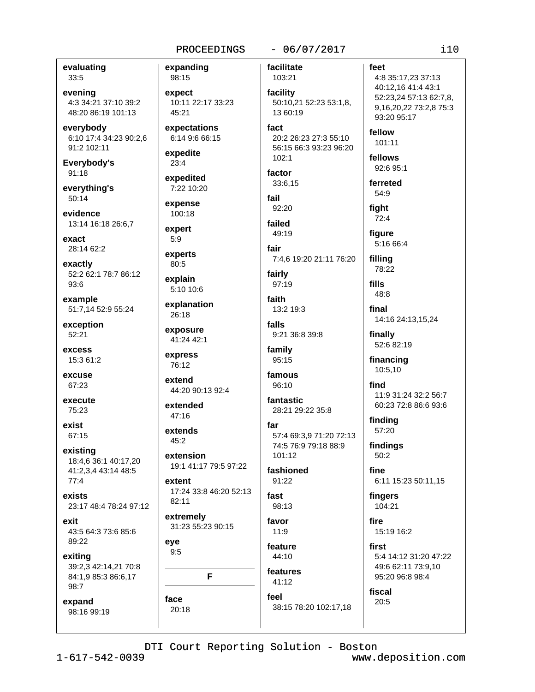evaluating 33:5

evening 4:3 34:21 37:10 39:2 48:20 86:19 101:13

everybody 6:10 17:4 34:23 90:2,6 91:2 102:11

Everybody's 91:18

everything's  $50:14$ 

evidence 13:14 16:18 26:6,7

exact 28:14 62:2

exactly 52:2 62:1 78:7 86:12 93:6

example 51:7,14 52:9 55:24

exception 52:21

excess 15:3 61:2

excuse 67:23

execute 75:23

exist 67:15

existing 18:4,6 36:1 40:17,20 41:2,3,4 43:14 48:5  $77:4$ 

exists 23:17 48:4 78:24 97:12

exit 43:5 64:3 73:6 85:6 89:22

exiting 39:2,3 42:14,21 70:8 84:1,9 85:3 86:6,17 98:7

face

 $20:18$ 

expand 98:16 99:19

facilitate expanding 98:15 expect 10:11 22:17 33:23 45:21 expectations fact 6:14 9:6 66:15 expedite  $23:4$ factor expedited 7:22 10:20 fail expense 100:18 failed expert  $5:9$ fair experts  $80:5$ fairly explain 5:10 10:6 faith explanation 26:18 falls exposure 41:24 42:1 express 76:12 extend 44:20 90:13 92:4 extended  $47:16$ far extends  $45:2$ extension 19:1 41:17 79:5 97:22 extent 17:24 33:8 46:20 52:13 fast 82:11 extremely favor 31:23 55:23 90:15  $11.9$ eve  $9:5$ features F

103:21 facility 50:10,21 52:23 53:1,8, 13 60:19 20:2 26:23 27:3 55:10 56:15 66:3 93:23 96:20  $102.1$ 33:6,15 92:20  $49:19$ 7:4,6 19:20 21:11 76:20 97:19 13:2 19:3 9:21 36:8 39:8 family 95:15 famous 96:10 **fantastic** 28:21 29:22 35:8 57:4 69:3,9 71:20 72:13 74:5 76:9 79:18 88:9 101:12 fashioned  $91:22$ 98:13 feature  $44:10$ 

fingers 104:21 fire first fiscal

# $-06/07/2017$

# $i10$ feet 4:8 35:17,23 37:13 40:12,16 41:4 43:1 52:23,24 57:13 62:7,8, 9,16,20,22 73:2,8 75:3 93:20 95:17 fellow 101:11 fellows 92:6 95:1 ferreted 54:9 fight  $72:4$ figure 5:16 66:4 filling 78:22 fills 48:8 final 14:16 24:13,15,24 finally 52:6 82:19 financing 10:5,10 find 11:9 31:24 32:2 56:7 60:23 72:8 86:6 93:6 findina 57:20 findings 50:2 fine 6:11 15:23 50:11,15  $15.1916.2$ 5:4 14:12 31:20 47:22

49:6 62:11 73:9,10 95:20 96:8 98:4 20:5

DTI Court Reporting Solution - Boston

 $41:12$ 

38:15 78:20 102:17,18

feel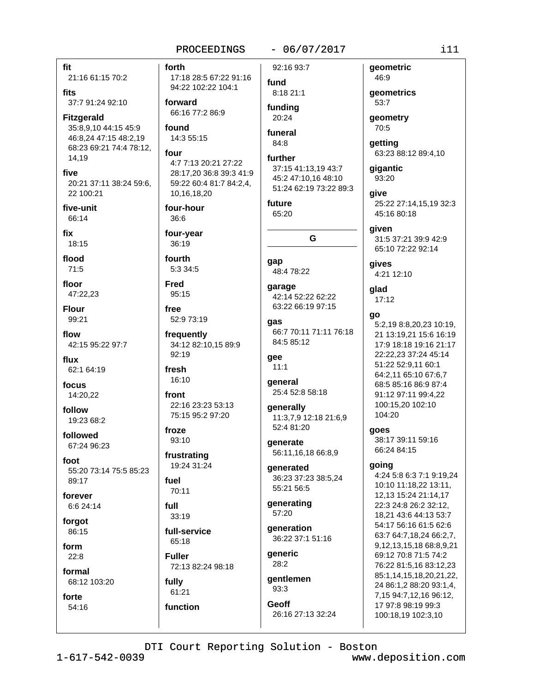#### fit 21:16 61:15 70:2

fits

37:7 91:24 92:10

**Fitzgerald** 35:8,9,10 44:15 45:9 46:8.24 47:15 48:2.19 68:23 69:21 74:4 78:12. 14.19

five 20:21 37:11 38:24 59:6, 22 100:21

five-unit 66:14

fix 18:15

flood  $71:5$ 

floor 47:22.23

**Flour** 99:21

flow 42.15 95.22 97.7

flux 62:1 64:19

focus 14:20.22

follow 19:23 68:2

followed 67:24 96:23

foot 55:20 73:14 75:5 85:23 89:17

forever 6:6 24:14

forgot  $86.15$ 

form  $22:8$ 

formal

54:16

68:12 103:20 forte

forth 17:18 28:5 67:22 91:16 94:22 102:22 104:1

forward 66:16 77:2 86:9

found 14:3 55:15

four 4:7 7:13 20:21 27:22 28:17.20 36:8 39:3 41:9 59:22 60:4 81:7 84:2,4, 10,16,18,20

four-hour 36:6

four-year 36:19

fourth 5:3 34:5

**Fred** 95:15

free

52:9 73:19 frequently

34:12 82:10,15 89:9 92:19

fresh 16:10

front 22:16 23:23 53:13 75:15 95:2 97:20

froze 93:10

frustrating 19:24 31:24

fuel 70:11

full

 $33:19$ full-service 65:18

**Fuller** 72:13 82:24 98:18

fully 61:21 function  $-06/07/2017$ 

92:16 93:7 fund

8:18 21:1 fundina

20:24 funeral

84:8 further

37:15 41:13,19 43:7 45:2 47:10.16 48:10 51:24 62:19 73:22 89:3

future 65:20

G

gap 48:4 78:22

garage 42:14 52:22 62:22 63:22 66:19 97:15

qas 66:7 70:11 71:11 76:18 84:5 85:12

gee  $11:1$ 

general 25:4 52:8 58:18

qenerally 11:3,7,9 12:18 21:6,9 52:4 81:20

generate 56:11,16,18 66:8,9

qenerated

generating

36:22 37:1 51:16

28:2

gentlemen  $93:3$ 

**Geoff** 

geometric 46:9 geometrics

53:7 geometry

70:5

getting 63:23 88:12 89:4,10

qiqantic 93:20

aive 25:22 27:14,15,19 32:3 45:16 80:18

given 31:5 37:21 39:9 42:9 65:10 72:22 92:14

gives 4:21 12:10

glad 17:12

36:23 37:23 38:5,24 55:21 56:5

57:20

**generation** 

generic

26:16 27:13 32:24

go

5:2,19 8:8,20,23 10:19, 21 13:19.21 15:6 16:19 17:9 18:18 19:16 21:17 22:22,23 37:24 45:14 51:22 52:9.11 60:1 64:2,11 65:10 67:6,7 68:5 85:16 86:9 87:4 91:12 97:11 99:4,22 100:15,20 102:10 104:20

goes

38:17 39:11 59:16 66:24 84:15

#### qoing

4:24 5:8 6:3 7:1 9:19,24 10:10 11:18,22 13:11, 12,13 15:24 21:14,17 22:3 24:8 26:2 32:12, 18,21 43:6 44:13 53:7 54:17 56:16 61:5 62:6 63:7 64:7.18.24 66:2.7. 9,12,13,15,18 68:8,9,21 69:12 70:8 71:5 74:2 76:22 81:5.16 83:12.23 85:1,14,15,18,20,21,22, 24 86:1,2 88:20 93:1,4, 7,15 94:7,12,16 96:12, 17 97:8 98:19 99:3 100:18,19 102:3,10

 $1 - 617 - 542 - 0039$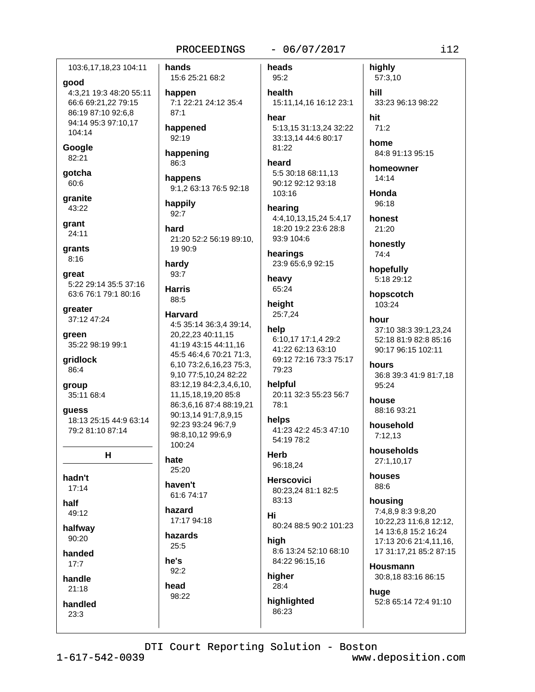103:6,17,18,23 104:11

#### good

4:3,21 19:3 48:20 55:11 66:6 69:21,22 79:15 86:19 87:10 92:6,8 94:14 95:3 97:10,17 104:14

Google 82:21

gotcha 60:6

granite 43:22

grant  $24:11$ 

grants  $8:16$ 

great 5:22 29:14 35:5 37:16 63:6 76:1 79:1 80:16

greater 37:12 47:24

green 35:22 98:19 99:1

gridlock 86:4

group 35:11 68:4

guess 18:13 25:15 44:9 63:14 79:2 81:10 87:14

н

hadn't  $17:14$ 

half

49:12

halfway 90:20

handed

 $17:7$ 

handle

 $21:18$ 

handled  $23:3$ 

hands 15:6 25:21 68:2 happen 7:1 22:21 24:12 35:4  $87.1$ happened 92:19 happening 86:3 happens 9:1,2 63:13 76:5 92:18 happily  $92:7$ hard 21:20 52:2 56:19 89:10, 19 90:9

hardy  $93:7$ 

**Harris** 

## 88:5 **Harvard**

4:5 35:14 36:3,4 39:14, 20.22.23 40:11.15 41:19 43:15 44:11.16 45:5 46:4,6 70:21 71:3, 6,10 73:2,6,16,23 75:3, 9,10 77:5,10,24 82:22 83:12,19 84:2,3,4,6,10, 11, 15, 18, 19, 20 85: 8 86:3,6,16 87:4 88:19,21 90:13,14 91:7,8,9,15 92:23 93:24 96:7.9 98:8,10,12 99:6,9 100:24

#### hate

25:20

haven't

61:6 74:17 hazard

17:17 94:18 hazards

 $25:5$ 

he's  $92:2$ 

head 98:22  $-06/07/2017$ 

heads 95:2 health 15:11,14,16 16:12 23:1 hear 5:13,15 31:13,24 32:22 33:13,14 44:6 80:17

81:22 heard 5:5 30:18 68:11.13 90:12 92:12 93:18 103:16

hearing 4:4,10,13,15,24 5:4,17 18:20 19:2 23:6 28:8 93:9 104:6

hearings 23:9 65:6,9 92:15

heavy 65:24

height 25:7,24

#### help 6:10.17 17:1.4 29:2 41:22 62:13 63:10 69:12 72:16 73:3 75:17

79:23 helpful 20:11 32:3 55:23 56:7 78:1

helps 41:23 42:2 45:3 47:10 54:19 78:2

**Herb** 96:18,24

**Herscovici** 80:23,24 81:1 82:5 83:13

Hi 80:24 88:5 90:2 101:23

high 8:6 13:24 52:10 68:10 84:22 96:15.16

higher  $28:4$ 

highlighted 86:23

highly 57:3,10

hill 33:23 96:13 98:22

hit  $71:2$ 

home 84:8 91:13 95:15

homeowner  $14:14$ 

Honda 96:18

honest  $21:20$ 

honestly 74:4

hopefully 5:18 29:12

hopscotch 103:24

hour 37:10 38:3 39:1,23,24 52:18 81:9 82:8 85:16 90:17 96:15 102:11

hours 36:8 39:3 41:9 81:7,18 95:24

house 88:16 93:21

household  $7:12.13$ 

households 27:1,10,17

houses 88:6

housing 7:4.8.9 8:3 9:8.20 10:22.23 11:6.8 12:12. 14 13:6,8 15:2 16:24 17:13 20:6 21:4,11,16, 17 31:17,21 85:2 87:15

**Housmann** 30:8,18 83:16 86:15

huge 52:8 65:14 72:4 91:10

DTI Court Reporting Solution - Boston

 $1 - 617 - 542 - 0039$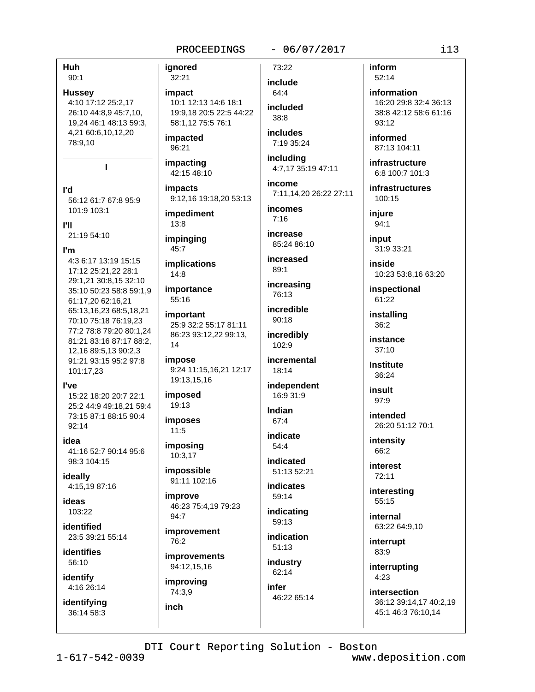Huh  $90:1$ 

**Hussey** 4:10 17:12 25:2,17 26:10 44:8,9 45:7,10, 19,24 46:1 48:13 59:3, 4,21 60:6,10,12,20 78:9.10

l'd 56:12 61:7 67:8 95:9 101:9 103:1

 $\mathbf{I}$ 

**I'll** 

21:19 54:10

I'm

4:3 6:17 13:19 15:15 17:12 25:21,22 28:1 29:1.21 30:8.15 32:10 35:10 50:23 58:8 59:1.9 61:17,20 62:16,21 65:13,16,23 68:5,18,21 70:10 75:18 76:19.23 77:2 78:8 79:20 80:1,24 81:21 83:16 87:17 88:2, 12,16 89:5,13 90:2,3 91:21 93:15 95:2 97:8 101:17,23

l've

15:22 18:20 20:7 22:1 25:2 44:9 49:18.21 59:4 73:15 87:1 88:15 90:4 92:14

idea

41:16 52:7 90:14 95:6 98:3 104:15

ideally 4:15,19 87:16

ideas  $103.22$ 

identified 23:5 39:21 55:14

**identifies** 56:10

identify 4:16 26:14

identifying 36:14 58:3

ianored 32:21

impact

10:1 12:13 14:6 18:1 19:9,18 20:5 22:5 44:22 58:1,12 75:5 76:1

impacted 96:21

impacting 42:15 48:10

impacts 9:12,16 19:18,20 53:13

impediment 13:8

impinging  $45:7$ 

**implications**  $14:8$ 

55:16

importance

important 25:9 32:2 55:17 81:11 86:23 93:12.22 99:13. 14

impose 9:24 11:15,16,21 12:17 19:13,15,16

imposed 19:13

*imposes*  $11:5$ 

imposing 10:3,17

impossible 91:11 102:16

improve 46:23 75:4,19 79:23 94:7

*improvement* 76:2

improvements 94:12,15,16

improving 74:3,9

inch

73:22

 $-06/07/2017$ 

include 64:4 *included* 

 $38.8$ **includes** 7:19 35:24

including 4:7,17 35:19 47:11

income 7:11.14.20 26:22 27:11

incomes  $7:16$ 

increase 85:24 86:10

increased 89:1

increasing 76:13 incredible

90:18 incredibly

incremental 18:14

 $102.9$ 

independent 16:9 31:9

Indian 67:4

indicate  $54:4$ 

indicated 51:13 52:21

indicates 59:14

indicating  $59:13$ **indication** 

 $51:13$ industry

62:14 infer

46:22 65:14

inform 52:14

information 16:20 29:8 32:4 36:13 38:8 42:12 58:6 61:16  $93:12$ 

informed 87:13 104:11

infrastructure 6:8 100:7 101:3

infrastructures 100:15

iniure 94:1

input 31:9 33:21

inside 10:23 53:8,16 63:20

inspectional 61:22

installing 36:2

instance  $37:10$ 

**Institute** 36:24

insult  $97.9$ 

> intended 26:20 51:12 70:1

intensity 66:2

interest 72:11

interesting 55:15

internal 63:22 64:9,10

interrupt 83:9

interrupting  $4:23$ 

intersection 36:12 39:14,17 40:2,19 45:1 46:3 76:10,14

DTI Court Reporting Solution - Boston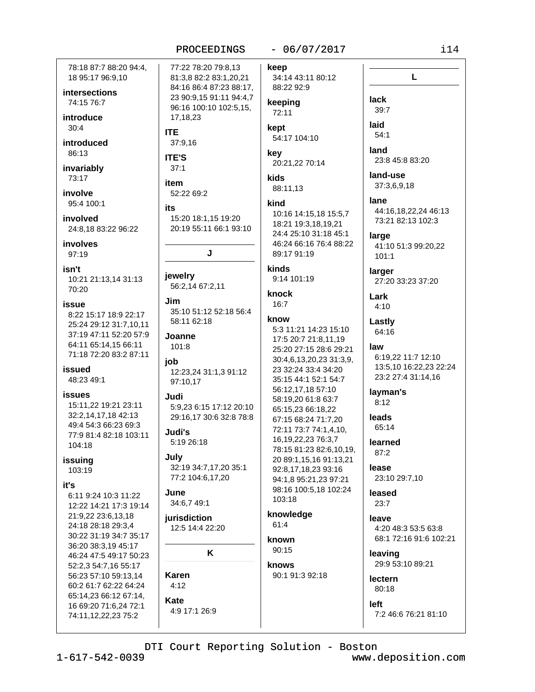78:18 87:7 88:20 94:4. 18 95:17 96:9,10

intersections 74:15 76:7

introduce  $30:4$ 

introduced  $86:13$ 

invariably 73:17

involve 95:4 100:1

involved 24:8,18 83:22 96:22

involves 97:19

isn't 10:21 21:13.14 31:13 70:20

issue 8:22 15:17 18:9 22:17 25:24 29:12 31:7,10,11 37:19 47:11 52:20 57:9 64:11 65:14.15 66:11 71:18 72:20 83:2 87:11

issued 48:23 49:1

**issues** 

15:11,22 19:21 23:11 32:2.14.17.18 42:13 49:4 54:3 66:23 69:3 77:9 81:4 82:18 103:11 104:18

issuing 103:19

### it's

6:11 9:24 10:3 11:22 12:22 14:21 17:3 19:14 21:9,22 23:6,13,18 24:18 28:18 29:3,4 30:22 31:19 34:7 35:17 36:20 38:3,19 45:17 46:24 47:5 49:17 50:23 52:2,3 54:7,16 55:17 56:23 57:10 59:13,14 60:2 61:7 62:22 64:24 65:14,23 66:12 67:14, 16 69:20 71:6,24 72:1 74:11,12,22,23 75:2

77:22 78:20 79:8.13 81:3,8 82:2 83:1,20,21 84:16 86:4 87:23 88:17, 23 90:9,15 91:11 94:4,7 96:16 100:10 102:5,15, 17, 18, 23

#### **ITE** 37:9,16

**ITE'S** 

 $37:1$ 

52:22 69:2

#### its

item

15:20 18:1,15 19:20 20:19 55:11 66:1 93:10

J

#### jewelry 56:2.14 67:2.11

.lim 35:10 51:12 52:18 56:4 58:11 62:18

Joanne 101:8

iob 12:23,24 31:1,3 91:12 97:10.17

Judi 5:9.23 6:15 17:12 20:10 29:16,17 30:6 32:8 78:8

Judi's 5:19 26:18

# July

32:19 34:7,17,20 35:1 77:2 104:6.17.20

June 34:6,7 49:1

jurisdiction 12:5 14:4 22:20

K

Karen

# $4:12$ Kate

4:9 17:1 26:9

# $-06/07/2017$

keep 34:14 43:11 80:12 88:22 92:9

#### keeping 72:11

kept 54:17 104:10

key 20:21,22 70:14

kids 88:11,13

#### kind

10:16 14:15,18 15:5,7 18:21 19:3,18,19,21 24:4 25:10 31:18 45:1 46:24 66:16 76:4 88:22 89:17 91:19

kinds 9:14 101:19

knock

 $16:7$ 

#### know

5:3 11:21 14:23 15:10 17:5 20:7 21:8.11.19 25:20 27:15 28:6 29:21 30:4,6,13,20,23 31:3,9, 23 32:24 33:4 34:20 35:15 44:1 52:1 54:7 56:12,17,18 57:10 58:19,20 61:8 63:7 65:15,23 66:18,22 67:15 68:24 71:7,20 72:11 73:7 74:1,4,10, 16, 19, 22, 23 76: 3, 7 78:15 81:23 82:6,10,19, 20 89:1,15,16 91:13,21 92:8,17,18,23 93:16 94:1,8 95:21,23 97:21 98:16 100:5.18 102:24 103:18

#### knowledge  $61:4$

known 90:15

knows

# 90:1 91:3 92:18

left 7:2 46:6 76:21 81:10

4:20 48:3 53:5 63:8

29:9 53:10 89:21

68:1 72:16 91:6 102:21

DTI Court Reporting Solution - Boston

www.deposition.com

 $i14$ 

L

lack

laid

 $39:7$ 

 $54:1$ 

land

lane

large

 $101:1$ 

larger

Lark

 $4:10$ 

Lastly

law

64:16

lavman's

 $8.12$ 

leads

65:14

learned

 $87:2$ 

lease

leased

 $23:7$ 

leave

leaving

lectern

80:18

23:10 29:7,10

land-use

37:3,6,9,18

23:8 45:8 83:20

44:16,18,22,24 46:13

73:21 82:13 102:3

41:10 51:3 99:20,22

27:20 33:23 37:20

6:19,22 11:7 12:10

23:2 27:4 31:14,16

13:5.10 16:22.23 22:24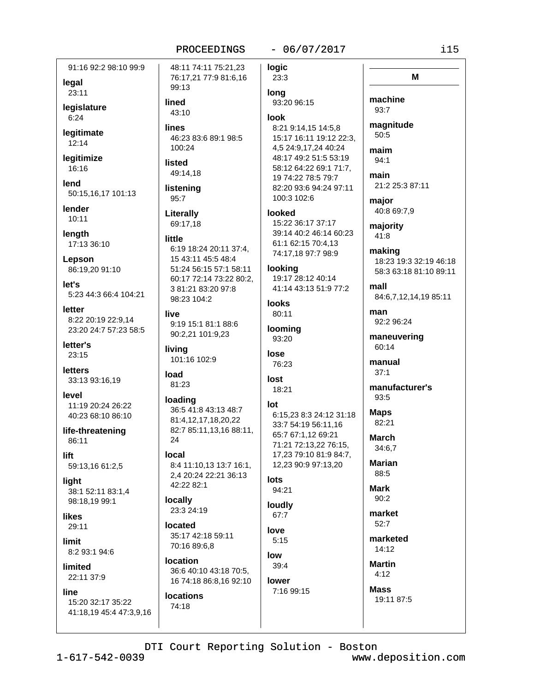91:16 92:2 98:10 99:9 legal 23:11

legislature  $6:24$ 

legitimate  $12:14$ 

legitimize 16:16

lend 50:15.16.17 101:13

lender  $10:11$ 

length 17:13 36:10

Lepson 86:19,20 91:10

let's 5:23 44:3 66:4 104:21

letter 8:22 20:19 22:9,14 23:20 24:7 57:23 58:5

letter's  $23:15$ 

**letters** 33:13 93:16,19

level 11:19 20:24 26:22 40:23 68:10 86:10

life-threatening 86:11

lift 59:13,16 61:2,5

light 38:1 52:11 83:1,4 98:18,19 99:1

likes 29:11

limit 8:2 93:1 94:6

limited 22:11 37:9

line 15:20 32:17 35:22 41:18,19 45:4 47:3,9,16

48:11 74:11 75:21,23 76:17,21 77:9 81:6,16 99:13 lined 43:10 lines 46:23 83:6 89:1 98:5 100:24 listed 49:14.18 listening  $95:7$ Literally 69:17.18 little 6:19 18:24 20:11 37:4, 15 43:11 45:5 48:4 51:24 56:15 57:1 58:11 60:17 72:14 73:22 80:2, 3 81:21 83:20 97:8 98:23 104:2 live 9:19 15:1 81:1 88:6 90:2,21 101:9,23

living 101:16 102:9

```
load
 81:23
```
loading 36:5 41:8 43:13 48:7 81:4.12.17.18.20.22 82:7 85:11,13,16 88:11, 24

local 8:4 11:10,13 13:7 16:1, 2,4 20:24 22:21 36:13 42:22 82:1

locally 23:3 24:19

located 35:17 42:18 59:11 70:16 89:6.8

location 36:6 40:10 43:18 70:5, 16 74:18 86:8,16 92:10

**locations** 74:18

### $-06/07/2017$

**logic** 23:3 long 93:20 96:15

#### look

8:21 9:14,15 14:5,8 15:17 16:11 19:12 22:3, 4,5 24:9,17,24 40:24 48:17 49:2 51:5 53:19 58:12 64:22 69:1 71:7, 19 74:22 78:5 79:7 82:20 93:6 94:24 97:11 100:3 102:6

#### looked

15:22 36:17 37:17 39:14 40:2 46:14 60:23 61:1 62:15 70:4.13 74:17,18 97:7 98:9

## looking

19:17 28:12 40:14 41:14 43:13 51:9 77:2

**looks** 80:11

**looming** 93:20

### lose 76:23

lost 18:21

# lot

6:15,23 8:3 24:12 31:18 33:7 54:19 56:11.16 65:7 67:1,12 69:21 71:21 72:13,22 76:15, 17.23 79:10 81:9 84:7. 12,23 90:9 97:13,20

#### lots 94:21

loudly

67:7 love  $5:15$ 

low  $39:4$ lower

7:16 99:15

i15

M machine 93:7 magnitude  $50:5$ maim  $94:1$ main 21:2 25:3 87:11 maior 40:8 69:7,9 majority 41:8 making 18:23 19:3 32:19 46:18 58:3 63:18 81:10 89:11 mall 84:6,7,12,14,19 85:11 man 92:2 96:24 maneuvering 60:14 manual  $37:1$ manufacturer's 93:5 **Maps** 82:21 **March** 34:6.7 **Marian** 88:5 **Mark**  $90:2$ market 52:7 marketed  $14:12$ **Martin**  $4:12$ **Mass** 19:11 87:5

DTI Court Reporting Solution - Boston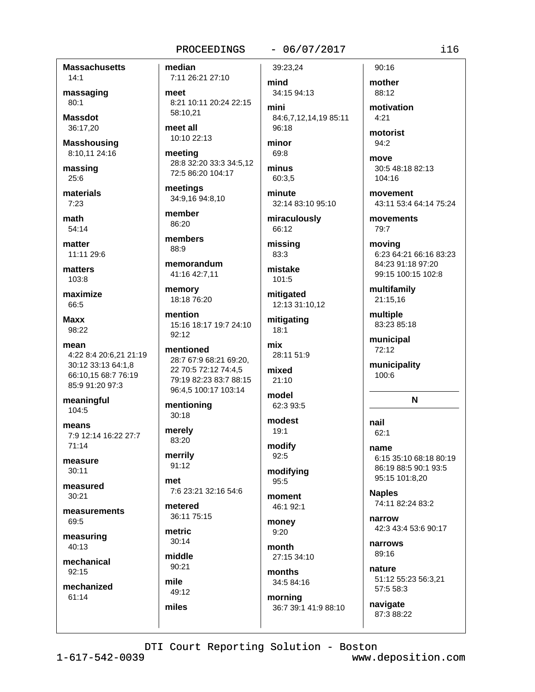**Massachusetts**  $14.1$ 

massaging  $80:1$ 

**Massdot** 36:17,20

**Masshousing** 8:10,11 24:16

massing  $25:6$ 

materials  $7:23$ 

math  $54:14$ 

matter 11:11 29:6

matters 103:8

maximize 66:5

Maxx 98:22

mean 4:22 8:4 20:6,21 21:19 30:12 33:13 64:1,8 66:10,15 68:7 76:19 85:9 91:20 97:3

meaningful 104:5

means 7:9 12:14 16:22 27:7  $71:14$ 

measure  $30:11$ 

measured  $30:21$ 

measurements 69:5

measuring 40:13

mechanical 92:15

mechanized 61:14

median 7:11 26:21 27:10

meet 8:21 10:11 20:24 22:15 58:10.21

meet all 10:10 22:13

meeting 28:8 32:20 33:3 34:5,12 72:5 86:20 104:17

meetings 34:9,16 94:8,10

member 86:20

members 88:9

memorandum 41:16 42:7,11

memory 18:18 76:20

mention 15:16 18:17 19:7 24:10  $92:12$ 

mentioned 28:7 67:9 68:21 69:20, 22 70:5 72:12 74:4,5 79:19 82:23 83:7 88:15 96:4,5 100:17 103:14

mentioning  $30:18$ 

merely 83:20 merrily

91:12  $m<sub>ef</sub>$ 

7:6 23:21 32:16 54:6 metered

36:11 75:15

metric 30:14

middle 90:21

mile 49:12 miles

 $-06/07/2017$ 

39:23.24 mind 34:15 94:13 mini

84:6.7.12.14.19 85:11 96:18

minor 69:8

minus 60:3.5

minute 32:14 83:10 95:10

miraculously 66:12

missing 83:3

mistake 101:5

mitigated 12:13 31:10.12

mitigating  $18:1$ 

28:11 51:9 mixed

mix

21:10 model

62:3 93:5 modest

 $19:1$ 

modify  $92:5$ 

modifying 95:5

moment 46:1 92:1

money  $9:20$ 

month 27:15 34:10

months 34:5 84:16

mornina 36:7 39:1 41:9 88:10

 $90:16$ mother 88:12

motivation  $4.21$ 

motorist 94:2

move 30:5 48:18 82:13 104:16

movement 43:11 53:4 64:14 75:24

movements 79:7

moving 6:23 64:21 66:16 83:23 84:23 91:18 97:20 99:15 100:15 102:8

multifamily 21:15.16

multiple 83:23 85:18

municipal 72:12

municipality 100:6

N

nail  $62:1$ name

6:15 35:10 68:18 80:19 86:19 88:5 90:1 93:5 95:15 101:8,20

**Naples** 74:11 82:24 83:2

narrow 42:3 43:4 53:6 90:17

narrows 89:16

nature 51:12 55:23 56:3.21 57:5 58:3

navigate 87:3 88:22

DTI Court Reporting Solution - Boston

www.deposition.com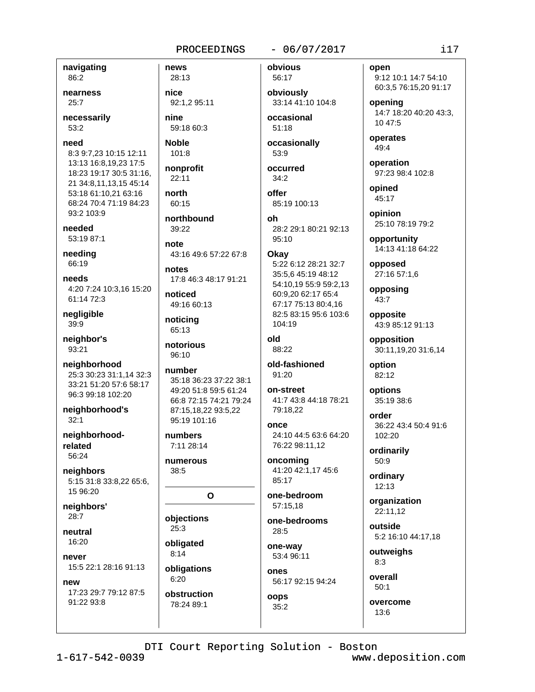navigating 86:2

nearness  $25:7$ 

necessarily 53:2

need 8:3 9:7,23 10:15 12:11 13:13 16:8,19,23 17:5 18:23 19:17 30:5 31:16, 21 34:8,11,13,15 45:14 53:18 61:10,21 63:16 68:24 70:4 71:19 84:23 93:2 103:9

needed 53:19 87:1

needing 66:19

needs 4:20 7:24 10:3.16 15:20 61:14 72:3

negligible 39:9

neighbor's 93:21

neighborhood 25:3 30:23 31:1,14 32:3 33:21 51:20 57:6 58:17 96:3 99:18 102:20

neighborhood's  $32:1$ 

neighborhoodrelated 56:24

neighbors 5:15 31:8 33:8,22 65:6, 15 96:20

neighbors' 28:7

neutral 16:20

never 15:5 22:1 28:16 91:13

new 17:23 29:7 79:12 87:5 91:22 93:8

28:13 nice 92:1.2 95:11

news

nine 59:18 60:3

**Noble**  $101:8$ 

nonprofit 22:11

north 60:15

northbound 39:22

note 43:16 49:6 57:22 67:8

notes 17:8 46:3 48:17 91:21

noticed 49:16 60:13

noticing 65:13

notorious 96:10

number 35:18 36:23 37:22 38:1 49:20 51:8 59:5 61:24 66:8 72:15 74:21 79:24 87:15,18,22 93:5,22 95:19 101:16

numbers 7:11 28:14

numerous 38:5

#### $\mathbf{o}$

objections  $25:3$ obligated

 $8:14$ obligations

 $6:20$ obstruction 78:24 89:1

 $-06/07/2017$ 

56:17 obviously 33:14 41:10 104:8

occasional 51:18

occasionally 53:9

occurred  $34:2$ 

offer 85:19 100:13

Ωh

28:2 29:1 80:21 92:13 95:10

#### Okav 5:22 6:12 28:21 32:7 35:5,6 45:19 48:12 54:10,19 55:9 59:2,13 60:9,20 62:17 65:4 67:17 75:13 80:4,16 82:5 83:15 95:6 103:6 104:19

blo 88:22

old-fashioned  $91:20$ 

on-street 41:7 43:8 44:18 78:21

79:18.22

once 24:10 44:5 63:6 64:20 76:22 98:11,12

oncoming 41:20 42:1,17 45:6 85:17

one-bedroom 57:15.18

one-bedrooms 28:5

one-way 53:4 96:11

ones 56:17 92:15 94:24

oops 35:2 open 9:12 10:1 14:7 54:10 60:3,5 76:15,20 91:17

 $i17$ 

opening 14:7 18:20 40:20 43:3. 10 47:5

operates 49:4

operation 97:23 98:4 102:8

opined 45:17

opinion 25:10 78:19 79:2

opportunity 14:13 41:18 64:22

opposed 27:16 57:1,6

opposing 43:7

opposite 43:9 85:12 91:13

opposition 30:11,19,20 31:6,14

option 82:12

options 35:19 38:6

order 36:22 43:4 50:4 91:6 102:20

ordinarily 50:9

ordinary  $12:13$ 

organization 22:11.12

outside 5:2 16:10 44:17,18

outweighs  $8:3$ 

overall  $50:1$ 

overcome  $13:6$ 

DTI Court Reporting Solution - Boston  $1 - 617 - 542 - 0039$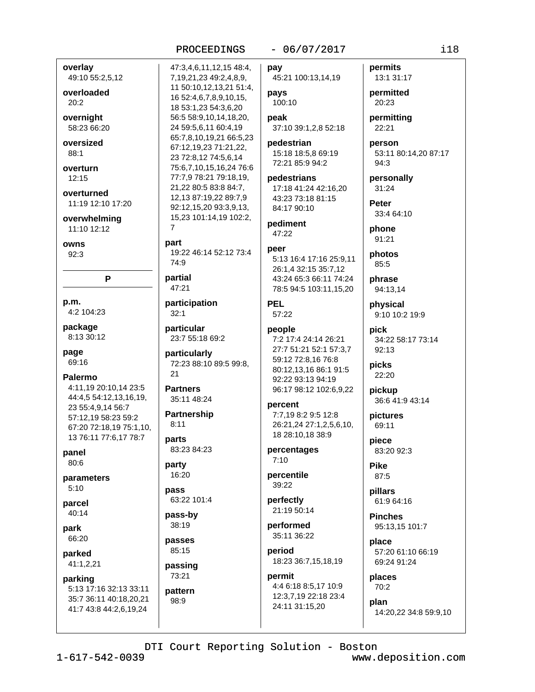# PROCEEDINGS 47:3,4,6,11,12,15 48:4,

7,19,21,23 49:2,4,8,9,

16 52:4,6,7,8,9,10,15,

56:5 58:9,10,14,18,20,

65:7,8,10,19,21 66:5,23

75:6,7,10,15,16,24 76:6 77:7,9 78:21 79:18,19,

67:12,19,23 71:21,22,

23 72:8,12 74:5,6,14

21,22 80:5 83:8 84:7,

12,13 87:19,22 89:7,9

92:12,15,20 93:3,9,13,

15,23 101:14,19 102:2,

19:22 46:14 52:12 73:4

 $\overline{7}$ 

part

 $74.9$ 

partial

47:21

 $32:1$ 

 $21$ 

**Partners** 

 $8:11$ 

parts

party

pass

16:20

pass-by

38:19

passes

85:15

passing 73:21

pattern

 $98.9$ 

35:11 48:24

**Partnership** 

83:23 84:23

63:22 101:4

particular

particularly

participation

23:7 55:18 69:2

72:23 88:10 89:5 99:8,

18 53:1,23 54:3,6,20

24 59:5,6,11 60:4,19

11 50:10,12,13,21 51:4,

overlay

 $20:2$ 

49:10 55:2,5,12

overloaded

overnight

oversized

overturn

overturned

11:19 12:10 17:20

P

4:11.19 20:10.14 23:5

44:4,5 54:12,13,16,19,

67:20 72:18,19 75:1,10,

13 76:11 77:6,17 78:7

23 55:4,9,14 56:7

57:12,19 58:23 59:2

overwhelming

11:10 12:12

 $12.15$ 

owns

 $92:3$ 

p.m.

page

69:16

**Palermo** 

panel

80:6

 $5:10$ 

parcel

park

40:14

66:20

parked

parking

41:1,2,21

parameters

4:2 104:23

8:13 30:12

package

 $88:1$ 

58:23 66:20

## $-06/07/2017$

pay

45:21 100:13,14,19

pays 100:10 peak

37:10 39:1,2,8 52:18

pedestrian 15:18 18:5,8 69:19 72:21 85:9 94:2

pedestrians 17:18 41:24 42:16,20 43:23 73:18 81:15 84:17 90:10

pediment  $47:22$ 

#### peer 5:13 16:4 17:16 25:9.11 26:1,4 32:15 35:7,12 43:24 65:3 66:11 74:24 78:5 94:5 103:11,15,20

#### **PEL** 57:22

people

7:2 17:4 24:14 26:21 27:7 51:21 52:1 57:3,7 59:12 72:8,16 76:8 80:12.13.16 86:1 91:5 92:22 93:13 94:19 96:17 98:12 102:6,9,22

#### percent 7:7,19 8:2 9:5 12:8 26:21,24 27:1,2,5,6,10, 18 28:10,18 38:9

percentages  $7:10$ 

percentile 39:22

perfectly 21:19 50:14

performed 35:11 36:22

period 18:23 36:7,15,18,19

# permit

4:4 6:18 8:5,17 10:9 12:3,7,19 22:18 23:4 24:11 31:15,20

permits 13:1 31:17

permitted 20:23

permitting 22:21

person 53:11 80:14,20 87:17 94:3

personally 31:24

Peter 33:4 64:10

phone 91:21

photos 85:5

phrase 94:13,14

physical 9:10 10:2 19:9

pick 34:22 58:17 73:14 92:13

picks 22:20

pickup 36:6 41:9 43:14

pictures 69:11

piece 83:20 92:3

**Pike** 87:5

pillars 61:9 64:16

**Pinches** 95:13,15 101:7

place 57:20 61:10 66:19 69:24 91:24

places  $70:2$ 

plan 14:20,22 34:8 59:9,10

## DTI Court Reporting Solution - Boston

 $1 - 617 - 542 - 0039$ 

5:13 17:16 32:13 33:11

35:7 36:11 40:18,20,21

41:7 43:8 44:2,6,19,24

www.deposition.com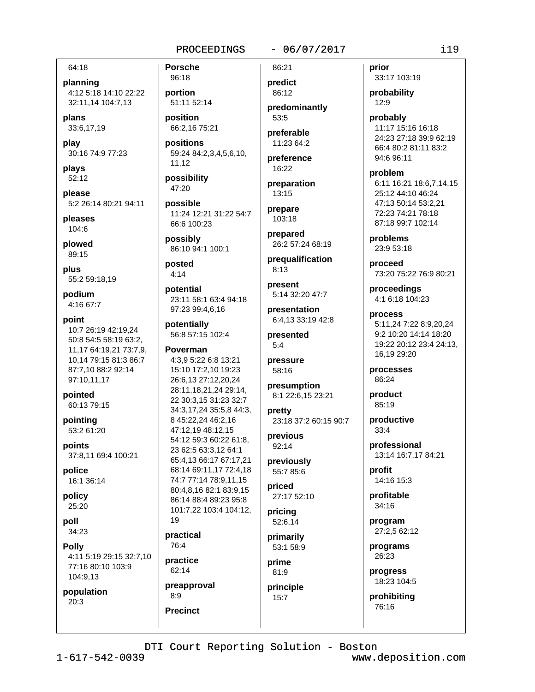64:18

planning 4:12 5:18 14:10 22:22 32:11,14 104:7,13

plans 33:6,17,19

play 30:16 74:9 77:23

plays 52:12

please 5:2 26:14 80:21 94:11

pleases 104:6

plowed 89:15

plus 55:2 59:18,19

podium 4:16 67:7

point 10:7 26:19 42:19,24 50:8 54:5 58:19 63:2, 11,17 64:19,21 73:7,9, 10,14 79:15 81:3 86:7 87:7,10 88:2 92:14 97:10,11,17

pointed 60:13 79:15

pointing 53:2 61:20

points 37:8,11 69:4 100:21

police 16:1 36:14

policy 25:20

poll 34:23

**Polly** 4:11 5:19 29:15 32:7,10 77:16 80:10 103:9 104:9.13

population  $20:3$ 

**Porsche** 96:18

portion 51:11 52:14

position 66:2,16 75:21

positions 59:24 84:2,3,4,5,6,10, 11,12

possibility 47:20

possible 11:24 12:21 31:22 54:7 66:6 100:23

possibly 86:10 94:1 100:1

posted  $4:14$ 

potential 23:11 58:1 63:4 94:18 97:23 99:4,6,16

potentially 56:8 57:15 102:4

Poverman

4:3,9 5:22 6:8 13:21 15:10 17:2,10 19:23 26:6,13 27:12,20,24 28:11,18,21,24 29:14, 22 30:3,15 31:23 32:7 34:3,17,24 35:5,8 44:3, 8 45:22.24 46:2.16 47:12.19 48:12.15 54:12 59:3 60:22 61:8, 23 62:5 63:3.12 64:1 65:4,13 66:17 67:17,21 68:14 69:11,17 72:4,18 74:7 77:14 78:9.11.15 80:4,8,16 82:1 83:9,15 86:14 88:4 89:23 95:8 101:7,22 103:4 104:12, 19 practical 76:4 practice 62:14 preapproval  $8:9$ **Precinct** 

#### $-06/07/2017$

86:21 predict 86:12

predominantly  $53:5$ preferable

11:23 64:2 preference

16:22

preparation 13:15

prepare  $103:18$ 

prepared 26:2 57:24 68:19

prequalification  $8:13$ 

present 5:14 32:20 47:7

presentation 6:4,13 33:19 42:8

presented  $5:4$ 

pressure 58:16

presumption 8:1 22:6,15 23:21

pretty 23:18 37:2 60:15 90:7

previous 92:14

previously 55:7 85:6

priced 27:17 52:10

pricing 52:6,14 primarily

53:1 58:9 prime

81:9 principle  $15:7$ 

prior 33:17 103:19

probability  $12:9$ 

probably 11:17 15:16 16:18 24:23 27:18 39:9 62:19 66:4 80:2 81:11 83:2 94:6 96:11

problem 6:11 16:21 18:6,7,14,15 25:12 44:10 46:24 47:13 50:14 53:2,21 72:23 74:21 78:18 87:18 99:7 102:14

problems 23:9 53:18

proceed 73:20 75:22 76:9 80:21

proceedings 4:1 6:18 104:23

process 5:11,24 7:22 8:9,20,24 9:2 10:20 14:14 18:20 19:22 20:12 23:4 24:13, 16,19 29:20

processes 86:24

product 85:19

> productive  $33:4$

professional 13:14 16:7,17 84:21

profit 14:16 15:3

profitable 34:16

program 27:2,5 62:12

programs 26:23

progress 18:23 104:5

prohibiting 76:16

DTI Court Reporting Solution - Boston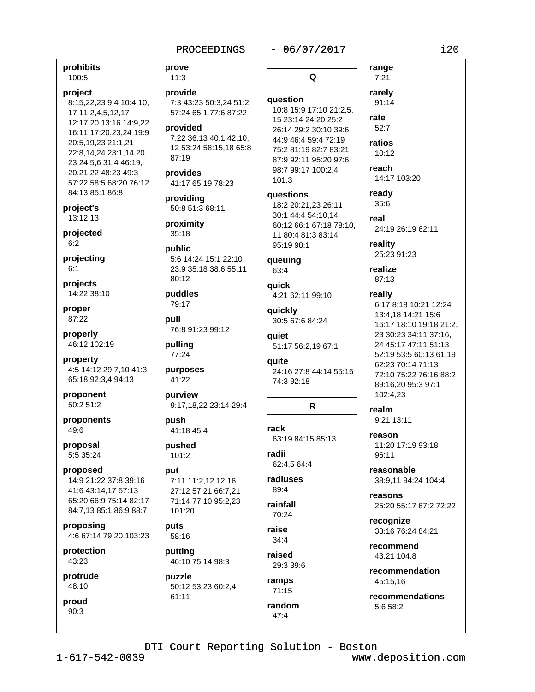#### $-06/07/2017$

prohibits 100:5

#### project

8:15,22,23 9:4 10:4,10, 17 11:2,4,5,12,17 12:17,20 13:16 14:9,22 16:11 17:20,23,24 19:9 20:5,19,23 21:1,21 22:8,14,24 23:1,14,20, 23 24:5,6 31:4 46:19, 20,21,22 48:23 49:3 57:22 58:5 68:20 76:12 84:13 85:1 86:8

project's 13:12,13

projected  $6:2$ 

projecting  $6:1$ 

projects 14:22 38:10

proper 87:22

properly 46:12 102:19

property 4:5 14:12 29:7,10 41:3 65:18 92:3,4 94:13

proponent 50:2 51:2

proponents 49:6

proposal 5:5 35:24

proposed 14:9 21:22 37:8 39:16 41:6 43:14,17 57:13 65:20 66:9 75:14 82:17 84:7,13 85:1 86:9 88:7

proposing 4:6 67:14 79:20 103:23

protection 43:23

protrude 48:10

proud  $90:3$ 

prove  $11:3$ provide 7:3 43:23 50:3.24 51:2 57:24 65:1 77:6 87:22 provided 7:22 36:13 40:1 42:10, 12 53:24 58:15,18 65:8  $87.19$ provides 41:17 65:19 78:23 providing 50:8 51:3 68:11 proximity  $35:18$ public 5:6 14:24 15:1 22:10 23:9 35:18 38:6 55:11 80:12 puddles 79:17 pull 76:8 91:23 99:12 pulling 77:24 purposes 41:22 purview 9:17,18,22 23:14 29:4

push 41:18 45:4

pushed 101:2

#### put

7:11 11:2,12 12:16 27:12 57:21 66:7,21 71:14 77:10 95:2,23 101:20

puts 58:16

putting 46:10 75:14 98:3

puzzle 50:12 53:23 60:2,4 61:11

Q question 10:8 15:9 17:10 21:2,5, 15 23:14 24:20 25:2 26:14 29:2 30:10 39:6 44:9 46:4 59:4 72:19 75:2 81:19 82:7 83:21 87:9 92:11 95:20 97:6 98:7 99:17 100:2,4  $101:3$ 

**auestions** 18:2 20:21,23 26:11 30:1 44:4 54:10,14 60:12 66:1 67:18 78:10, 11 80:4 81:3 83:14 95:19 98:1

queuing 63:4

auick 4:21 62:11 99:10

quickly 30:5 67:6 84:24

quiet 51:17 56:2,19 67:1

quite 24:16 27:8 44:14 55:15 74:3 92:18

# R

rack 63:19 84:15 85:13

radii 62:4,5 64:4

radiuses 89:4

rainfall 70:24

raise  $34:4$ 

raised 29:3 39:6

ramps  $71:15$ random

 $47:4$ 

 $7:21$ rarely 91:14 rate 52:7 ratios  $10:12$ reach

range

14:17 103:20 ready

 $35:6$ real 24:19 26:19 62:11

reality 25:23 91:23

realize 87:13

really 6:17 8:18 10:21 12:24 13:4,18 14:21 15:6 16:17 18:10 19:18 21:2. 23 30:23 34:11 37:16.

24 45:17 47:11 51:13 52:19 53:5 60:13 61:19 62:23 70:14 71:13 72:10 75:22 76:16 88:2 89:16,20 95:3 97:1 102:4,23

# realm

9:21 13:11

reason 11:20 17:19 93:18  $96:11$ 

reasonable 38:9.11 94:24 104:4

reasons 25:20 55:17 67:2 72:22

recognize 38:16 76:24 84:21

recommend 43:21 104:8

recommendation 45:15,16

recommendations 5:6 58:2

DTI Court Reporting Solution - Boston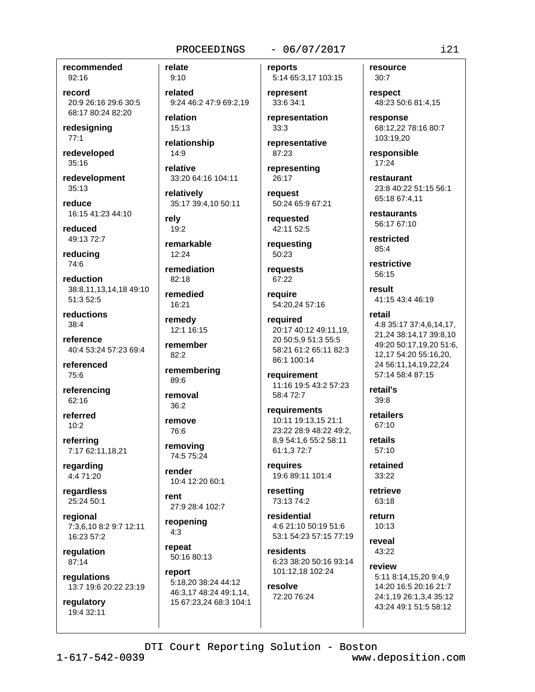recommended 92:16

record 20:9 26:16 29:6 30:5 68:17 80:24 82:20

redesigning  $77:1$ 

redeveloped 35:16

redevelopment  $35:13$ 

reduce 16:15 41:23 44:10

reduced 49:13 72:7

reducing 74:6

reduction 38:8,11,13,14,18 49:10 51:3 52:5

reductions  $38:4$ 

reference 40:4 53:24 57:23 69:4

referenced 75:6

referencing 62:16

referred  $10:2$ 

referring 7:17 62:11,18,21

regarding 4:4 71:20

regardless 25:24 50:1

regional 7:3.6.10 8:2 9:7 12:11 16:23 57:2

regulation 87:14

regulations 13:7 19:6 20:22 23:19

regulatory 19:4 32:11

 $9:10$ related 9:24 46:2 47:9 69:2.19

relation 15:13

relate

relationship  $14:9$ relative

33:20 64:16 104:11

relatively 35:17 39:4,10 50:11

rely  $19:2$ 

remarkable  $12:24$ 

remediation 82:18

remedied 16:21

remedy 12:1 16:15

remember  $82:2$ 

remembering 89:6

removal  $36:2$ 

remove 76:6

removing 74:5 75:24

render 10:4 12:20 60:1

rent 27:9 28:4 102:7

reopening  $4:3$ 

repeat 50:16 80:13

report 5:18,20 38:24 44:12 46:3,17 48:24 49:1,14, 15 67:23,24 68:3 104:1

#### $-06/07/2017$

reports 5:14 65:3,17 103:15

represent 33:6 34:1

representation  $33:3$ 

representative 87:23

representing 26:17

reauest 50:24 65:9 67:21

requested 42:11 52:5

requesting 50:23

requests 67:22

reauire 54:20.24 57:16

required 20:17 40:12 49:11,19, 20 50:5.9 51:3 55:5 58:21 61:2 65:11 82:3 86:1 100:14

requirement 11:16 19:5 43:2 57:23 58:4 72:7

requirements 10:11 19:13.15 21:1 23:22 28:9 48:22 49:2, 8,9 54:1,6 55:2 58:11 61:1,3 72:7

requires 19:6 89:11 101:4

resetting 73:13 74:2

residential 4:6 21:10 50:19 51:6 53:1 54:23 57:15 77:19

residents 6:23 38:20 50:16 93:14 101:12,18 102:24

resolve 72:20 76:24 resource  $30:7$ 

respect 48:23 50:6 81:4,15

response 68:12,22 78:16 80:7 103:19.20

responsible 17:24

restaurant 23:8 40:22 51:15 56:1 65:18 67:4.11

restaurants 56:17 67:10

restricted 85:4

restrictive 56:15

result 41:15 43:4 46:19

#### retail

4:8 35:17 37:4,6,14,17, 21.24 38:14.17 39:8.10 49:20 50:17,19,20 51:6, 12,17 54:20 55:16,20, 24 56:11.14.19.22.24 57:14 58:4 87:15

retail's 39:8

retailers  $67:10$ 

retails  $57:10$ 

> retained 33:22

retrieve 63:18

return

 $10:13$ reveal 43:22

review 5:11 8:14,15,20 9:4,9

14:20 16:5 20:16 21:7 24:1,19 26:1,3,4 35:12 43:24 49:1 51:5 58:12

DTI Court Reporting Solution - Boston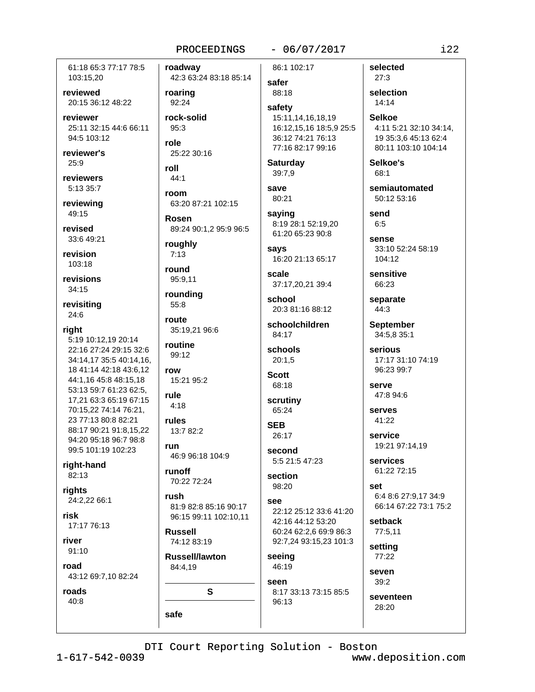61:18 65:3 77:17 78:5 103:15,20

reviewed 20:15 36:12 48:22

reviewer 25:11 32:15 44:6 66:11 94:5 103:12

reviewer's  $25:9$ 

reviewers 5:13 35:7

reviewing 49:15

revised 33:6 49:21

revision 103:18

revisions 34:15

revisitina 24:6

right

5:19 10:12,19 20:14 22:16 27:24 29:15 32:6 34:14.17 35:5 40:14.16. 18 41:14 42:18 43:6,12 44:1,16 45:8 48:15,18 53:13 59:7 61:23 62:5, 17,21 63:3 65:19 67:15 70:15.22 74:14 76:21. 23 77:13 80:8 82:21 88:17 90:21 91:8.15.22 94:20 95:18 96:7 98:8 99:5 101:19 102:23

right-hand 82:13

rights 24:2,22 66:1

risk 17:17 76:13

river  $91:10$ 

road

43:12 69:7,10 82:24

roads  $40:8$ 

roadway 42:3 63:24 83:18 85:14 roaring 92:24 rock-solid 95:3 role 25:22 30:16 roll 44:1 room 63:20 87:21 102:15

**Rosen** 89:24 90:1,2 95:9 96:5

roughly  $7:13$ 

round 95:9.11

rounding  $55:8$ 

route 35:19,21 96:6

routine 99:12 row

15:21 95:2

rule  $4:18$ 

run

rules 13:7 82:2

46:9 96:18 104:9

runoff 70:22 72:24

rush 81:9 82:8 85:16 90:17 96:15 99:11 102:10.11

**Russell** 74:12 83:19

**Russell/lawton** 84:4,19

S

safe

86:1 102:17

safer 88:18

safety 15:11,14,16,18,19 16:12,15,16 18:5,9 25:5 36:12 74:21 76:13 77:16 82:17 99:16

**Saturday** 39:7,9

save 80:21

saying 8:19 28:1 52:19,20 61:20 65:23 90:8

savs 16:20 21:13 65:17

scale 37:17,20,21 39:4

school 20:3 81:16 88:12

schoolchildren 84:17

schools  $20:1.5$ 

```
Scott
 68:18
```
scrutiny 65:24

**SFR** 26:17

second 5:5 21:5 47:23

section

# 98:20

see 22:12 25:12 33:6 41:20 42:16 44:12 53:20 60:24 62:2.6 69:9 86:3 92:7,24 93:15,23 101:3

seeing 46:19 seen

8:17 33:13 73:15 85:5 96:13

 $27:3$ 

14:14

**Selkoe** 4:11 5:21 32:10 34:14, 19 35:3,6 45:13 62:4 80:11 103:10 104:14

 $i22$ 

50:12 53:16

 $6:5$ 

33:10 52:24 58:19 104:12

66:23

**September** 34:5.8 35:1

Serious 17:17 31:10 74:19 96:23 99:7

serve

 $41:22$ 

19:21 97:14.19

services

set 6:4 8:6 27:9,17 34:9 66:14 67:22 73:1 75:2

setback 77:5,11

setting 77:22

 $39:2$ 

seventeen 28:20

selected

selection

Selkoe's 68:1

semiautomated

send

**SANSA** 

sensitive

separate  $44:3$ 

47:8 94:6

serves

service

61:22 72:15

seven

DTI Court Reporting Solution - Boston www.deposition.com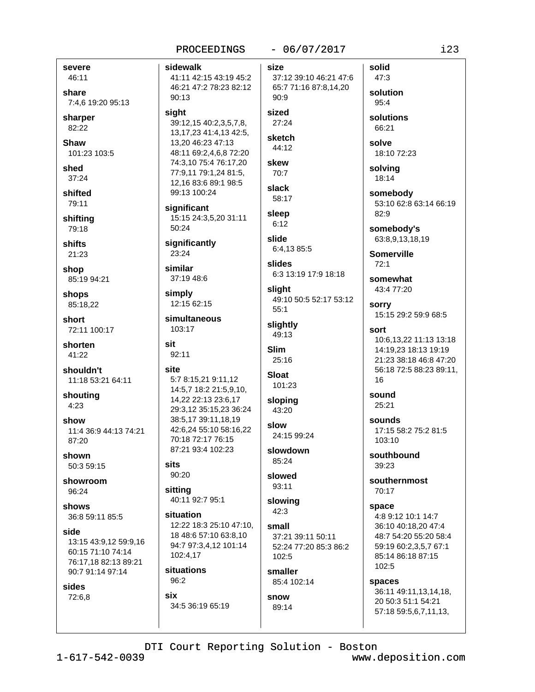#### severe 46:11

share 7:4.6 19:20 95:13

sharper 82:22

Shaw 101:23 103:5

shed 37:24

shifted 79:11

shifting 79:18

shifts  $21:23$ 

shop 85:19 94:21

shops 85:18.22

short 72:11 100:17

shorten 41:22

shouldn't 11:18 53:21 64:11

shouting  $4:23$ 

show 11:4 36:9 44:13 74:21 87:20

shown 50:3 59:15

showroom 96:24

shows 36:8 59:11 85:5

side 13:15 43:9,12 59:9,16 60:15 71:10 74:14 76:17,18 82:13 89:21 90:7 91:14 97:14

sides 72:6,8 sidewalk 41:11 42:15 43:19 45:2 46:21 47:2 78:23 82:12  $90:13$ 

sight 39:12,15 40:2,3,5,7,8, 13, 17, 23 41: 4, 13 42: 5, 13,20 46:23 47:13 48:11 69:2,4,6,8 72:20 74:3,10 75:4 76:17,20 77:9,11 79:1,24 81:5, 12.16 83:6 89:1 98:5 99:13 100:24

significant 15:15 24:3,5,20 31:11  $50:24$ 

significantly 23:24

similar 37:19 48:6

simply 12:15 62:15

simultaneous 103:17

 $92:11$ 

#### site

sit

5:7 8:15,21 9:11,12 14:5,7 18:2 21:5,9,10, 14,22 22:13 23:6,17 29:3,12 35:15,23 36:24 38:5,17 39:11,18,19 42:6,24 55:10 58:16,22 70:18 72:17 76:15

87:21 93:4 102:23 sits

# 90:20

sitting 40:11 92:7 95:1

situation 12:22 18:3 25:10 47:10. 18 48:6 57:10 63:8.10 94:7 97:3,4,12 101:14 102:4,17

situations 96:2

six 34:5 36:19 65:19  $-06/07/2017$ 

size 37:12 39:10 46:21 47:6 65:7 71:16 87:8,14,20  $90:9$ 

# sized

 $27:24$ sketch

44:12 skew

70:7 slack 58:17

sleep  $6:12$ 

```
slide
 6:4,13 85:5
```
slides 6:3 13:19 17:9 18:18

sliaht 49:10 50:5 52:17 53:12  $55:1$ 

slightly 49:13

```
Slim
 25:16
Sloat
```
101:23

sloping 43:20 slow

24:15 99:24 slowdown 85:24

slowed 93:11

```
slowing
 42:3
```
small 37:21 39:11 50:11 52:24 77:20 85:3 86:2  $102:5$ 

smaller 85:4 102:14

```
snow
 89:14
```
solution 95:4 solutions 66:21

solid

47:3

solve 18:10 72:23

solving 18:14

somebody 53:10 62:8 63:14 66:19  $82:9$ 

somebody's 63:8,9,13,18,19

**Somerville**  $72.1$ 

somewhat 43:4 77:20

**sorry** 15:15 29:2 59:9 68:5

sort 10:6.13.22 11:13 13:18 14:19.23 18:13 19:19 21:23 38:18 46:8 47:20 56:18 72:5 88:23 89:11, 16

sound 25:21

sounds 17:15 58:2 75:2 81:5 103:10

southbound 39:23

southernmost 70:17

space 4:8 9:12 10:1 14:7 36:10 40:18.20 47:4 48:7 54:20 55:20 58:4 59:19 60:2,3,5,7 67:1 85:14 86:18 87:15 102:5

spaces 36:11 49:11,13,14,18, 20 50:3 51:1 54:21 57:18 59:5,6,7,11,13,

DTI Court Reporting Solution - Boston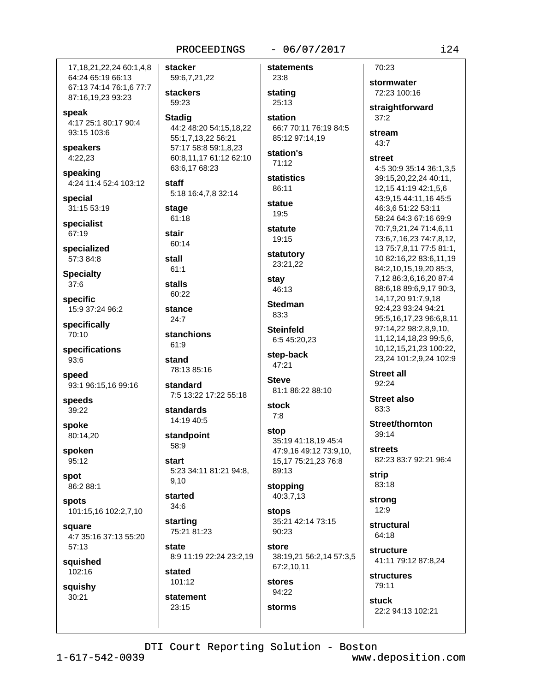#### $-06/07/2017$

17, 18, 21, 22, 24 60: 1, 4, 8 64:24 65:19 66:13 67:13 74:14 76:1,6 77:7 87:16,19,23 93:23

speak 4:17 25:1 80:17 90:4 93:15 103:6

speakers  $4:22,23$ 

speaking 4:24 11:4 52:4 103:12

special 31:15 53:19

specialist 67:19

specialized 57:3 84:8

**Specialty** 37:6

specific 15:9 37:24 96:2

specifically 70:10

specifications 93:6

speed 93:1 96:15,16 99:16

speeds 39:22

spoke 80:14,20

spoken 95:12

spot 86:2 88:1

spots 101:15,16 102:2,7,10

square 4:7 35:16 37:13 55:20 57:13

squished 102:16

squishy 30:21

stacker statements 59:6,7,21,22 23:8 **stackers** stating 59:23 25:13 **Stadig** station 44:2 48:20 54:15,18,22 55:1,7,13,22 56:21 85:12 97:14.19 57:17 58:8 59:1.8.23 station's 60:8,11,17 61:12 62:10  $71:12$ 63:6,17 68:23 statistics staff 86:11 5:18 16:4,7,8 32:14 statue stage 19:5 61:18 statute stair 19:15 60:14 statutory stall 23:21,22  $61:1$ stay **stalls** 46:13 60:22 **Stedman** stance 83:3  $24:7$ **Steinfeld** stanchions 6:5 45:20,23  $61.9$ step-back stand 47:21 78:13 85:16 **Steve** standard 7:5 13:22 17:22 55:18 stock standards  $7:8$ 14:19 40:5 stop standpoint 58:9 start 5:23 34:11 81:21 94:8, 89:13 9.10 stopping started 40:3,7,13  $34:6$ **stops** starting 75:21 81:23  $90.23$ state store 8:9 11:19 22:24 23:2,19 67:2,10,11 stated 101:12 stores 94:22 statement

70:23 stormwater 72:23 100:16 straightforward  $37:2$ 66:7 70:11 76:19 84:5 43:7 street 81:1 86:22 88:10 35:19 41:18.19 45:4 47:9,16 49:12 73:9,10, 15,17 75:21,23 76:8 **strip** 35:21 42:14 73:15

38:19,21 56:2,14 57:3,5

storms

stream 4:5 30:9 35:14 36:1,3,5 39:15,20,22,24 40:11, 12,15 41:19 42:1,5,6 43:9.15 44:11.16 45:5 46:3.6 51:22 53:11 58:24 64:3 67:16 69:9 70:7.9.21.24 71:4.6.11 73:6,7,16,23 74:7,8,12, 13 75:7,8,11 77:5 81:1, 10 82:16,22 83:6,11,19 84:2,10,15,19,20 85:3, 7,12 86:3,6,16,20 87:4 88:6,18 89:6,9,17 90:3, 14, 17, 20 91: 7, 9, 18 92:4,23 93:24 94:21 95:5,16,17,23 96:6,8,11 97:14,22 98:2,8,9,10, 11, 12, 14, 18, 23 99: 5, 6, 10.12.15.21.23 100:22. 23,24 101:2,9,24 102:9

**Street all**  $92:24$ 

**Street also** 83:3

Street/thornton 39:14

**streets** 82:23 83:7 92:21 96:4

83:18

strong 12:9

structural 64:18

structure 41:11 79:12 87:8,24

**structures** 79:11

stuck 22:2 94:13 102:21

DTI Court Reporting Solution - Boston

 $1 - 617 - 542 - 0039$ 

23:15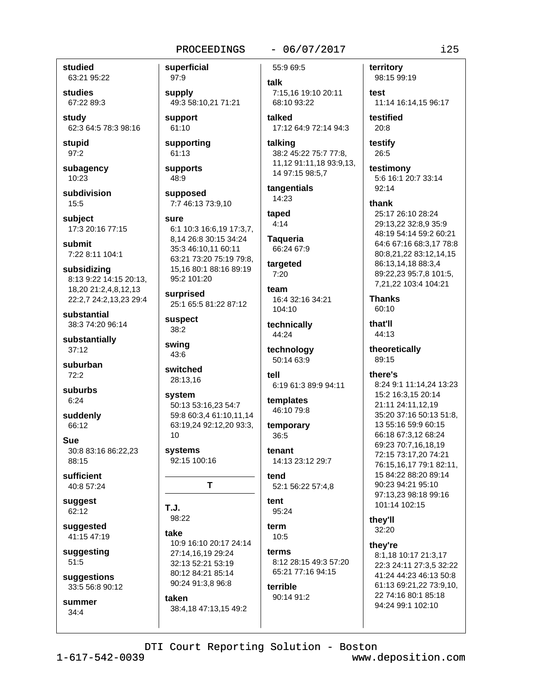studied 63:21 95:22

studies 67:22 89:3

study 62:3 64:5 78:3 98:16

stupid  $97:2$ 

subagency 10:23

subdivision  $15:5$ 

subject 17:3 20:16 77:15

submit 7:22 8:11 104:1

subsidizing 8:13 9:22 14:15 20:13. 18,20 21:2,4,8,12,13 22:2,7 24:2,13,23 29:4

substantial 38:3 74:20 96:14

substantially  $37:12$ 

suburban  $72:2$ 

suburbs  $6:24$ 

suddenly 66:12

**Sue** 30:8 83:16 86:22,23 88:15

sufficient 40:8 57:24

suggest 62:12

suggested 41:15 47:19

suggesting  $51:5$ 

suggestions 33:5 56:8 90:12

summer  $34:4$ 

97:9 supply 49:3 58:10,21 71:21 support

61:10

superficial

supporting 61:13

supports 48:9

supposed 7:7 46:13 73:9.10

#### sure

6:1 10:3 16:6,19 17:3,7, 8,14 26:8 30:15 34:24 35:3 46:10,11 60:11 63:21 73:20 75:19 79:8. 15,16 80:1 88:16 89:19

surprised 25:1 65:5 81:22 87:12

suspect  $38:2$ 

95:2 101:20

swing 43:6

 $10$ 

switched 28:13,16

system 50:13 53:16,23 54:7 59:8 60:3.4 61:10.11.14 63:19,24 92:12,20 93:3,

systems 92:15 100:16

 $T.J.$ 98:22

take 10:9 16:10 20:17 24:14 27:14,16,19 29:24 32:13 52:21 53:19 80:12 84:21 85:14 90:24 91:3,8 96:8

T

taken

## $-06/07/2017$

```
55:9 69:5
talk
 7:15,16 19:10 20:11
 68:10 93:22
```
talked 17:12 64:9 72:14 94:3

talking 38:2 45:22 75:7 77:8, 11,12 91:11,18 93:9,13, 14 97:15 98:5,7

tangentials 14:23

taped  $4:14$ 

**Taqueria** 66:24 67:9

targeted  $7:20$ 

team 16:4 32:16 34:21 104:10

technically 44:24

technology 50:14 63:9

tell 6:19 61:3 89:9 94:11

templates 46:10 79:8

temporary 36:5

tenant 14:13 23:12 29:7

tend 52:1 56:22 57:4.8

tent 95:24

term  $10:5$ 

terms 8:12 28:15 49:3 57:20 65:21 77:16 94:15

terrible 90:14 91:2

38:4,18 47:13,15 49:2

territory 98:15 99:19

test 11:14 16:14.15 96:17

testified 20:8

testify 26:5

testimony 5:6 16:1 20:7 33:14 92:14

thank

25:17 26:10 28:24 29:13,22 32:8,9 35:9 48:19 54:14 59:2 60:21 64:6 67:16 68:3,17 78:8 80:8,21,22 83:12,14,15 86:13,14,18 88:3,4 89:22,23 95:7,8 101:5, 7,21,22 103:4 104:21

**Thanks** 60:10

that'll 44:13

theoretically 89:15

there's

8:24 9:1 11:14,24 13:23 15:2 16:3,15 20:14 21:11 24:11,12,19 35:20 37:16 50:13 51:8, 13 55:16 59:9 60:15 66:18 67:3,12 68:24 69:23 70:7,16,18,19 72:15 73:17.20 74:21 76:15.16.17 79:1 82:11. 15 84:22 88:20 89:14 90:23 94:21 95:10 97:13.23 98:18 99:16 101:14 102:15

they'll 32:20

thev're

8:1,18 10:17 21:3,17 22:3 24:11 27:3.5 32:22 41:24 44:23 46:13 50:8 61:13 69:21,22 73:9,10, 22 74:16 80:1 85:18 94:24 99:1 102:10

DTI Court Reporting Solution - Boston

 $1 - 617 - 542 - 0039$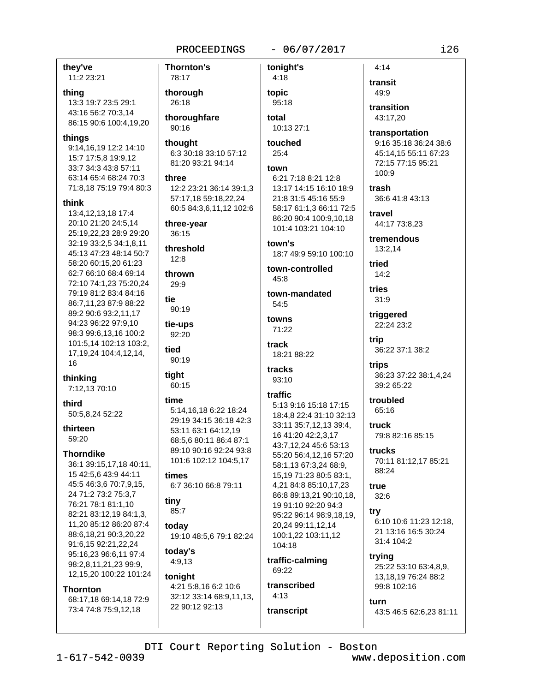they've

11:2 23:21

#### thing

13:3 19:7 23:5 29:1 43:16 56:2 70:3.14 86:15 90:6 100:4,19,20

#### things

9:14,16,19 12:2 14:10 15:7 17:5,8 19:9,12 33:7 34:3 43:8 57:11 63:14 65:4 68:24 70:3 71:8,18 75:19 79:4 80:3

#### think

13:4,12,13,18 17:4 20:10 21:20 24:5.14 25:19.22.23 28:9 29:20 32:19 33:2,5 34:1,8,11 45:13 47:23 48:14 50:7 58:20 60:15.20 61:23 62:7 66:10 68:4 69:14 72:10 74:1,23 75:20,24 79:19 81:2 83:4 84:16 86:7,11,23 87:9 88:22 89:2 90:6 93:2,11,17 94:23 96:22 97:9.10 98:3 99:6,13,16 100:2 101:5,14 102:13 103:2, 17, 19, 24 104: 4, 12, 14, 16

thinking

7:12,13 70:10

#### third

50:5,8,24 52:22

thirteen 59:20

# **Thorndike**

36:1 39:15,17,18 40:11, 15 42:5,6 43:9 44:11 45:5 46:3.6 70:7.9.15. 24 71:2 73:2 75:3,7 76:21 78:1 81:1,10 82:21 83:12,19 84:1,3, 11,20 85:12 86:20 87:4 88:6,18,21 90:3,20,22 91:6,15 92:21,22,24 95:16,23 96:6,11 97:4 98:2,8,11,21,23 99:9, 12,15,20 100:22 101:24

#### **Thornton**

68:17,18 69:14,18 72:9 73:4 74:8 75:9,12,18

# **Thornton's** 78:17 thorough 26:18 thoroughfare 90:16 thought 6:3 30:18 33:10 57:12 81:20 93:21 94:14 three 12:2 23:21 36:14 39:1,3 57:17.18 59:18.22.24 60:5 84:3,6,11,12 102:6 three-year  $36:15$ threshold  $12:8$ thrown 29:9 tie 90:19 tie-ups 92:20 heit 90:19 tight

### 60:15 time

5:14,16,18 6:22 18:24 29:19 34:15 36:18 42:3 53:11 63:1 64:12,19 68:5,6 80:11 86:4 87:1 89:10 90:16 92:24 93:8 101:6 102:12 104:5,17

#### times 6:7 36:10 66:8 79:11

tiny 85:7

todav 19:10 48:5,6 79:1 82:24

today's  $4:9,13$ 

## tonight

4:21 5:8,16 6:2 10:6 32:12 33:14 68:9,11,13, 22 90:12 92:13

tonight's  $4:18$ topic 95:18 total

 $-06/07/2017$ 

10:13 27:1 touched

# $25:4$

town 6:21 7:18 8:21 12:8 13:17 14:15 16:10 18:9 21:8 31:5 45:16 55:9 58:17 61:1,3 66:11 72:5 86:20 90:4 100:9,10,18 101:4 103:21 104:10 town's

18:7 49:9 59:10 100:10

town-controlled  $45:8$ 

town-mandated 54:5

towns 71:22

track 18:21 88:22

tracks 93:10

## traffic

5:13 9:16 15:18 17:15 18:4.8 22:4 31:10 32:13 33:11 35:7,12,13 39:4, 16 41:20 42:2,3,17 43:7,12,24 45:6 53:13 55:20 56:4,12,16 57:20 58:1,13 67:3,24 68:9, 15,19 71:23 80:5 83:1, 4,21 84:8 85:10,17,23 86:8 89:13,21 90:10,18, 19 91:10 92:20 94:3 95:22 96:14 98:9,18,19, 20.24 99:11.12.14 100:1.22 103:11.12 104:18

traffic-calming 69:22

# transcribed  $4:13$

transcript

 $4:14$ transit 49:9

transition 43:17.20

transportation 9:16 35:18 36:24 38:6 45:14,15 55:11 67:23 72:15 77:15 95:21 100:9

trash 36:6 41:8 43:13

travel 44:17 73:8,23

tremendous 13:2.14

tried  $14:2$ 

tries

 $31:9$ triggered

22:24 23:2 trip

36:22 37:1 38:2 trips

36:23 37:22 38:1,4,24 39:2 65:22

troubled 65:16

truck 79:8 82:16 85:15

trucks 70:11 81:12,17 85:21 88:24

true  $32:6$ 

try 6:10 10:6 11:23 12:18. 21 13:16 16:5 30:24 31:4 104:2

trying 25:22 53:10 63:4,8,9, 13, 18, 19 76: 24 88: 2 99:8 102:16

turn 43:5 46:5 62:6,23 81:11

DTI Court Reporting Solution - Boston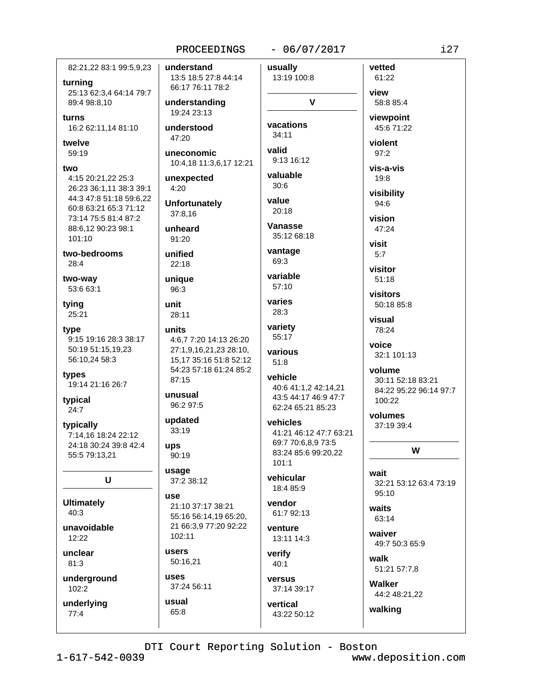#### $-06/07/2017$

 $\mathbf{v}$ 

82:21,22 83:1 99:5,9,23 turning 25:13 62:3,4 64:14 79:7

89:4 98:8.10 turns

16:2 62:11,14 81:10

twelve  $59:19$ 

#### two

4:15 20:21,22 25:3 26:23 36:1,11 38:3 39:1 44:3 47:8 51:18 59:6,22 60:8 63:21 65:3 71:12 73:14 75:5 81:4 87:2 88:6.12 90:23 98:1  $101.10$ 

two-bedrooms  $28:4$ 

two-way 53:6 63:1

tying 25:21

type 9:15 19:16 28:3 38:17 50:19 51:15,19,23 56:10,24 58:3

types 19:14 21:16 26:7

typical  $24:7$ 

typically 7:14,16 18:24 22:12 24:18 30:24 39:8 42:4 55:5 79:13,21

U

**Ultimately**  $40:3$ 

unavoidable  $12:22$ 

unclear  $81:3$ 

underground 102:2

underlying  $77:4$ 

understand usually 13:5 18:5 27:8 44:14 13:19 100:8 66:17 76:11 78:2 understanding 19:24 23:13 vacations understood  $34:11$ 47:20 valid uneconomic 9:13 16:12 10:4,18 11:3,6,17 12:21 unexpected  $4:20$ **Unfortunately** 37:8.16 unheard 91:20 unified  $22.18$ unique 96:3 unit 28:11 units 4:6.7 7:20 14:13 26:20 27:1,9,16,21,23 28:10, 15,17 35:16 51:8 52:12 54:23 57:18 61:24 85:2 87:15 unusual 96:2 97:5 updated 33:19 ups 90:19 usage 37:2 38:12 use 21:10 37:17 38:21 55:16 56:14,19 65:20, 21 66:3.9 77:20 92:22 102:11 users 50:16,21

37:24 56:11 usual 65:8

uses

valuable  $30.6$ value  $20:18$ **Vanasse** 35:12 68:18 vantage 69:3 variable  $57:10$ varies  $28:3$ variety 55:17 various  $51:8$ vehicle 40:6 41:1,2 42:14,21 43:5 44:17 46:9 47:7 62:24 65:21 85:23 vehicles 41:21 46:12 47:7 63:21 69:7 70:6,8,9 73:5 83:24 85:6 99:20,22  $101:1$ 

vehicular 18:4 85:9

vendor 61:7 92:13

venture 13:11 14:3

verify  $40:1$ 

versus 37:14 39:17

vertical 43:22 50:12

viewpoint 45:6 71:22 violent  $97:2$ vis-a-vis 19:8 visibility 94:6 vision 47:24

vetted

61:22

58:8 85:4

view

visit  $5:7$ visitor

 $51:18$ visitors

50:18 85:8

visual 78:24

voice 32:1 101:13

volume 30:11 52:18 83:21 84:22 95:22 96:14 97:7 100:22

volumes 37:19 39:4

W

wait 32:21 53:12 63:4 73:19 95:10

waits 63:14

waiver 49:7 50:3 65:9

walk 51:21 57:7,8

Walker 44:2 48:21,22

walking

DTI Court Reporting Solution - Boston

www.deposition.com